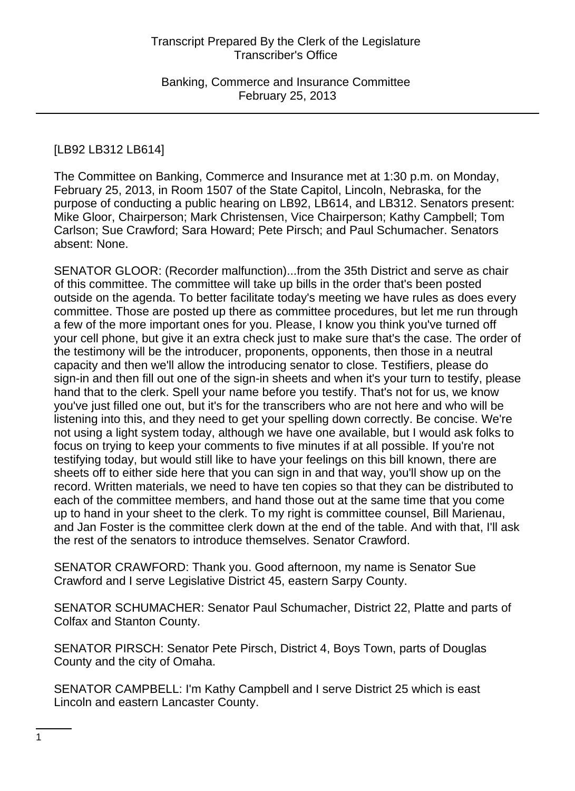# [LB92 LB312 LB614]

The Committee on Banking, Commerce and Insurance met at 1:30 p.m. on Monday, February 25, 2013, in Room 1507 of the State Capitol, Lincoln, Nebraska, for the purpose of conducting a public hearing on LB92, LB614, and LB312. Senators present: Mike Gloor, Chairperson; Mark Christensen, Vice Chairperson; Kathy Campbell; Tom Carlson; Sue Crawford; Sara Howard; Pete Pirsch; and Paul Schumacher. Senators absent: None.

SENATOR GLOOR: (Recorder malfunction)...from the 35th District and serve as chair of this committee. The committee will take up bills in the order that's been posted outside on the agenda. To better facilitate today's meeting we have rules as does every committee. Those are posted up there as committee procedures, but let me run through a few of the more important ones for you. Please, I know you think you've turned off your cell phone, but give it an extra check just to make sure that's the case. The order of the testimony will be the introducer, proponents, opponents, then those in a neutral capacity and then we'll allow the introducing senator to close. Testifiers, please do sign-in and then fill out one of the sign-in sheets and when it's your turn to testify, please hand that to the clerk. Spell your name before you testify. That's not for us, we know you've just filled one out, but it's for the transcribers who are not here and who will be listening into this, and they need to get your spelling down correctly. Be concise. We're not using a light system today, although we have one available, but I would ask folks to focus on trying to keep your comments to five minutes if at all possible. If you're not testifying today, but would still like to have your feelings on this bill known, there are sheets off to either side here that you can sign in and that way, you'll show up on the record. Written materials, we need to have ten copies so that they can be distributed to each of the committee members, and hand those out at the same time that you come up to hand in your sheet to the clerk. To my right is committee counsel, Bill Marienau, and Jan Foster is the committee clerk down at the end of the table. And with that, I'll ask the rest of the senators to introduce themselves. Senator Crawford.

SENATOR CRAWFORD: Thank you. Good afternoon, my name is Senator Sue Crawford and I serve Legislative District 45, eastern Sarpy County.

SENATOR SCHUMACHER: Senator Paul Schumacher, District 22, Platte and parts of Colfax and Stanton County.

SENATOR PIRSCH: Senator Pete Pirsch, District 4, Boys Town, parts of Douglas County and the city of Omaha.

SENATOR CAMPBELL: I'm Kathy Campbell and I serve District 25 which is east Lincoln and eastern Lancaster County.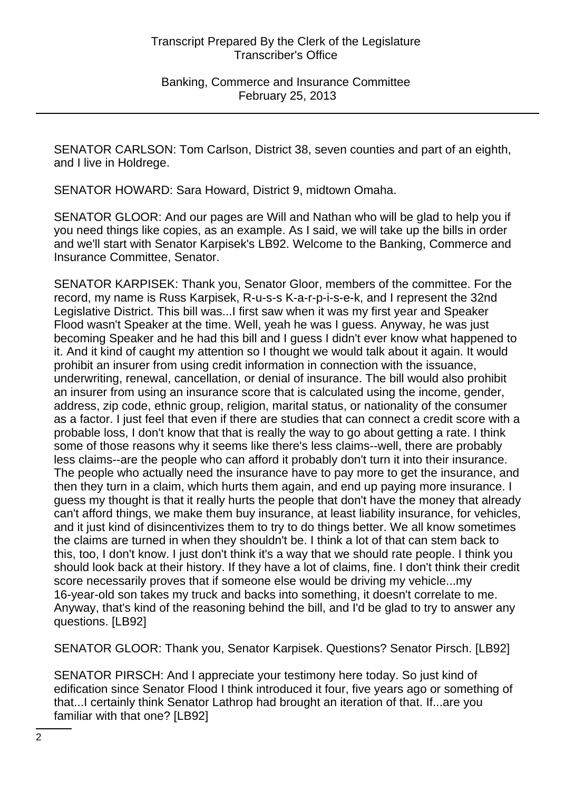SENATOR CARLSON: Tom Carlson, District 38, seven counties and part of an eighth, and I live in Holdrege.

SENATOR HOWARD: Sara Howard, District 9, midtown Omaha.

SENATOR GLOOR: And our pages are Will and Nathan who will be glad to help you if you need things like copies, as an example. As I said, we will take up the bills in order and we'll start with Senator Karpisek's LB92. Welcome to the Banking, Commerce and Insurance Committee, Senator.

SENATOR KARPISEK: Thank you, Senator Gloor, members of the committee. For the record, my name is Russ Karpisek, R-u-s-s K-a-r-p-i-s-e-k, and I represent the 32nd Legislative District. This bill was...I first saw when it was my first year and Speaker Flood wasn't Speaker at the time. Well, yeah he was I guess. Anyway, he was just becoming Speaker and he had this bill and I guess I didn't ever know what happened to it. And it kind of caught my attention so I thought we would talk about it again. It would prohibit an insurer from using credit information in connection with the issuance, underwriting, renewal, cancellation, or denial of insurance. The bill would also prohibit an insurer from using an insurance score that is calculated using the income, gender, address, zip code, ethnic group, religion, marital status, or nationality of the consumer as a factor. I just feel that even if there are studies that can connect a credit score with a probable loss, I don't know that that is really the way to go about getting a rate. I think some of those reasons why it seems like there's less claims--well, there are probably less claims--are the people who can afford it probably don't turn it into their insurance. The people who actually need the insurance have to pay more to get the insurance, and then they turn in a claim, which hurts them again, and end up paying more insurance. I guess my thought is that it really hurts the people that don't have the money that already can't afford things, we make them buy insurance, at least liability insurance, for vehicles, and it just kind of disincentivizes them to try to do things better. We all know sometimes the claims are turned in when they shouldn't be. I think a lot of that can stem back to this, too, I don't know. I just don't think it's a way that we should rate people. I think you should look back at their history. If they have a lot of claims, fine. I don't think their credit score necessarily proves that if someone else would be driving my vehicle...my 16-year-old son takes my truck and backs into something, it doesn't correlate to me. Anyway, that's kind of the reasoning behind the bill, and I'd be glad to try to answer any questions. [LB92]

SENATOR GLOOR: Thank you, Senator Karpisek. Questions? Senator Pirsch. [LB92]

SENATOR PIRSCH: And I appreciate your testimony here today. So just kind of edification since Senator Flood I think introduced it four, five years ago or something of that...I certainly think Senator Lathrop had brought an iteration of that. If...are you familiar with that one? [LB92]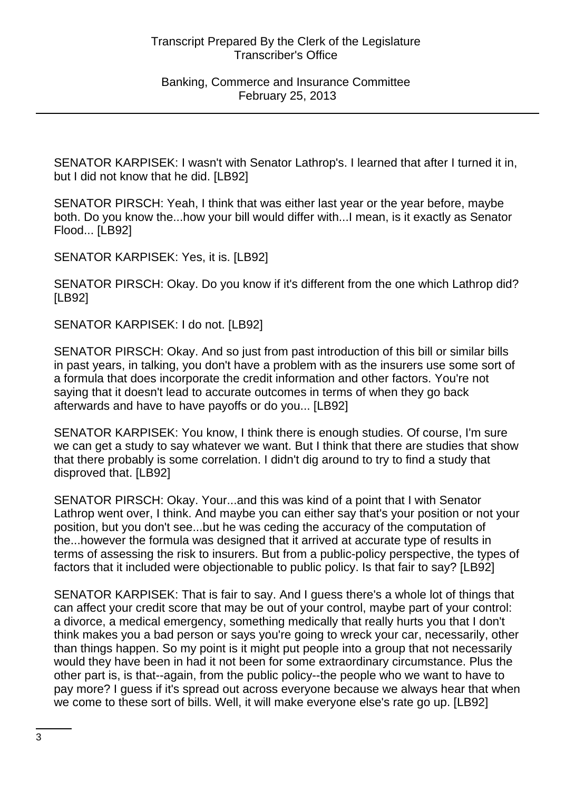SENATOR KARPISEK: I wasn't with Senator Lathrop's. I learned that after I turned it in, but I did not know that he did. [LB92]

SENATOR PIRSCH: Yeah, I think that was either last year or the year before, maybe both. Do you know the...how your bill would differ with...I mean, is it exactly as Senator Flood... [LB92]

SENATOR KARPISEK: Yes, it is. [LB92]

SENATOR PIRSCH: Okay. Do you know if it's different from the one which Lathrop did? [LB92]

SENATOR KARPISEK: I do not. [LB92]

SENATOR PIRSCH: Okay. And so just from past introduction of this bill or similar bills in past years, in talking, you don't have a problem with as the insurers use some sort of a formula that does incorporate the credit information and other factors. You're not saying that it doesn't lead to accurate outcomes in terms of when they go back afterwards and have to have payoffs or do you... [LB92]

SENATOR KARPISEK: You know, I think there is enough studies. Of course, I'm sure we can get a study to say whatever we want. But I think that there are studies that show that there probably is some correlation. I didn't dig around to try to find a study that disproved that. [LB92]

SENATOR PIRSCH: Okay. Your...and this was kind of a point that I with Senator Lathrop went over, I think. And maybe you can either say that's your position or not your position, but you don't see...but he was ceding the accuracy of the computation of the...however the formula was designed that it arrived at accurate type of results in terms of assessing the risk to insurers. But from a public-policy perspective, the types of factors that it included were objectionable to public policy. Is that fair to say? [LB92]

SENATOR KARPISEK: That is fair to say. And I guess there's a whole lot of things that can affect your credit score that may be out of your control, maybe part of your control: a divorce, a medical emergency, something medically that really hurts you that I don't think makes you a bad person or says you're going to wreck your car, necessarily, other than things happen. So my point is it might put people into a group that not necessarily would they have been in had it not been for some extraordinary circumstance. Plus the other part is, is that--again, from the public policy--the people who we want to have to pay more? I guess if it's spread out across everyone because we always hear that when we come to these sort of bills. Well, it will make everyone else's rate go up. [LB92]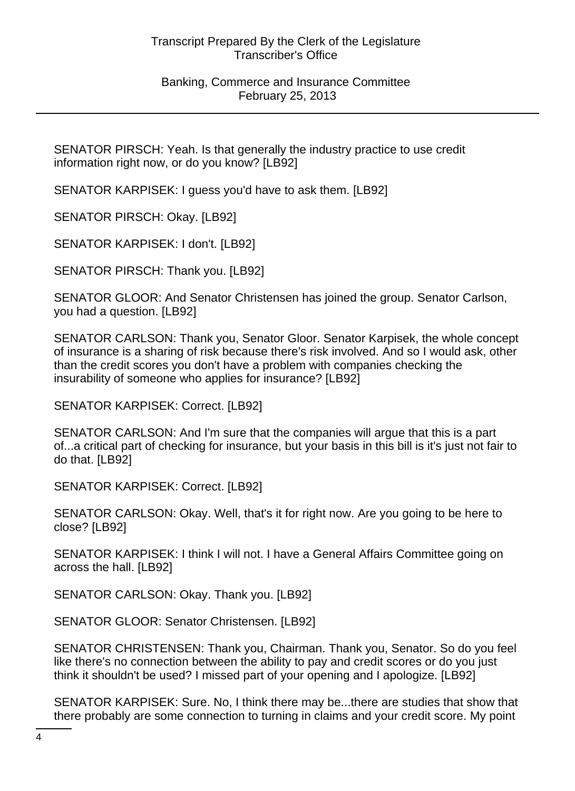Banking, Commerce and Insurance Committee February 25, 2013

SENATOR PIRSCH: Yeah. Is that generally the industry practice to use credit information right now, or do you know? [LB92]

SENATOR KARPISEK: I guess you'd have to ask them. [LB92]

SENATOR PIRSCH: Okay. [LB92]

SENATOR KARPISEK: I don't. [LB92]

SENATOR PIRSCH: Thank you. [LB92]

SENATOR GLOOR: And Senator Christensen has joined the group. Senator Carlson, you had a question. [LB92]

SENATOR CARLSON: Thank you, Senator Gloor. Senator Karpisek, the whole concept of insurance is a sharing of risk because there's risk involved. And so I would ask, other than the credit scores you don't have a problem with companies checking the insurability of someone who applies for insurance? [LB92]

SENATOR KARPISEK: Correct. [LB92]

SENATOR CARLSON: And I'm sure that the companies will argue that this is a part of...a critical part of checking for insurance, but your basis in this bill is it's just not fair to do that. [LB92]

SENATOR KARPISEK: Correct. [LB92]

SENATOR CARLSON: Okay. Well, that's it for right now. Are you going to be here to close? [LB92]

SENATOR KARPISEK: I think I will not. I have a General Affairs Committee going on across the hall. [LB92]

SENATOR CARLSON: Okay. Thank you. [LB92]

SENATOR GLOOR: Senator Christensen. [LB92]

SENATOR CHRISTENSEN: Thank you, Chairman. Thank you, Senator. So do you feel like there's no connection between the ability to pay and credit scores or do you just think it shouldn't be used? I missed part of your opening and I apologize. [LB92]

SENATOR KARPISEK: Sure. No, I think there may be...there are studies that show that there probably are some connection to turning in claims and your credit score. My point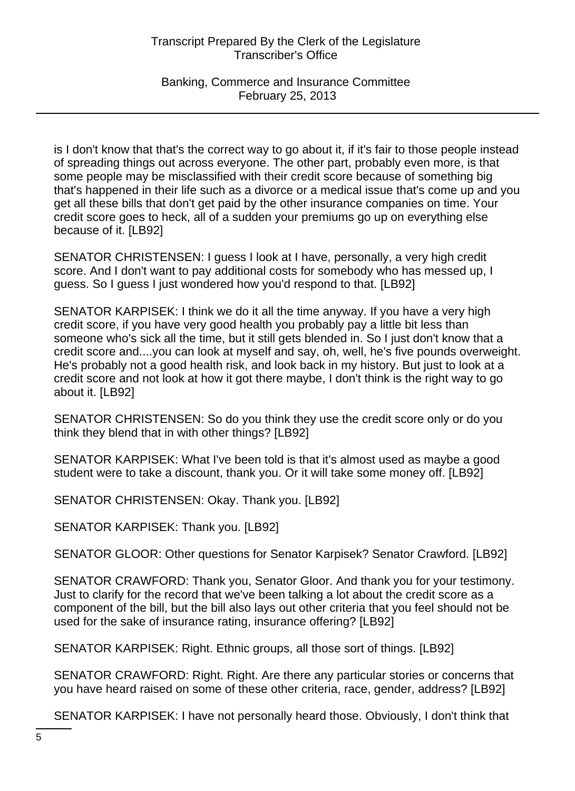Banking, Commerce and Insurance Committee February 25, 2013

is I don't know that that's the correct way to go about it, if it's fair to those people instead of spreading things out across everyone. The other part, probably even more, is that some people may be misclassified with their credit score because of something big that's happened in their life such as a divorce or a medical issue that's come up and you get all these bills that don't get paid by the other insurance companies on time. Your credit score goes to heck, all of a sudden your premiums go up on everything else because of it. [LB92]

SENATOR CHRISTENSEN: I guess I look at I have, personally, a very high credit score. And I don't want to pay additional costs for somebody who has messed up, I guess. So I guess I just wondered how you'd respond to that. [LB92]

SENATOR KARPISEK: I think we do it all the time anyway. If you have a very high credit score, if you have very good health you probably pay a little bit less than someone who's sick all the time, but it still gets blended in. So I just don't know that a credit score and....you can look at myself and say, oh, well, he's five pounds overweight. He's probably not a good health risk, and look back in my history. But just to look at a credit score and not look at how it got there maybe, I don't think is the right way to go about it. [LB92]

SENATOR CHRISTENSEN: So do you think they use the credit score only or do you think they blend that in with other things? [LB92]

SENATOR KARPISEK: What I've been told is that it's almost used as maybe a good student were to take a discount, thank you. Or it will take some money off. [LB92]

SENATOR CHRISTENSEN: Okay. Thank you. [LB92]

SENATOR KARPISEK: Thank you. [LB92]

SENATOR GLOOR: Other questions for Senator Karpisek? Senator Crawford. [LB92]

SENATOR CRAWFORD: Thank you, Senator Gloor. And thank you for your testimony. Just to clarify for the record that we've been talking a lot about the credit score as a component of the bill, but the bill also lays out other criteria that you feel should not be used for the sake of insurance rating, insurance offering? [LB92]

SENATOR KARPISEK: Right. Ethnic groups, all those sort of things. [LB92]

SENATOR CRAWFORD: Right. Right. Are there any particular stories or concerns that you have heard raised on some of these other criteria, race, gender, address? [LB92]

SENATOR KARPISEK: I have not personally heard those. Obviously, I don't think that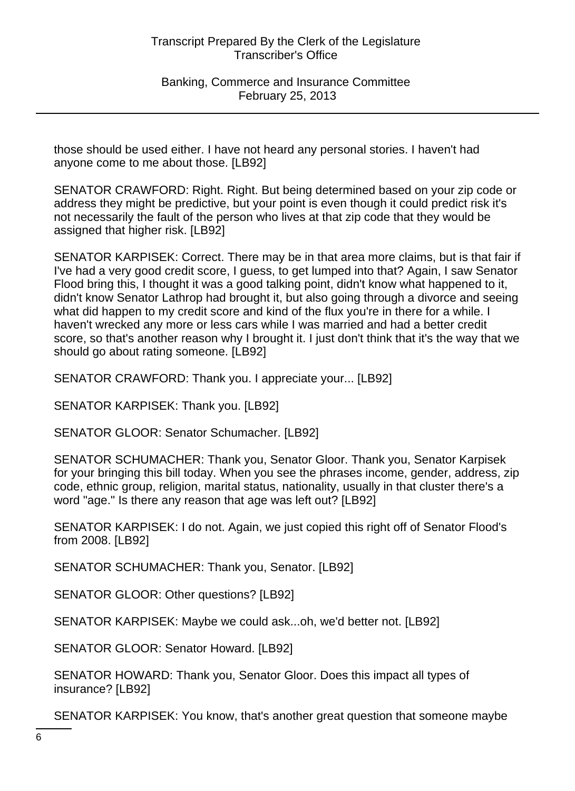Banking, Commerce and Insurance Committee February 25, 2013

those should be used either. I have not heard any personal stories. I haven't had anyone come to me about those. [LB92]

SENATOR CRAWFORD: Right. Right. But being determined based on your zip code or address they might be predictive, but your point is even though it could predict risk it's not necessarily the fault of the person who lives at that zip code that they would be assigned that higher risk. [LB92]

SENATOR KARPISEK: Correct. There may be in that area more claims, but is that fair if I've had a very good credit score, I guess, to get lumped into that? Again, I saw Senator Flood bring this, I thought it was a good talking point, didn't know what happened to it, didn't know Senator Lathrop had brought it, but also going through a divorce and seeing what did happen to my credit score and kind of the flux you're in there for a while. I haven't wrecked any more or less cars while I was married and had a better credit score, so that's another reason why I brought it. I just don't think that it's the way that we should go about rating someone. [LB92]

SENATOR CRAWFORD: Thank you. I appreciate your... [LB92]

SENATOR KARPISEK: Thank you. [LB92]

SENATOR GLOOR: Senator Schumacher. [LB92]

SENATOR SCHUMACHER: Thank you, Senator Gloor. Thank you, Senator Karpisek for your bringing this bill today. When you see the phrases income, gender, address, zip code, ethnic group, religion, marital status, nationality, usually in that cluster there's a word "age." Is there any reason that age was left out? [LB92]

SENATOR KARPISEK: I do not. Again, we just copied this right off of Senator Flood's from 2008. [LB92]

SENATOR SCHUMACHER: Thank you, Senator. [LB92]

SENATOR GLOOR: Other questions? [LB92]

SENATOR KARPISEK: Maybe we could ask...oh, we'd better not. [LB92]

SENATOR GLOOR: Senator Howard. [LB92]

SENATOR HOWARD: Thank you, Senator Gloor. Does this impact all types of insurance? [LB92]

SENATOR KARPISEK: You know, that's another great question that someone maybe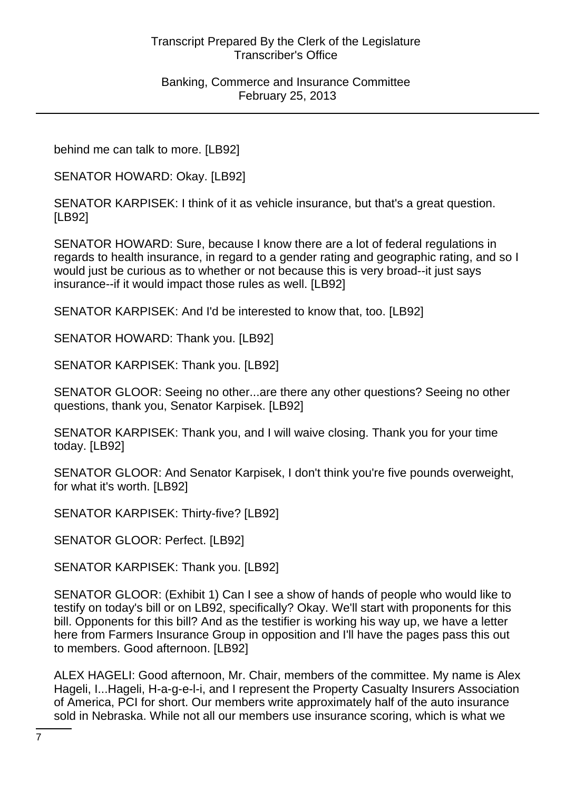behind me can talk to more. [LB92]

SENATOR HOWARD: Okay. [LB92]

SENATOR KARPISEK: I think of it as vehicle insurance, but that's a great question. [LB92]

SENATOR HOWARD: Sure, because I know there are a lot of federal regulations in regards to health insurance, in regard to a gender rating and geographic rating, and so I would just be curious as to whether or not because this is very broad--it just says insurance--if it would impact those rules as well. [LB92]

SENATOR KARPISEK: And I'd be interested to know that, too. [LB92]

SENATOR HOWARD: Thank you. [LB92]

SENATOR KARPISEK: Thank you. [LB92]

SENATOR GLOOR: Seeing no other...are there any other questions? Seeing no other questions, thank you, Senator Karpisek. [LB92]

SENATOR KARPISEK: Thank you, and I will waive closing. Thank you for your time today. [LB92]

SENATOR GLOOR: And Senator Karpisek, I don't think you're five pounds overweight, for what it's worth. [LB92]

SENATOR KARPISEK: Thirty-five? [LB92]

SENATOR GLOOR: Perfect. [LB92]

SENATOR KARPISEK: Thank you. [LB92]

SENATOR GLOOR: (Exhibit 1) Can I see a show of hands of people who would like to testify on today's bill or on LB92, specifically? Okay. We'll start with proponents for this bill. Opponents for this bill? And as the testifier is working his way up, we have a letter here from Farmers Insurance Group in opposition and I'll have the pages pass this out to members. Good afternoon. [LB92]

ALEX HAGELI: Good afternoon, Mr. Chair, members of the committee. My name is Alex Hageli, I...Hageli, H-a-g-e-l-i, and I represent the Property Casualty Insurers Association of America, PCI for short. Our members write approximately half of the auto insurance sold in Nebraska. While not all our members use insurance scoring, which is what we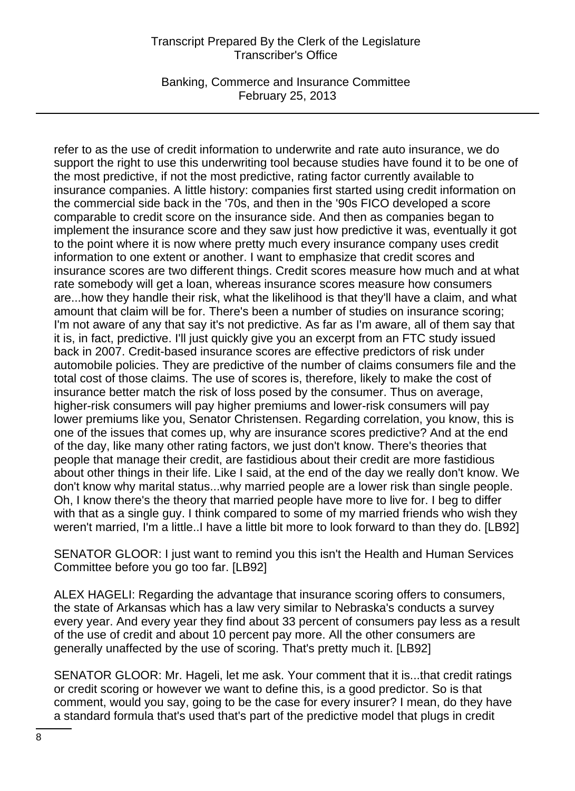Banking, Commerce and Insurance Committee February 25, 2013

refer to as the use of credit information to underwrite and rate auto insurance, we do support the right to use this underwriting tool because studies have found it to be one of the most predictive, if not the most predictive, rating factor currently available to insurance companies. A little history: companies first started using credit information on the commercial side back in the '70s, and then in the '90s FICO developed a score comparable to credit score on the insurance side. And then as companies began to implement the insurance score and they saw just how predictive it was, eventually it got to the point where it is now where pretty much every insurance company uses credit information to one extent or another. I want to emphasize that credit scores and insurance scores are two different things. Credit scores measure how much and at what rate somebody will get a loan, whereas insurance scores measure how consumers are...how they handle their risk, what the likelihood is that they'll have a claim, and what amount that claim will be for. There's been a number of studies on insurance scoring; I'm not aware of any that say it's not predictive. As far as I'm aware, all of them say that it is, in fact, predictive. I'll just quickly give you an excerpt from an FTC study issued back in 2007. Credit-based insurance scores are effective predictors of risk under automobile policies. They are predictive of the number of claims consumers file and the total cost of those claims. The use of scores is, therefore, likely to make the cost of insurance better match the risk of loss posed by the consumer. Thus on average, higher-risk consumers will pay higher premiums and lower-risk consumers will pay lower premiums like you, Senator Christensen. Regarding correlation, you know, this is one of the issues that comes up, why are insurance scores predictive? And at the end of the day, like many other rating factors, we just don't know. There's theories that people that manage their credit, are fastidious about their credit are more fastidious about other things in their life. Like I said, at the end of the day we really don't know. We don't know why marital status...why married people are a lower risk than single people. Oh, I know there's the theory that married people have more to live for. I beg to differ with that as a single guy. I think compared to some of my married friends who wish they weren't married, I'm a little..I have a little bit more to look forward to than they do. [LB92]

SENATOR GLOOR: I just want to remind you this isn't the Health and Human Services Committee before you go too far. [LB92]

ALEX HAGELI: Regarding the advantage that insurance scoring offers to consumers, the state of Arkansas which has a law very similar to Nebraska's conducts a survey every year. And every year they find about 33 percent of consumers pay less as a result of the use of credit and about 10 percent pay more. All the other consumers are generally unaffected by the use of scoring. That's pretty much it. [LB92]

SENATOR GLOOR: Mr. Hageli, let me ask. Your comment that it is...that credit ratings or credit scoring or however we want to define this, is a good predictor. So is that comment, would you say, going to be the case for every insurer? I mean, do they have a standard formula that's used that's part of the predictive model that plugs in credit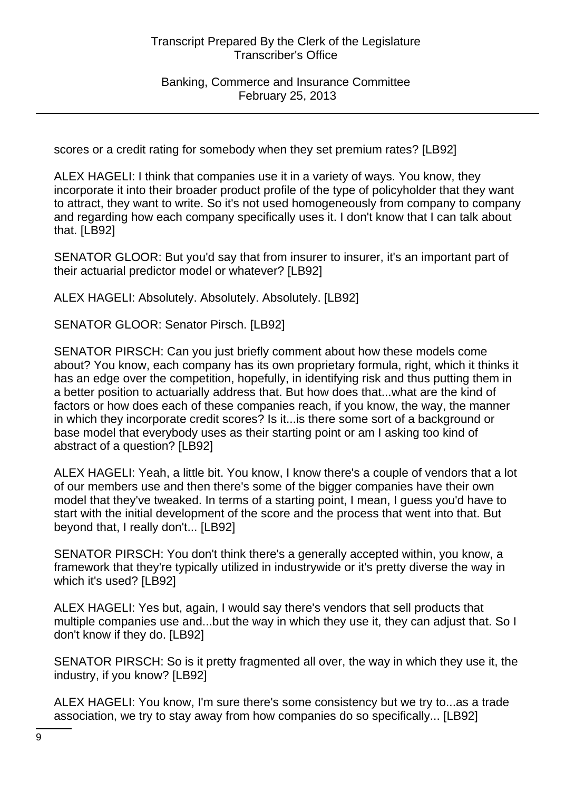scores or a credit rating for somebody when they set premium rates? [LB92]

ALEX HAGELI: I think that companies use it in a variety of ways. You know, they incorporate it into their broader product profile of the type of policyholder that they want to attract, they want to write. So it's not used homogeneously from company to company and regarding how each company specifically uses it. I don't know that I can talk about that. [LB92]

SENATOR GLOOR: But you'd say that from insurer to insurer, it's an important part of their actuarial predictor model or whatever? [LB92]

ALEX HAGELI: Absolutely. Absolutely. Absolutely. [LB92]

SENATOR GLOOR: Senator Pirsch. [LB92]

SENATOR PIRSCH: Can you just briefly comment about how these models come about? You know, each company has its own proprietary formula, right, which it thinks it has an edge over the competition, hopefully, in identifying risk and thus putting them in a better position to actuarially address that. But how does that...what are the kind of factors or how does each of these companies reach, if you know, the way, the manner in which they incorporate credit scores? Is it...is there some sort of a background or base model that everybody uses as their starting point or am I asking too kind of abstract of a question? [LB92]

ALEX HAGELI: Yeah, a little bit. You know, I know there's a couple of vendors that a lot of our members use and then there's some of the bigger companies have their own model that they've tweaked. In terms of a starting point, I mean, I guess you'd have to start with the initial development of the score and the process that went into that. But beyond that, I really don't... [LB92]

SENATOR PIRSCH: You don't think there's a generally accepted within, you know, a framework that they're typically utilized in industrywide or it's pretty diverse the way in which it's used? [LB92]

ALEX HAGELI: Yes but, again, I would say there's vendors that sell products that multiple companies use and...but the way in which they use it, they can adjust that. So I don't know if they do. [LB92]

SENATOR PIRSCH: So is it pretty fragmented all over, the way in which they use it, the industry, if you know? [LB92]

ALEX HAGELI: You know, I'm sure there's some consistency but we try to...as a trade association, we try to stay away from how companies do so specifically... [LB92]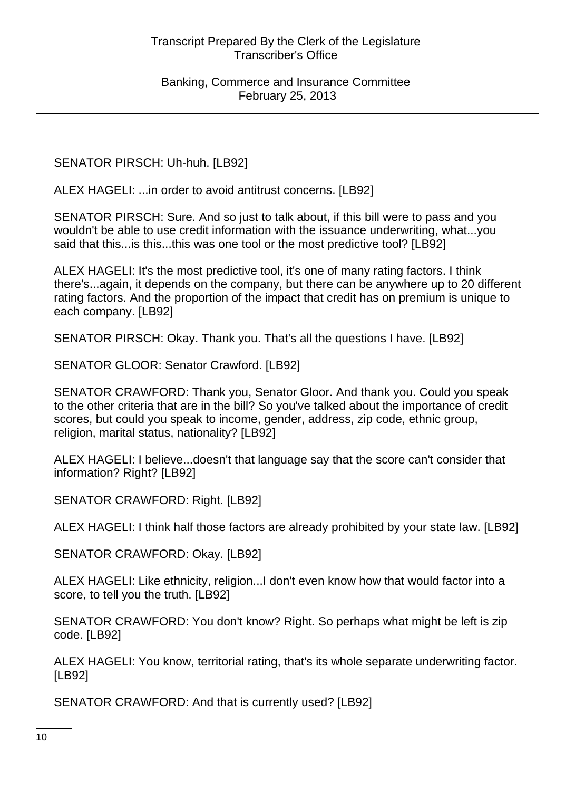SENATOR PIRSCH: Uh-huh. [LB92]

ALEX HAGELI: ...in order to avoid antitrust concerns. [LB92]

SENATOR PIRSCH: Sure. And so just to talk about, if this bill were to pass and you wouldn't be able to use credit information with the issuance underwriting, what...you said that this...is this...this was one tool or the most predictive tool? [LB92]

ALEX HAGELI: It's the most predictive tool, it's one of many rating factors. I think there's...again, it depends on the company, but there can be anywhere up to 20 different rating factors. And the proportion of the impact that credit has on premium is unique to each company. [LB92]

SENATOR PIRSCH: Okay. Thank you. That's all the questions I have. [LB92]

SENATOR GLOOR: Senator Crawford. [LB92]

SENATOR CRAWFORD: Thank you, Senator Gloor. And thank you. Could you speak to the other criteria that are in the bill? So you've talked about the importance of credit scores, but could you speak to income, gender, address, zip code, ethnic group, religion, marital status, nationality? [LB92]

ALEX HAGELI: I believe...doesn't that language say that the score can't consider that information? Right? [LB92]

SENATOR CRAWFORD: Right. [LB92]

ALEX HAGELI: I think half those factors are already prohibited by your state law. [LB92]

SENATOR CRAWFORD: Okay. [LB92]

ALEX HAGELI: Like ethnicity, religion...I don't even know how that would factor into a score, to tell you the truth. [LB92]

SENATOR CRAWFORD: You don't know? Right. So perhaps what might be left is zip code. [LB92]

ALEX HAGELI: You know, territorial rating, that's its whole separate underwriting factor. [LB92]

SENATOR CRAWFORD: And that is currently used? [LB92]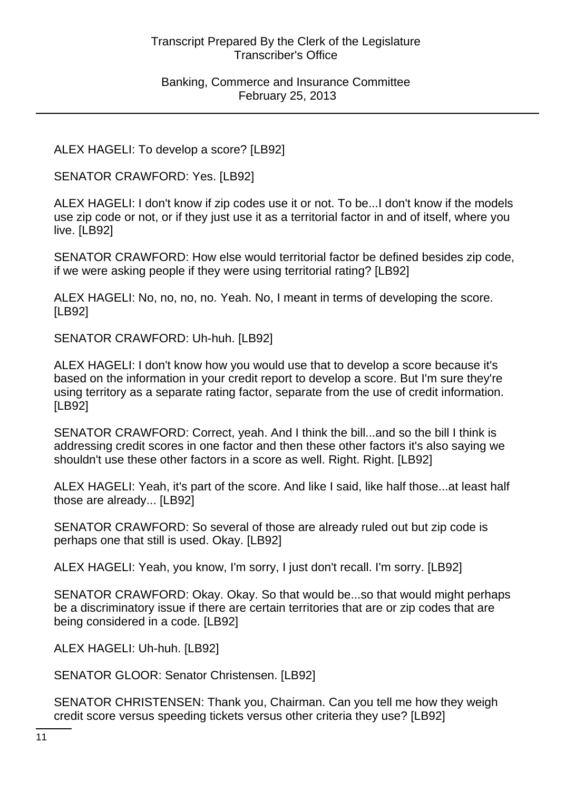ALEX HAGELI: To develop a score? [LB92]

SENATOR CRAWFORD: Yes. [LB92]

ALEX HAGELI: I don't know if zip codes use it or not. To be...I don't know if the models use zip code or not, or if they just use it as a territorial factor in and of itself, where you live. [LB92]

SENATOR CRAWFORD: How else would territorial factor be defined besides zip code, if we were asking people if they were using territorial rating? [LB92]

ALEX HAGELI: No, no, no, no. Yeah. No, I meant in terms of developing the score. [LB92]

SENATOR CRAWFORD: Uh-huh. [LB92]

ALEX HAGELI: I don't know how you would use that to develop a score because it's based on the information in your credit report to develop a score. But I'm sure they're using territory as a separate rating factor, separate from the use of credit information. [LB92]

SENATOR CRAWFORD: Correct, yeah. And I think the bill...and so the bill I think is addressing credit scores in one factor and then these other factors it's also saying we shouldn't use these other factors in a score as well. Right. Right. [LB92]

ALEX HAGELI: Yeah, it's part of the score. And like I said, like half those...at least half those are already... [LB92]

SENATOR CRAWFORD: So several of those are already ruled out but zip code is perhaps one that still is used. Okay. [LB92]

ALEX HAGELI: Yeah, you know, I'm sorry, I just don't recall. I'm sorry. [LB92]

SENATOR CRAWFORD: Okay. Okay. So that would be...so that would might perhaps be a discriminatory issue if there are certain territories that are or zip codes that are being considered in a code. [LB92]

ALEX HAGELI: Uh-huh. [LB92]

SENATOR GLOOR: Senator Christensen. [LB92]

SENATOR CHRISTENSEN: Thank you, Chairman. Can you tell me how they weigh credit score versus speeding tickets versus other criteria they use? [LB92]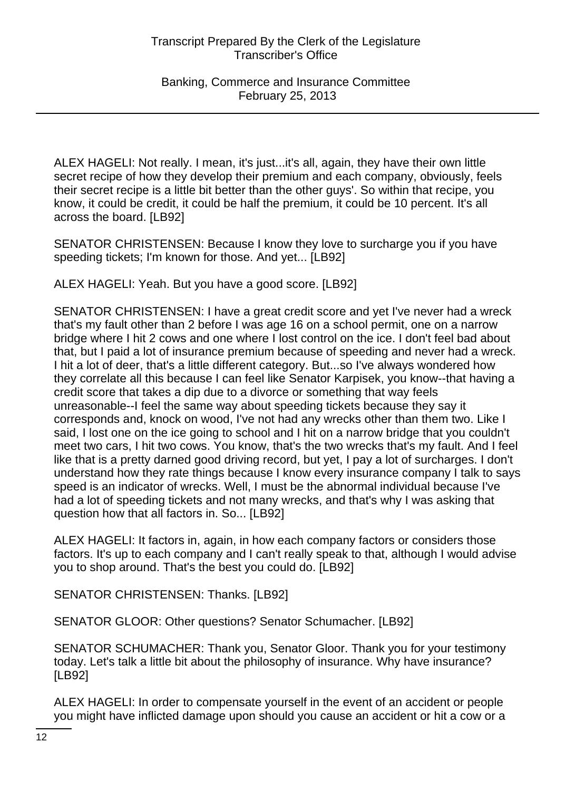ALEX HAGELI: Not really. I mean, it's just...it's all, again, they have their own little secret recipe of how they develop their premium and each company, obviously, feels their secret recipe is a little bit better than the other guys'. So within that recipe, you know, it could be credit, it could be half the premium, it could be 10 percent. It's all across the board. [LB92]

SENATOR CHRISTENSEN: Because I know they love to surcharge you if you have speeding tickets; I'm known for those. And yet... [LB92]

ALEX HAGELI: Yeah. But you have a good score. [LB92]

SENATOR CHRISTENSEN: I have a great credit score and yet I've never had a wreck that's my fault other than 2 before I was age 16 on a school permit, one on a narrow bridge where I hit 2 cows and one where I lost control on the ice. I don't feel bad about that, but I paid a lot of insurance premium because of speeding and never had a wreck. I hit a lot of deer, that's a little different category. But...so I've always wondered how they correlate all this because I can feel like Senator Karpisek, you know--that having a credit score that takes a dip due to a divorce or something that way feels unreasonable--I feel the same way about speeding tickets because they say it corresponds and, knock on wood, I've not had any wrecks other than them two. Like I said, I lost one on the ice going to school and I hit on a narrow bridge that you couldn't meet two cars, I hit two cows. You know, that's the two wrecks that's my fault. And I feel like that is a pretty darned good driving record, but yet, I pay a lot of surcharges. I don't understand how they rate things because I know every insurance company I talk to says speed is an indicator of wrecks. Well, I must be the abnormal individual because I've had a lot of speeding tickets and not many wrecks, and that's why I was asking that question how that all factors in. So... [LB92]

ALEX HAGELI: It factors in, again, in how each company factors or considers those factors. It's up to each company and I can't really speak to that, although I would advise you to shop around. That's the best you could do. [LB92]

SENATOR CHRISTENSEN: Thanks. [LB92]

SENATOR GLOOR: Other questions? Senator Schumacher. [LB92]

SENATOR SCHUMACHER: Thank you, Senator Gloor. Thank you for your testimony today. Let's talk a little bit about the philosophy of insurance. Why have insurance? [LB92]

ALEX HAGELI: In order to compensate yourself in the event of an accident or people you might have inflicted damage upon should you cause an accident or hit a cow or a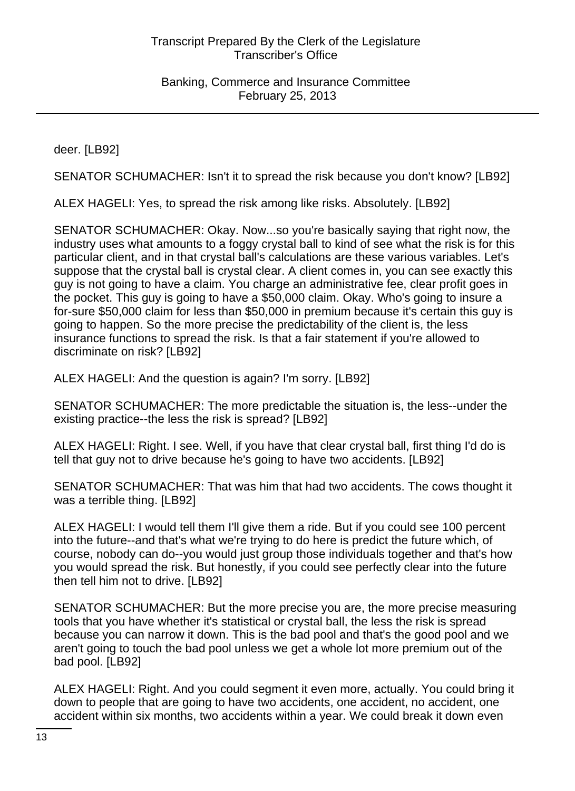deer. [LB92]

SENATOR SCHUMACHER: Isn't it to spread the risk because you don't know? [LB92]

ALEX HAGELI: Yes, to spread the risk among like risks. Absolutely. [LB92]

SENATOR SCHUMACHER: Okay. Now...so you're basically saying that right now, the industry uses what amounts to a foggy crystal ball to kind of see what the risk is for this particular client, and in that crystal ball's calculations are these various variables. Let's suppose that the crystal ball is crystal clear. A client comes in, you can see exactly this guy is not going to have a claim. You charge an administrative fee, clear profit goes in the pocket. This guy is going to have a \$50,000 claim. Okay. Who's going to insure a for-sure \$50,000 claim for less than \$50,000 in premium because it's certain this guy is going to happen. So the more precise the predictability of the client is, the less insurance functions to spread the risk. Is that a fair statement if you're allowed to discriminate on risk? [LB92]

ALEX HAGELI: And the question is again? I'm sorry. [LB92]

SENATOR SCHUMACHER: The more predictable the situation is, the less--under the existing practice--the less the risk is spread? [LB92]

ALEX HAGELI: Right. I see. Well, if you have that clear crystal ball, first thing I'd do is tell that guy not to drive because he's going to have two accidents. [LB92]

SENATOR SCHUMACHER: That was him that had two accidents. The cows thought it was a terrible thing. [LB92]

ALEX HAGELI: I would tell them I'll give them a ride. But if you could see 100 percent into the future--and that's what we're trying to do here is predict the future which, of course, nobody can do--you would just group those individuals together and that's how you would spread the risk. But honestly, if you could see perfectly clear into the future then tell him not to drive. [LB92]

SENATOR SCHUMACHER: But the more precise you are, the more precise measuring tools that you have whether it's statistical or crystal ball, the less the risk is spread because you can narrow it down. This is the bad pool and that's the good pool and we aren't going to touch the bad pool unless we get a whole lot more premium out of the bad pool. [LB92]

ALEX HAGELI: Right. And you could segment it even more, actually. You could bring it down to people that are going to have two accidents, one accident, no accident, one accident within six months, two accidents within a year. We could break it down even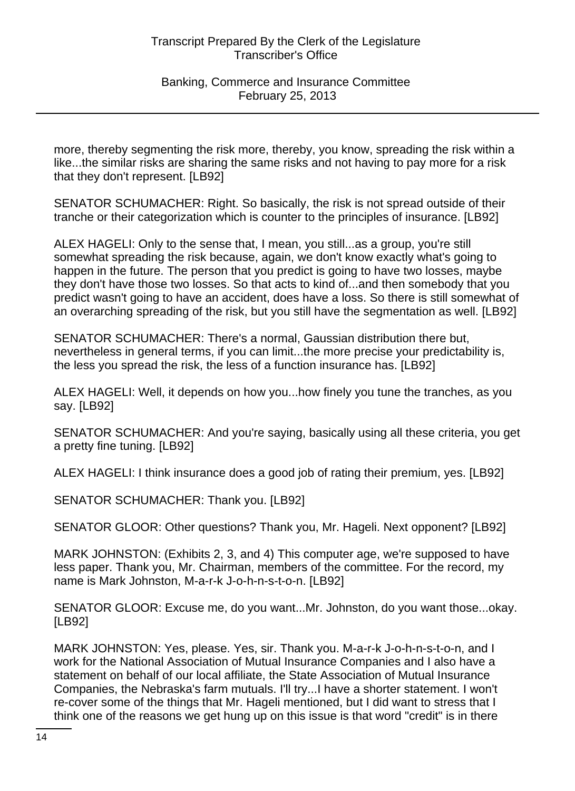more, thereby segmenting the risk more, thereby, you know, spreading the risk within a like...the similar risks are sharing the same risks and not having to pay more for a risk that they don't represent. [LB92]

SENATOR SCHUMACHER: Right. So basically, the risk is not spread outside of their tranche or their categorization which is counter to the principles of insurance. [LB92]

ALEX HAGELI: Only to the sense that, I mean, you still...as a group, you're still somewhat spreading the risk because, again, we don't know exactly what's going to happen in the future. The person that you predict is going to have two losses, maybe they don't have those two losses. So that acts to kind of...and then somebody that you predict wasn't going to have an accident, does have a loss. So there is still somewhat of an overarching spreading of the risk, but you still have the segmentation as well. [LB92]

SENATOR SCHUMACHER: There's a normal, Gaussian distribution there but, nevertheless in general terms, if you can limit...the more precise your predictability is, the less you spread the risk, the less of a function insurance has. [LB92]

ALEX HAGELI: Well, it depends on how you...how finely you tune the tranches, as you say. [LB92]

SENATOR SCHUMACHER: And you're saying, basically using all these criteria, you get a pretty fine tuning. [LB92]

ALEX HAGELI: I think insurance does a good job of rating their premium, yes. [LB92]

SENATOR SCHUMACHER: Thank you. [LB92]

SENATOR GLOOR: Other questions? Thank you, Mr. Hageli. Next opponent? [LB92]

MARK JOHNSTON: (Exhibits 2, 3, and 4) This computer age, we're supposed to have less paper. Thank you, Mr. Chairman, members of the committee. For the record, my name is Mark Johnston, M-a-r-k J-o-h-n-s-t-o-n. [LB92]

SENATOR GLOOR: Excuse me, do you want...Mr. Johnston, do you want those...okay. [LB92]

MARK JOHNSTON: Yes, please. Yes, sir. Thank you. M-a-r-k J-o-h-n-s-t-o-n, and I work for the National Association of Mutual Insurance Companies and I also have a statement on behalf of our local affiliate, the State Association of Mutual Insurance Companies, the Nebraska's farm mutuals. I'll try...I have a shorter statement. I won't re-cover some of the things that Mr. Hageli mentioned, but I did want to stress that I think one of the reasons we get hung up on this issue is that word "credit" is in there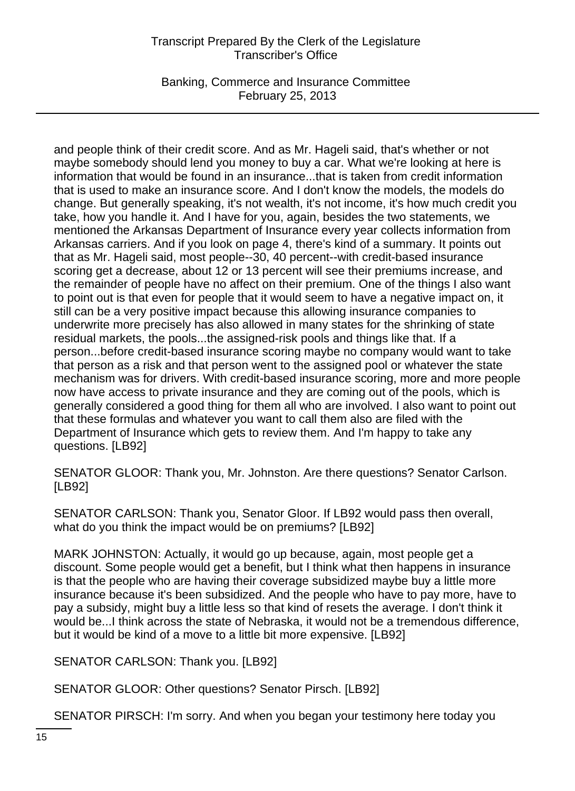Banking, Commerce and Insurance Committee February 25, 2013

and people think of their credit score. And as Mr. Hageli said, that's whether or not maybe somebody should lend you money to buy a car. What we're looking at here is information that would be found in an insurance...that is taken from credit information that is used to make an insurance score. And I don't know the models, the models do change. But generally speaking, it's not wealth, it's not income, it's how much credit you take, how you handle it. And I have for you, again, besides the two statements, we mentioned the Arkansas Department of Insurance every year collects information from Arkansas carriers. And if you look on page 4, there's kind of a summary. It points out that as Mr. Hageli said, most people--30, 40 percent--with credit-based insurance scoring get a decrease, about 12 or 13 percent will see their premiums increase, and the remainder of people have no affect on their premium. One of the things I also want to point out is that even for people that it would seem to have a negative impact on, it still can be a very positive impact because this allowing insurance companies to underwrite more precisely has also allowed in many states for the shrinking of state residual markets, the pools...the assigned-risk pools and things like that. If a person...before credit-based insurance scoring maybe no company would want to take that person as a risk and that person went to the assigned pool or whatever the state mechanism was for drivers. With credit-based insurance scoring, more and more people now have access to private insurance and they are coming out of the pools, which is generally considered a good thing for them all who are involved. I also want to point out that these formulas and whatever you want to call them also are filed with the Department of Insurance which gets to review them. And I'm happy to take any questions. [LB92]

SENATOR GLOOR: Thank you, Mr. Johnston. Are there questions? Senator Carlson. [LB92]

SENATOR CARLSON: Thank you, Senator Gloor. If LB92 would pass then overall, what do you think the impact would be on premiums? [LB92]

MARK JOHNSTON: Actually, it would go up because, again, most people get a discount. Some people would get a benefit, but I think what then happens in insurance is that the people who are having their coverage subsidized maybe buy a little more insurance because it's been subsidized. And the people who have to pay more, have to pay a subsidy, might buy a little less so that kind of resets the average. I don't think it would be...I think across the state of Nebraska, it would not be a tremendous difference, but it would be kind of a move to a little bit more expensive. [LB92]

SENATOR CARLSON: Thank you. [LB92]

SENATOR GLOOR: Other questions? Senator Pirsch. [LB92]

SENATOR PIRSCH: I'm sorry. And when you began your testimony here today you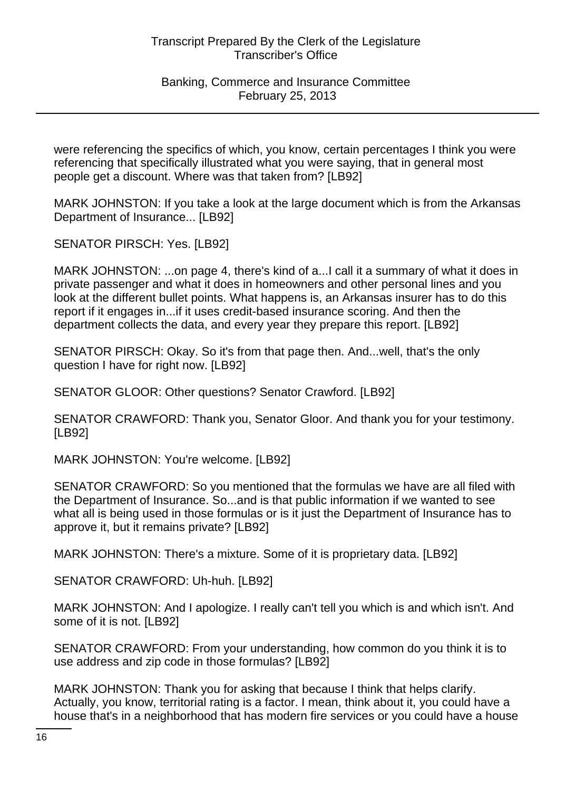Banking, Commerce and Insurance Committee February 25, 2013

were referencing the specifics of which, you know, certain percentages I think you were referencing that specifically illustrated what you were saying, that in general most people get a discount. Where was that taken from? [LB92]

MARK JOHNSTON: If you take a look at the large document which is from the Arkansas Department of Insurance... [LB92]

SENATOR PIRSCH: Yes. [LB92]

MARK JOHNSTON: ...on page 4, there's kind of a...I call it a summary of what it does in private passenger and what it does in homeowners and other personal lines and you look at the different bullet points. What happens is, an Arkansas insurer has to do this report if it engages in...if it uses credit-based insurance scoring. And then the department collects the data, and every year they prepare this report. [LB92]

SENATOR PIRSCH: Okay. So it's from that page then. And...well, that's the only question I have for right now. [LB92]

SENATOR GLOOR: Other questions? Senator Crawford. [LB92]

SENATOR CRAWFORD: Thank you, Senator Gloor. And thank you for your testimony. [LB92]

MARK JOHNSTON: You're welcome. [LB92]

SENATOR CRAWFORD: So you mentioned that the formulas we have are all filed with the Department of Insurance. So...and is that public information if we wanted to see what all is being used in those formulas or is it just the Department of Insurance has to approve it, but it remains private? [LB92]

MARK JOHNSTON: There's a mixture. Some of it is proprietary data. [LB92]

SENATOR CRAWFORD: Uh-huh. [LB92]

MARK JOHNSTON: And I apologize. I really can't tell you which is and which isn't. And some of it is not. [LB92]

SENATOR CRAWFORD: From your understanding, how common do you think it is to use address and zip code in those formulas? [LB92]

MARK JOHNSTON: Thank you for asking that because I think that helps clarify. Actually, you know, territorial rating is a factor. I mean, think about it, you could have a house that's in a neighborhood that has modern fire services or you could have a house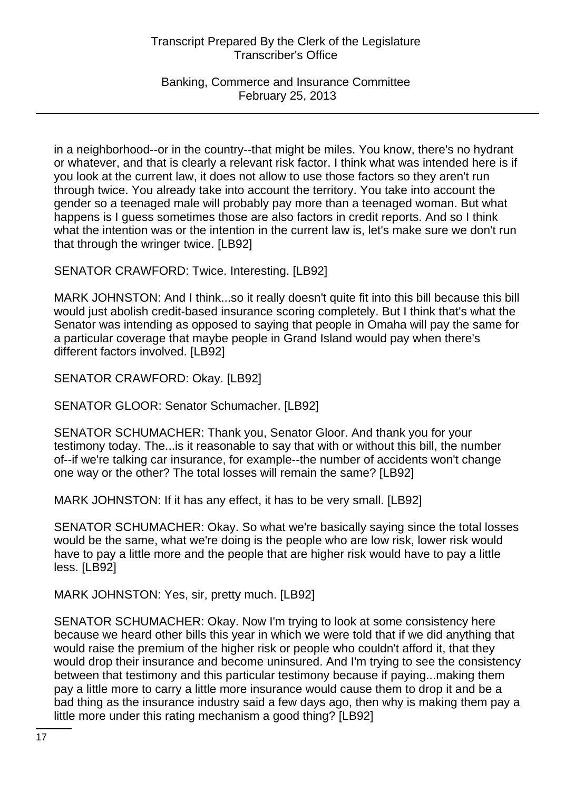Banking, Commerce and Insurance Committee February 25, 2013

in a neighborhood--or in the country--that might be miles. You know, there's no hydrant or whatever, and that is clearly a relevant risk factor. I think what was intended here is if you look at the current law, it does not allow to use those factors so they aren't run through twice. You already take into account the territory. You take into account the gender so a teenaged male will probably pay more than a teenaged woman. But what happens is I guess sometimes those are also factors in credit reports. And so I think what the intention was or the intention in the current law is, let's make sure we don't run that through the wringer twice. [LB92]

SENATOR CRAWFORD: Twice. Interesting. [LB92]

MARK JOHNSTON: And I think...so it really doesn't quite fit into this bill because this bill would just abolish credit-based insurance scoring completely. But I think that's what the Senator was intending as opposed to saying that people in Omaha will pay the same for a particular coverage that maybe people in Grand Island would pay when there's different factors involved. [LB92]

SENATOR CRAWFORD: Okay. [LB92]

SENATOR GLOOR: Senator Schumacher. [LB92]

SENATOR SCHUMACHER: Thank you, Senator Gloor. And thank you for your testimony today. The...is it reasonable to say that with or without this bill, the number of--if we're talking car insurance, for example--the number of accidents won't change one way or the other? The total losses will remain the same? [LB92]

MARK JOHNSTON: If it has any effect, it has to be very small. [LB92]

SENATOR SCHUMACHER: Okay. So what we're basically saying since the total losses would be the same, what we're doing is the people who are low risk, lower risk would have to pay a little more and the people that are higher risk would have to pay a little less. [LB92]

MARK JOHNSTON: Yes, sir, pretty much. [LB92]

SENATOR SCHUMACHER: Okay. Now I'm trying to look at some consistency here because we heard other bills this year in which we were told that if we did anything that would raise the premium of the higher risk or people who couldn't afford it, that they would drop their insurance and become uninsured. And I'm trying to see the consistency between that testimony and this particular testimony because if paying...making them pay a little more to carry a little more insurance would cause them to drop it and be a bad thing as the insurance industry said a few days ago, then why is making them pay a little more under this rating mechanism a good thing? [LB92]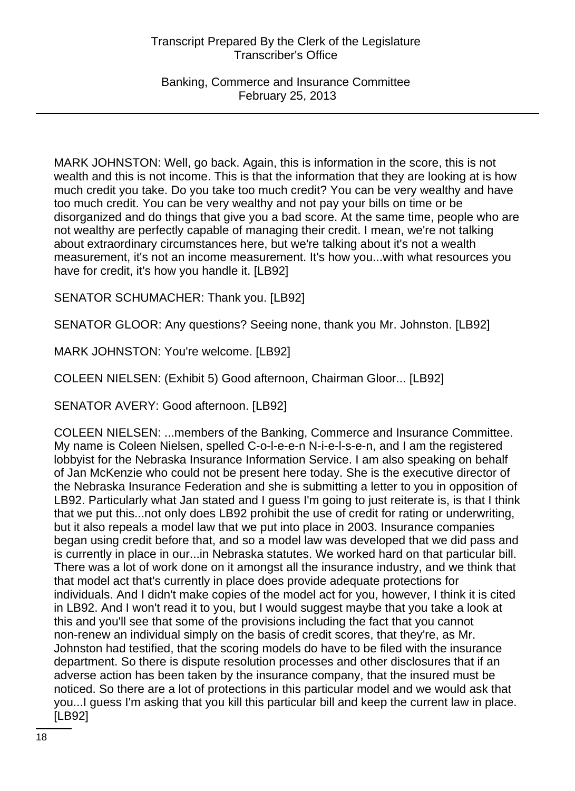Banking, Commerce and Insurance Committee February 25, 2013

MARK JOHNSTON: Well, go back. Again, this is information in the score, this is not wealth and this is not income. This is that the information that they are looking at is how much credit you take. Do you take too much credit? You can be very wealthy and have too much credit. You can be very wealthy and not pay your bills on time or be disorganized and do things that give you a bad score. At the same time, people who are not wealthy are perfectly capable of managing their credit. I mean, we're not talking about extraordinary circumstances here, but we're talking about it's not a wealth measurement, it's not an income measurement. It's how you...with what resources you have for credit, it's how you handle it. [LB92]

SENATOR SCHUMACHER: Thank you. [LB92]

SENATOR GLOOR: Any questions? Seeing none, thank you Mr. Johnston. [LB92]

MARK JOHNSTON: You're welcome. [LB92]

COLEEN NIELSEN: (Exhibit 5) Good afternoon, Chairman Gloor... [LB92]

SENATOR AVERY: Good afternoon. [LB92]

COLEEN NIELSEN: ...members of the Banking, Commerce and Insurance Committee. My name is Coleen Nielsen, spelled C-o-l-e-e-n N-i-e-l-s-e-n, and I am the registered lobbyist for the Nebraska Insurance Information Service. I am also speaking on behalf of Jan McKenzie who could not be present here today. She is the executive director of the Nebraska Insurance Federation and she is submitting a letter to you in opposition of LB92. Particularly what Jan stated and I guess I'm going to just reiterate is, is that I think that we put this...not only does LB92 prohibit the use of credit for rating or underwriting, but it also repeals a model law that we put into place in 2003. Insurance companies began using credit before that, and so a model law was developed that we did pass and is currently in place in our...in Nebraska statutes. We worked hard on that particular bill. There was a lot of work done on it amongst all the insurance industry, and we think that that model act that's currently in place does provide adequate protections for individuals. And I didn't make copies of the model act for you, however, I think it is cited in LB92. And I won't read it to you, but I would suggest maybe that you take a look at this and you'll see that some of the provisions including the fact that you cannot non-renew an individual simply on the basis of credit scores, that they're, as Mr. Johnston had testified, that the scoring models do have to be filed with the insurance department. So there is dispute resolution processes and other disclosures that if an adverse action has been taken by the insurance company, that the insured must be noticed. So there are a lot of protections in this particular model and we would ask that you...I guess I'm asking that you kill this particular bill and keep the current law in place. [LB92]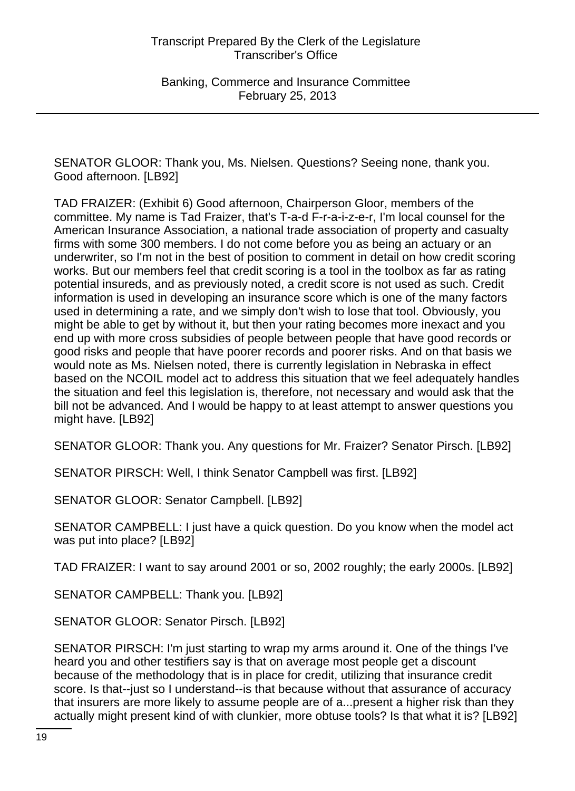SENATOR GLOOR: Thank you, Ms. Nielsen. Questions? Seeing none, thank you. Good afternoon. [LB92]

TAD FRAIZER: (Exhibit 6) Good afternoon, Chairperson Gloor, members of the committee. My name is Tad Fraizer, that's T-a-d F-r-a-i-z-e-r, I'm local counsel for the American Insurance Association, a national trade association of property and casualty firms with some 300 members. I do not come before you as being an actuary or an underwriter, so I'm not in the best of position to comment in detail on how credit scoring works. But our members feel that credit scoring is a tool in the toolbox as far as rating potential insureds, and as previously noted, a credit score is not used as such. Credit information is used in developing an insurance score which is one of the many factors used in determining a rate, and we simply don't wish to lose that tool. Obviously, you might be able to get by without it, but then your rating becomes more inexact and you end up with more cross subsidies of people between people that have good records or good risks and people that have poorer records and poorer risks. And on that basis we would note as Ms. Nielsen noted, there is currently legislation in Nebraska in effect based on the NCOIL model act to address this situation that we feel adequately handles the situation and feel this legislation is, therefore, not necessary and would ask that the bill not be advanced. And I would be happy to at least attempt to answer questions you might have. [LB92]

SENATOR GLOOR: Thank you. Any questions for Mr. Fraizer? Senator Pirsch. [LB92]

SENATOR PIRSCH: Well, I think Senator Campbell was first. [LB92]

SENATOR GLOOR: Senator Campbell. [LB92]

SENATOR CAMPBELL: I just have a quick question. Do you know when the model act was put into place? [LB92]

TAD FRAIZER: I want to say around 2001 or so, 2002 roughly; the early 2000s. [LB92]

SENATOR CAMPBELL: Thank you. [LB92]

SENATOR GLOOR: Senator Pirsch. [LB92]

SENATOR PIRSCH: I'm just starting to wrap my arms around it. One of the things I've heard you and other testifiers say is that on average most people get a discount because of the methodology that is in place for credit, utilizing that insurance credit score. Is that--just so I understand--is that because without that assurance of accuracy that insurers are more likely to assume people are of a...present a higher risk than they actually might present kind of with clunkier, more obtuse tools? Is that what it is? [LB92]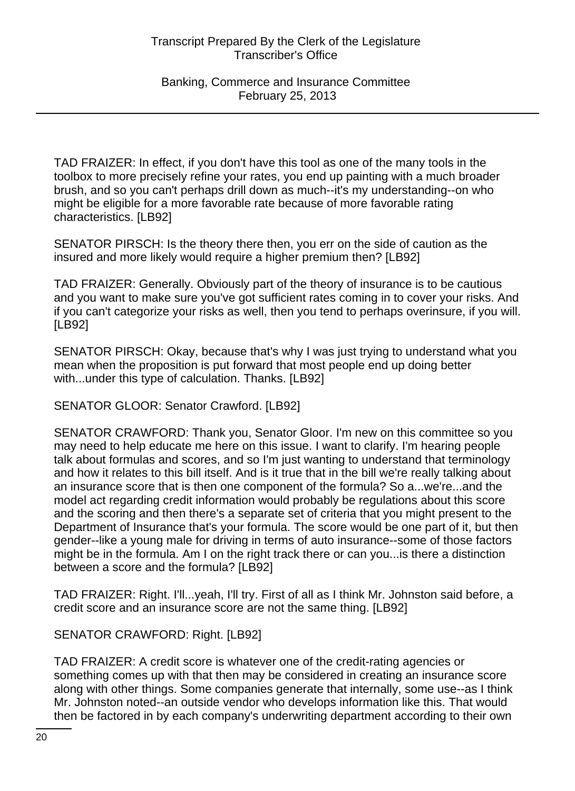TAD FRAIZER: In effect, if you don't have this tool as one of the many tools in the toolbox to more precisely refine your rates, you end up painting with a much broader brush, and so you can't perhaps drill down as much--it's my understanding--on who might be eligible for a more favorable rate because of more favorable rating characteristics. [LB92]

SENATOR PIRSCH: Is the theory there then, you err on the side of caution as the insured and more likely would require a higher premium then? [LB92]

TAD FRAIZER: Generally. Obviously part of the theory of insurance is to be cautious and you want to make sure you've got sufficient rates coming in to cover your risks. And if you can't categorize your risks as well, then you tend to perhaps overinsure, if you will. [LB92]

SENATOR PIRSCH: Okay, because that's why I was just trying to understand what you mean when the proposition is put forward that most people end up doing better with...under this type of calculation. Thanks. [LB92]

SENATOR GLOOR: Senator Crawford. [LB92]

SENATOR CRAWFORD: Thank you, Senator Gloor. I'm new on this committee so you may need to help educate me here on this issue. I want to clarify. I'm hearing people talk about formulas and scores, and so I'm just wanting to understand that terminology and how it relates to this bill itself. And is it true that in the bill we're really talking about an insurance score that is then one component of the formula? So a...we're...and the model act regarding credit information would probably be regulations about this score and the scoring and then there's a separate set of criteria that you might present to the Department of Insurance that's your formula. The score would be one part of it, but then gender--like a young male for driving in terms of auto insurance--some of those factors might be in the formula. Am I on the right track there or can you...is there a distinction between a score and the formula? [LB92]

TAD FRAIZER: Right. I'll...yeah, I'll try. First of all as I think Mr. Johnston said before, a credit score and an insurance score are not the same thing. [LB92]

SENATOR CRAWFORD: Right. [LB92]

TAD FRAIZER: A credit score is whatever one of the credit-rating agencies or something comes up with that then may be considered in creating an insurance score along with other things. Some companies generate that internally, some use--as I think Mr. Johnston noted--an outside vendor who develops information like this. That would then be factored in by each company's underwriting department according to their own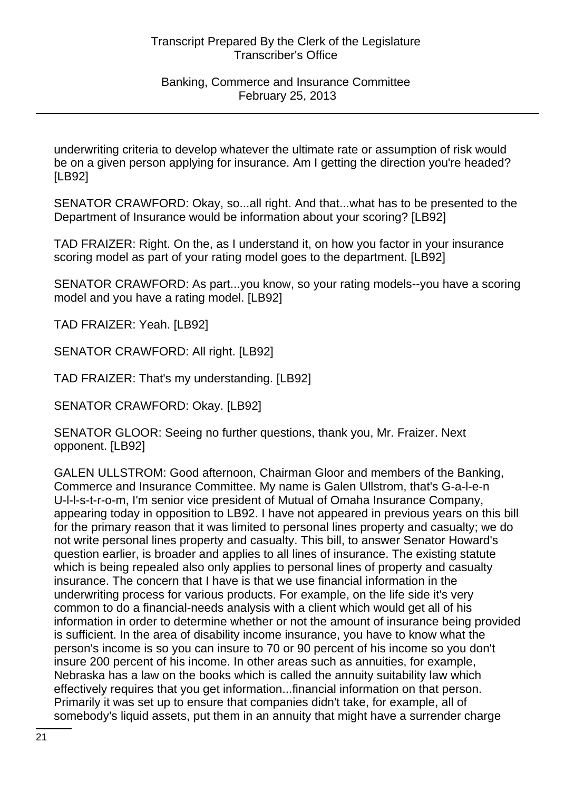underwriting criteria to develop whatever the ultimate rate or assumption of risk would be on a given person applying for insurance. Am I getting the direction you're headed? [LB92]

SENATOR CRAWFORD: Okay, so...all right. And that...what has to be presented to the Department of Insurance would be information about your scoring? [LB92]

TAD FRAIZER: Right. On the, as I understand it, on how you factor in your insurance scoring model as part of your rating model goes to the department. [LB92]

SENATOR CRAWFORD: As part...you know, so your rating models--you have a scoring model and you have a rating model. [LB92]

TAD FRAIZER: Yeah. [LB92]

SENATOR CRAWFORD: All right. [LB92]

TAD FRAIZER: That's my understanding. [LB92]

SENATOR CRAWFORD: Okay. [LB92]

SENATOR GLOOR: Seeing no further questions, thank you, Mr. Fraizer. Next opponent. [LB92]

GALEN ULLSTROM: Good afternoon, Chairman Gloor and members of the Banking, Commerce and Insurance Committee. My name is Galen Ullstrom, that's G-a-l-e-n U-l-l-s-t-r-o-m, I'm senior vice president of Mutual of Omaha Insurance Company, appearing today in opposition to LB92. I have not appeared in previous years on this bill for the primary reason that it was limited to personal lines property and casualty; we do not write personal lines property and casualty. This bill, to answer Senator Howard's question earlier, is broader and applies to all lines of insurance. The existing statute which is being repealed also only applies to personal lines of property and casualty insurance. The concern that I have is that we use financial information in the underwriting process for various products. For example, on the life side it's very common to do a financial-needs analysis with a client which would get all of his information in order to determine whether or not the amount of insurance being provided is sufficient. In the area of disability income insurance, you have to know what the person's income is so you can insure to 70 or 90 percent of his income so you don't insure 200 percent of his income. In other areas such as annuities, for example, Nebraska has a law on the books which is called the annuity suitability law which effectively requires that you get information...financial information on that person. Primarily it was set up to ensure that companies didn't take, for example, all of somebody's liquid assets, put them in an annuity that might have a surrender charge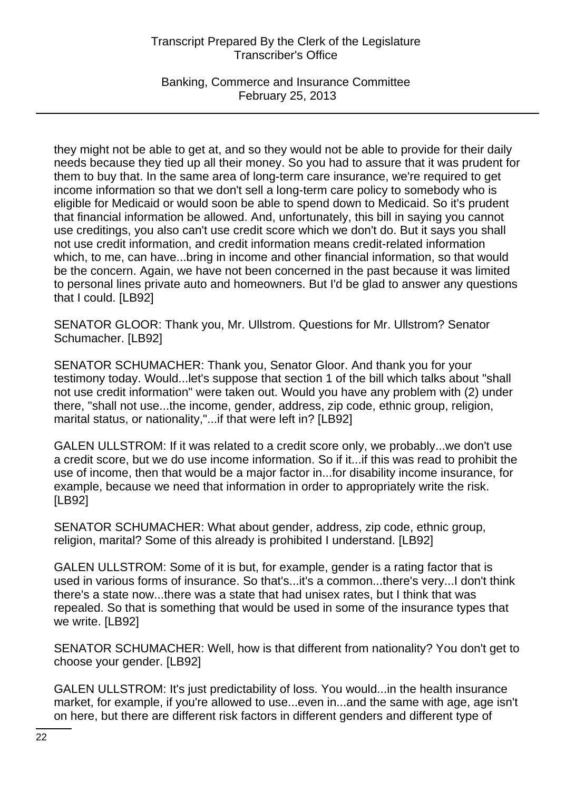Banking, Commerce and Insurance Committee February 25, 2013

they might not be able to get at, and so they would not be able to provide for their daily needs because they tied up all their money. So you had to assure that it was prudent for them to buy that. In the same area of long-term care insurance, we're required to get income information so that we don't sell a long-term care policy to somebody who is eligible for Medicaid or would soon be able to spend down to Medicaid. So it's prudent that financial information be allowed. And, unfortunately, this bill in saying you cannot use creditings, you also can't use credit score which we don't do. But it says you shall not use credit information, and credit information means credit-related information which, to me, can have...bring in income and other financial information, so that would be the concern. Again, we have not been concerned in the past because it was limited to personal lines private auto and homeowners. But I'd be glad to answer any questions that I could. [LB92]

SENATOR GLOOR: Thank you, Mr. Ullstrom. Questions for Mr. Ullstrom? Senator Schumacher. [LB92]

SENATOR SCHUMACHER: Thank you, Senator Gloor. And thank you for your testimony today. Would...let's suppose that section 1 of the bill which talks about "shall not use credit information" were taken out. Would you have any problem with (2) under there, "shall not use...the income, gender, address, zip code, ethnic group, religion, marital status, or nationality,"...if that were left in? [LB92]

GALEN ULLSTROM: If it was related to a credit score only, we probably...we don't use a credit score, but we do use income information. So if it...if this was read to prohibit the use of income, then that would be a major factor in...for disability income insurance, for example, because we need that information in order to appropriately write the risk. [LB92]

SENATOR SCHUMACHER: What about gender, address, zip code, ethnic group, religion, marital? Some of this already is prohibited I understand. [LB92]

GALEN ULLSTROM: Some of it is but, for example, gender is a rating factor that is used in various forms of insurance. So that's...it's a common...there's very...I don't think there's a state now...there was a state that had unisex rates, but I think that was repealed. So that is something that would be used in some of the insurance types that we write. [LB92]

SENATOR SCHUMACHER: Well, how is that different from nationality? You don't get to choose your gender. [LB92]

GALEN ULLSTROM: It's just predictability of loss. You would...in the health insurance market, for example, if you're allowed to use...even in...and the same with age, age isn't on here, but there are different risk factors in different genders and different type of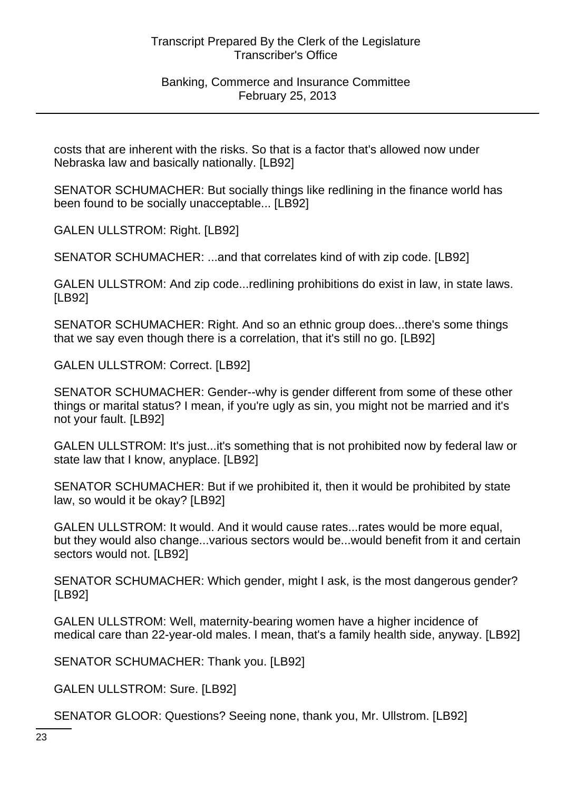costs that are inherent with the risks. So that is a factor that's allowed now under Nebraska law and basically nationally. [LB92]

SENATOR SCHUMACHER: But socially things like redlining in the finance world has been found to be socially unacceptable... [LB92]

GALEN ULLSTROM: Right. [LB92]

SENATOR SCHUMACHER: ...and that correlates kind of with zip code. [LB92]

GALEN ULLSTROM: And zip code...redlining prohibitions do exist in law, in state laws. [LB92]

SENATOR SCHUMACHER: Right. And so an ethnic group does...there's some things that we say even though there is a correlation, that it's still no go. [LB92]

GALEN ULLSTROM: Correct. [LB92]

SENATOR SCHUMACHER: Gender--why is gender different from some of these other things or marital status? I mean, if you're ugly as sin, you might not be married and it's not your fault. [LB92]

GALEN ULLSTROM: It's just...it's something that is not prohibited now by federal law or state law that I know, anyplace. [LB92]

SENATOR SCHUMACHER: But if we prohibited it, then it would be prohibited by state law, so would it be okay? [LB92]

GALEN ULLSTROM: It would. And it would cause rates...rates would be more equal, but they would also change...various sectors would be...would benefit from it and certain sectors would not. [LB92]

SENATOR SCHUMACHER: Which gender, might I ask, is the most dangerous gender? [LB92]

GALEN ULLSTROM: Well, maternity-bearing women have a higher incidence of medical care than 22-year-old males. I mean, that's a family health side, anyway. [LB92]

SENATOR SCHUMACHER: Thank you. [LB92]

GALEN ULLSTROM: Sure. [LB92]

SENATOR GLOOR: Questions? Seeing none, thank you, Mr. Ullstrom. [LB92]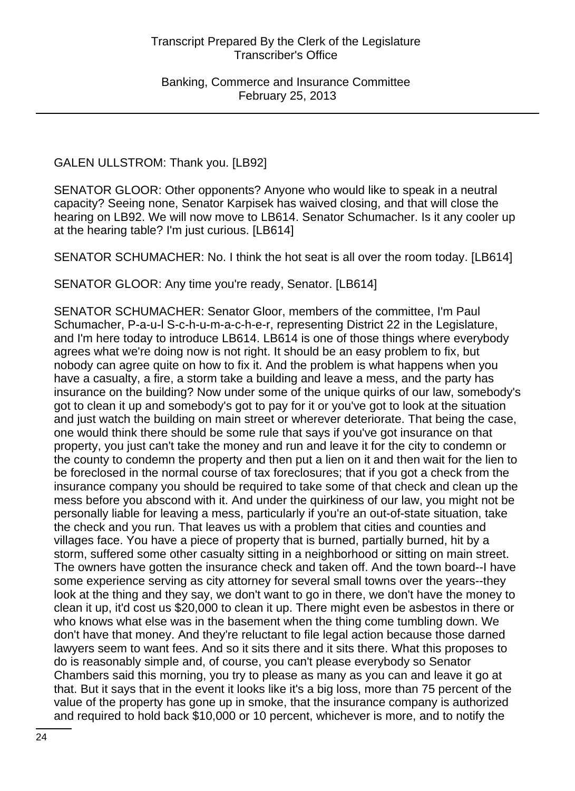GALEN ULLSTROM: Thank you. [LB92]

SENATOR GLOOR: Other opponents? Anyone who would like to speak in a neutral capacity? Seeing none, Senator Karpisek has waived closing, and that will close the hearing on LB92. We will now move to LB614. Senator Schumacher. Is it any cooler up at the hearing table? I'm just curious. [LB614]

SENATOR SCHUMACHER: No. I think the hot seat is all over the room today. [LB614]

SENATOR GLOOR: Any time you're ready, Senator. [LB614]

SENATOR SCHUMACHER: Senator Gloor, members of the committee, I'm Paul Schumacher, P-a-u-l S-c-h-u-m-a-c-h-e-r, representing District 22 in the Legislature, and I'm here today to introduce LB614. LB614 is one of those things where everybody agrees what we're doing now is not right. It should be an easy problem to fix, but nobody can agree quite on how to fix it. And the problem is what happens when you have a casualty, a fire, a storm take a building and leave a mess, and the party has insurance on the building? Now under some of the unique quirks of our law, somebody's got to clean it up and somebody's got to pay for it or you've got to look at the situation and just watch the building on main street or wherever deteriorate. That being the case, one would think there should be some rule that says if you've got insurance on that property, you just can't take the money and run and leave it for the city to condemn or the county to condemn the property and then put a lien on it and then wait for the lien to be foreclosed in the normal course of tax foreclosures; that if you got a check from the insurance company you should be required to take some of that check and clean up the mess before you abscond with it. And under the quirkiness of our law, you might not be personally liable for leaving a mess, particularly if you're an out-of-state situation, take the check and you run. That leaves us with a problem that cities and counties and villages face. You have a piece of property that is burned, partially burned, hit by a storm, suffered some other casualty sitting in a neighborhood or sitting on main street. The owners have gotten the insurance check and taken off. And the town board--I have some experience serving as city attorney for several small towns over the years--they look at the thing and they say, we don't want to go in there, we don't have the money to clean it up, it'd cost us \$20,000 to clean it up. There might even be asbestos in there or who knows what else was in the basement when the thing come tumbling down. We don't have that money. And they're reluctant to file legal action because those darned lawyers seem to want fees. And so it sits there and it sits there. What this proposes to do is reasonably simple and, of course, you can't please everybody so Senator Chambers said this morning, you try to please as many as you can and leave it go at that. But it says that in the event it looks like it's a big loss, more than 75 percent of the value of the property has gone up in smoke, that the insurance company is authorized and required to hold back \$10,000 or 10 percent, whichever is more, and to notify the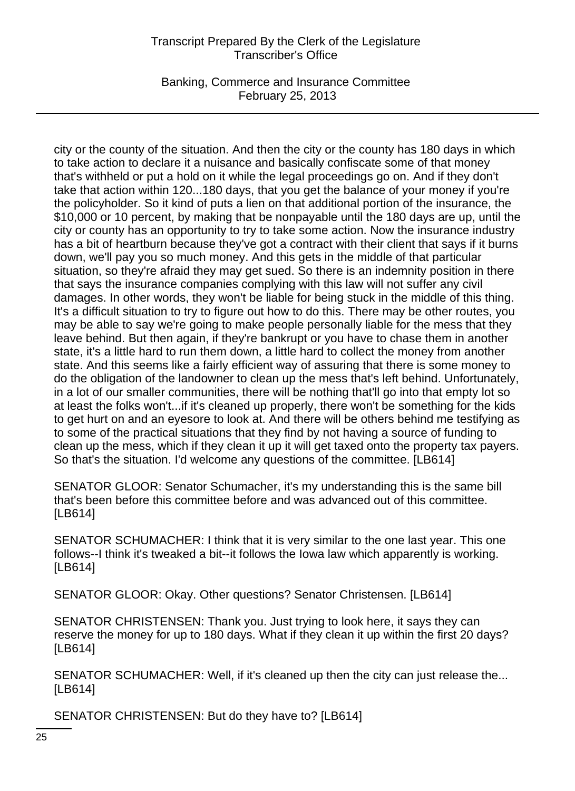Banking, Commerce and Insurance Committee February 25, 2013

city or the county of the situation. And then the city or the county has 180 days in which to take action to declare it a nuisance and basically confiscate some of that money that's withheld or put a hold on it while the legal proceedings go on. And if they don't take that action within 120...180 days, that you get the balance of your money if you're the policyholder. So it kind of puts a lien on that additional portion of the insurance, the \$10,000 or 10 percent, by making that be nonpayable until the 180 days are up, until the city or county has an opportunity to try to take some action. Now the insurance industry has a bit of heartburn because they've got a contract with their client that says if it burns down, we'll pay you so much money. And this gets in the middle of that particular situation, so they're afraid they may get sued. So there is an indemnity position in there that says the insurance companies complying with this law will not suffer any civil damages. In other words, they won't be liable for being stuck in the middle of this thing. It's a difficult situation to try to figure out how to do this. There may be other routes, you may be able to say we're going to make people personally liable for the mess that they leave behind. But then again, if they're bankrupt or you have to chase them in another state, it's a little hard to run them down, a little hard to collect the money from another state. And this seems like a fairly efficient way of assuring that there is some money to do the obligation of the landowner to clean up the mess that's left behind. Unfortunately, in a lot of our smaller communities, there will be nothing that'll go into that empty lot so at least the folks won't...if it's cleaned up properly, there won't be something for the kids to get hurt on and an eyesore to look at. And there will be others behind me testifying as to some of the practical situations that they find by not having a source of funding to clean up the mess, which if they clean it up it will get taxed onto the property tax payers. So that's the situation. I'd welcome any questions of the committee. [LB614]

SENATOR GLOOR: Senator Schumacher, it's my understanding this is the same bill that's been before this committee before and was advanced out of this committee. [LB614]

SENATOR SCHUMACHER: I think that it is very similar to the one last year. This one follows--I think it's tweaked a bit--it follows the Iowa law which apparently is working. [LB614]

SENATOR GLOOR: Okay. Other questions? Senator Christensen. [LB614]

SENATOR CHRISTENSEN: Thank you. Just trying to look here, it says they can reserve the money for up to 180 days. What if they clean it up within the first 20 days? [LB614]

SENATOR SCHUMACHER: Well, if it's cleaned up then the city can just release the... [LB614]

SENATOR CHRISTENSEN: But do they have to? [LB614]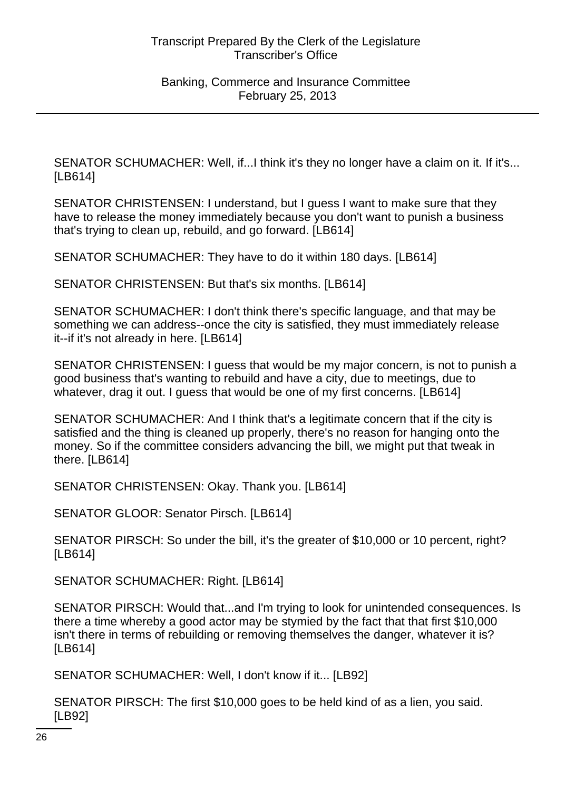SENATOR SCHUMACHER: Well, if...I think it's they no longer have a claim on it. If it's... [LB614]

SENATOR CHRISTENSEN: I understand, but I guess I want to make sure that they have to release the money immediately because you don't want to punish a business that's trying to clean up, rebuild, and go forward. [LB614]

SENATOR SCHUMACHER: They have to do it within 180 days. [LB614]

SENATOR CHRISTENSEN: But that's six months. [LB614]

SENATOR SCHUMACHER: I don't think there's specific language, and that may be something we can address--once the city is satisfied, they must immediately release it--if it's not already in here. [LB614]

SENATOR CHRISTENSEN: I guess that would be my major concern, is not to punish a good business that's wanting to rebuild and have a city, due to meetings, due to whatever, drag it out. I guess that would be one of my first concerns. [LB614]

SENATOR SCHUMACHER: And I think that's a legitimate concern that if the city is satisfied and the thing is cleaned up properly, there's no reason for hanging onto the money. So if the committee considers advancing the bill, we might put that tweak in there. [LB614]

SENATOR CHRISTENSEN: Okay. Thank you. [LB614]

SENATOR GLOOR: Senator Pirsch. [LB614]

SENATOR PIRSCH: So under the bill, it's the greater of \$10,000 or 10 percent, right? [LB614]

SENATOR SCHUMACHER: Right. [LB614]

SENATOR PIRSCH: Would that...and I'm trying to look for unintended consequences. Is there a time whereby a good actor may be stymied by the fact that that first \$10,000 isn't there in terms of rebuilding or removing themselves the danger, whatever it is? [LB614]

SENATOR SCHUMACHER: Well, I don't know if it... [LB92]

SENATOR PIRSCH: The first \$10,000 goes to be held kind of as a lien, you said. [LB92]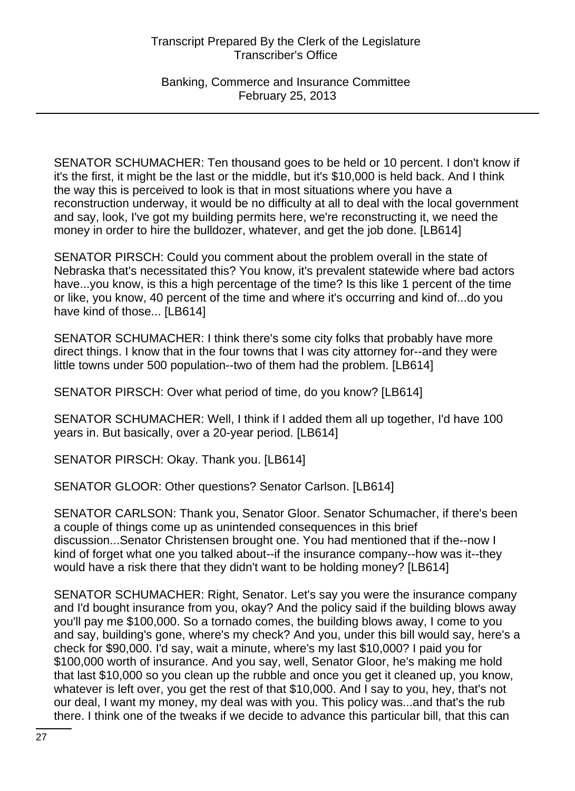Banking, Commerce and Insurance Committee February 25, 2013

SENATOR SCHUMACHER: Ten thousand goes to be held or 10 percent. I don't know if it's the first, it might be the last or the middle, but it's \$10,000 is held back. And I think the way this is perceived to look is that in most situations where you have a reconstruction underway, it would be no difficulty at all to deal with the local government and say, look, I've got my building permits here, we're reconstructing it, we need the money in order to hire the bulldozer, whatever, and get the job done. [LB614]

SENATOR PIRSCH: Could you comment about the problem overall in the state of Nebraska that's necessitated this? You know, it's prevalent statewide where bad actors have...you know, is this a high percentage of the time? Is this like 1 percent of the time or like, you know, 40 percent of the time and where it's occurring and kind of...do you have kind of those... [LB614]

SENATOR SCHUMACHER: I think there's some city folks that probably have more direct things. I know that in the four towns that I was city attorney for--and they were little towns under 500 population--two of them had the problem. [LB614]

SENATOR PIRSCH: Over what period of time, do you know? [LB614]

SENATOR SCHUMACHER: Well, I think if I added them all up together, I'd have 100 years in. But basically, over a 20-year period. [LB614]

SENATOR PIRSCH: Okay. Thank you. [LB614]

SENATOR GLOOR: Other questions? Senator Carlson. [LB614]

SENATOR CARLSON: Thank you, Senator Gloor. Senator Schumacher, if there's been a couple of things come up as unintended consequences in this brief discussion...Senator Christensen brought one. You had mentioned that if the--now I kind of forget what one you talked about--if the insurance company--how was it--they would have a risk there that they didn't want to be holding money? [LB614]

SENATOR SCHUMACHER: Right, Senator. Let's say you were the insurance company and I'd bought insurance from you, okay? And the policy said if the building blows away you'll pay me \$100,000. So a tornado comes, the building blows away, I come to you and say, building's gone, where's my check? And you, under this bill would say, here's a check for \$90,000. I'd say, wait a minute, where's my last \$10,000? I paid you for \$100,000 worth of insurance. And you say, well, Senator Gloor, he's making me hold that last \$10,000 so you clean up the rubble and once you get it cleaned up, you know, whatever is left over, you get the rest of that \$10,000. And I say to you, hey, that's not our deal, I want my money, my deal was with you. This policy was...and that's the rub there. I think one of the tweaks if we decide to advance this particular bill, that this can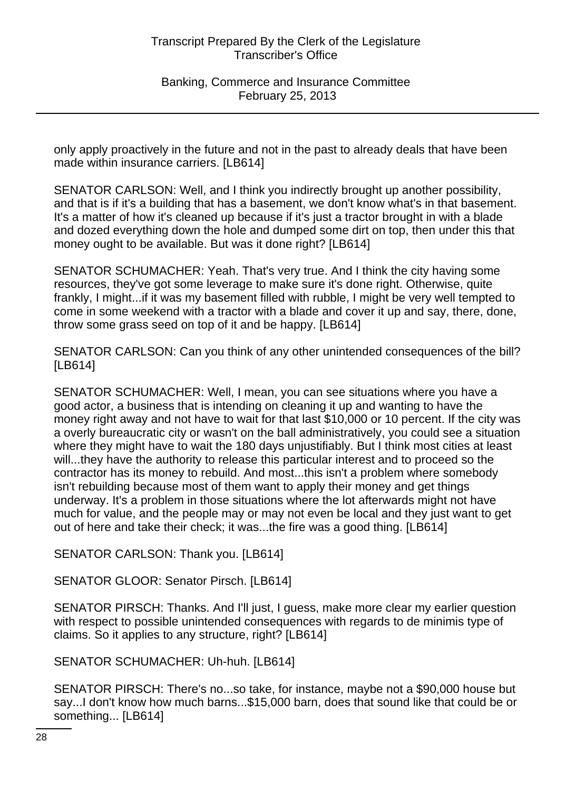only apply proactively in the future and not in the past to already deals that have been made within insurance carriers. [LB614]

SENATOR CARLSON: Well, and I think you indirectly brought up another possibility, and that is if it's a building that has a basement, we don't know what's in that basement. It's a matter of how it's cleaned up because if it's just a tractor brought in with a blade and dozed everything down the hole and dumped some dirt on top, then under this that money ought to be available. But was it done right? [LB614]

SENATOR SCHUMACHER: Yeah. That's very true. And I think the city having some resources, they've got some leverage to make sure it's done right. Otherwise, quite frankly, I might...if it was my basement filled with rubble, I might be very well tempted to come in some weekend with a tractor with a blade and cover it up and say, there, done, throw some grass seed on top of it and be happy. [LB614]

SENATOR CARLSON: Can you think of any other unintended consequences of the bill? [LB614]

SENATOR SCHUMACHER: Well, I mean, you can see situations where you have a good actor, a business that is intending on cleaning it up and wanting to have the money right away and not have to wait for that last \$10,000 or 10 percent. If the city was a overly bureaucratic city or wasn't on the ball administratively, you could see a situation where they might have to wait the 180 days unjustifiably. But I think most cities at least will...they have the authority to release this particular interest and to proceed so the contractor has its money to rebuild. And most...this isn't a problem where somebody isn't rebuilding because most of them want to apply their money and get things underway. It's a problem in those situations where the lot afterwards might not have much for value, and the people may or may not even be local and they just want to get out of here and take their check; it was...the fire was a good thing. [LB614]

SENATOR CARLSON: Thank you. [LB614]

SENATOR GLOOR: Senator Pirsch. [LB614]

SENATOR PIRSCH: Thanks. And I'll just, I guess, make more clear my earlier question with respect to possible unintended consequences with regards to de minimis type of claims. So it applies to any structure, right? [LB614]

SENATOR SCHUMACHER: Uh-huh. [LB614]

SENATOR PIRSCH: There's no...so take, for instance, maybe not a \$90,000 house but say...I don't know how much barns...\$15,000 barn, does that sound like that could be or something... [LB614]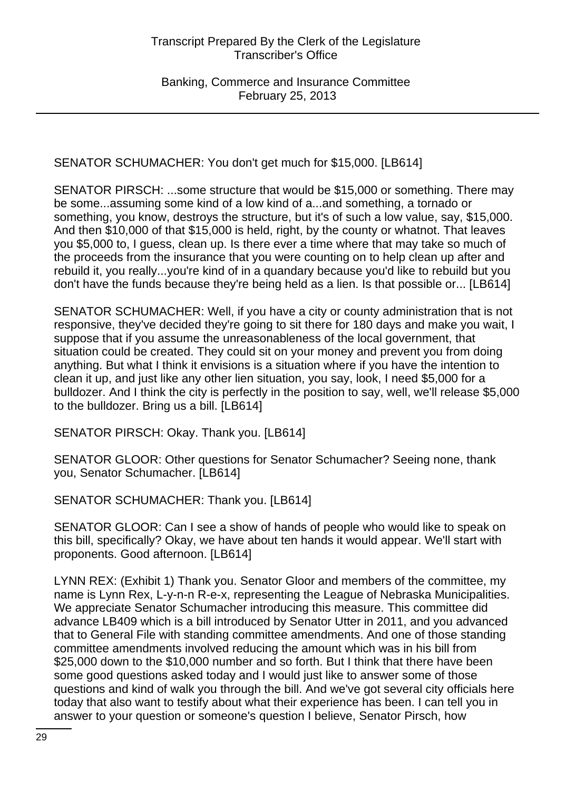SENATOR SCHUMACHER: You don't get much for \$15,000. [LB614]

SENATOR PIRSCH: ...some structure that would be \$15,000 or something. There may be some...assuming some kind of a low kind of a...and something, a tornado or something, you know, destroys the structure, but it's of such a low value, say, \$15,000. And then \$10,000 of that \$15,000 is held, right, by the county or whatnot. That leaves you \$5,000 to, I guess, clean up. Is there ever a time where that may take so much of the proceeds from the insurance that you were counting on to help clean up after and rebuild it, you really...you're kind of in a quandary because you'd like to rebuild but you don't have the funds because they're being held as a lien. Is that possible or... [LB614]

SENATOR SCHUMACHER: Well, if you have a city or county administration that is not responsive, they've decided they're going to sit there for 180 days and make you wait, I suppose that if you assume the unreasonableness of the local government, that situation could be created. They could sit on your money and prevent you from doing anything. But what I think it envisions is a situation where if you have the intention to clean it up, and just like any other lien situation, you say, look, I need \$5,000 for a bulldozer. And I think the city is perfectly in the position to say, well, we'll release \$5,000 to the bulldozer. Bring us a bill. [LB614]

SENATOR PIRSCH: Okay. Thank you. [LB614]

SENATOR GLOOR: Other questions for Senator Schumacher? Seeing none, thank you, Senator Schumacher. [LB614]

SENATOR SCHUMACHER: Thank you. [LB614]

SENATOR GLOOR: Can I see a show of hands of people who would like to speak on this bill, specifically? Okay, we have about ten hands it would appear. We'll start with proponents. Good afternoon. [LB614]

LYNN REX: (Exhibit 1) Thank you. Senator Gloor and members of the committee, my name is Lynn Rex, L-y-n-n R-e-x, representing the League of Nebraska Municipalities. We appreciate Senator Schumacher introducing this measure. This committee did advance LB409 which is a bill introduced by Senator Utter in 2011, and you advanced that to General File with standing committee amendments. And one of those standing committee amendments involved reducing the amount which was in his bill from \$25,000 down to the \$10,000 number and so forth. But I think that there have been some good questions asked today and I would just like to answer some of those questions and kind of walk you through the bill. And we've got several city officials here today that also want to testify about what their experience has been. I can tell you in answer to your question or someone's question I believe, Senator Pirsch, how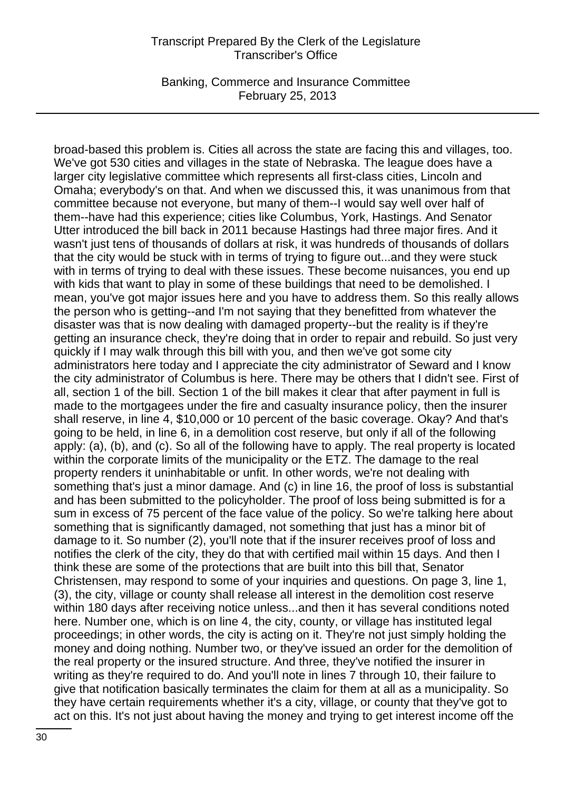Banking, Commerce and Insurance Committee February 25, 2013

broad-based this problem is. Cities all across the state are facing this and villages, too. We've got 530 cities and villages in the state of Nebraska. The league does have a larger city legislative committee which represents all first-class cities, Lincoln and Omaha; everybody's on that. And when we discussed this, it was unanimous from that committee because not everyone, but many of them--I would say well over half of them--have had this experience; cities like Columbus, York, Hastings. And Senator Utter introduced the bill back in 2011 because Hastings had three major fires. And it wasn't just tens of thousands of dollars at risk, it was hundreds of thousands of dollars that the city would be stuck with in terms of trying to figure out...and they were stuck with in terms of trying to deal with these issues. These become nuisances, you end up with kids that want to play in some of these buildings that need to be demolished. I mean, you've got major issues here and you have to address them. So this really allows the person who is getting--and I'm not saying that they benefitted from whatever the disaster was that is now dealing with damaged property--but the reality is if they're getting an insurance check, they're doing that in order to repair and rebuild. So just very quickly if I may walk through this bill with you, and then we've got some city administrators here today and I appreciate the city administrator of Seward and I know the city administrator of Columbus is here. There may be others that I didn't see. First of all, section 1 of the bill. Section 1 of the bill makes it clear that after payment in full is made to the mortgagees under the fire and casualty insurance policy, then the insurer shall reserve, in line 4, \$10,000 or 10 percent of the basic coverage. Okay? And that's going to be held, in line 6, in a demolition cost reserve, but only if all of the following apply: (a), (b), and (c). So all of the following have to apply. The real property is located within the corporate limits of the municipality or the ETZ. The damage to the real property renders it uninhabitable or unfit. In other words, we're not dealing with something that's just a minor damage. And (c) in line 16, the proof of loss is substantial and has been submitted to the policyholder. The proof of loss being submitted is for a sum in excess of 75 percent of the face value of the policy. So we're talking here about something that is significantly damaged, not something that just has a minor bit of damage to it. So number (2), you'll note that if the insurer receives proof of loss and notifies the clerk of the city, they do that with certified mail within 15 days. And then I think these are some of the protections that are built into this bill that, Senator Christensen, may respond to some of your inquiries and questions. On page 3, line 1, (3), the city, village or county shall release all interest in the demolition cost reserve within 180 days after receiving notice unless...and then it has several conditions noted here. Number one, which is on line 4, the city, county, or village has instituted legal proceedings; in other words, the city is acting on it. They're not just simply holding the money and doing nothing. Number two, or they've issued an order for the demolition of the real property or the insured structure. And three, they've notified the insurer in writing as they're required to do. And you'll note in lines 7 through 10, their failure to give that notification basically terminates the claim for them at all as a municipality. So they have certain requirements whether it's a city, village, or county that they've got to act on this. It's not just about having the money and trying to get interest income off the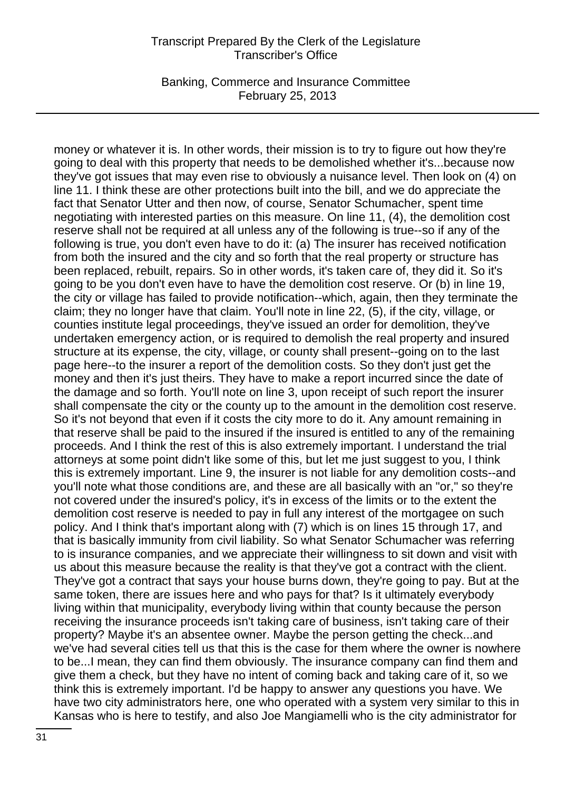Banking, Commerce and Insurance Committee February 25, 2013

money or whatever it is. In other words, their mission is to try to figure out how they're going to deal with this property that needs to be demolished whether it's...because now they've got issues that may even rise to obviously a nuisance level. Then look on (4) on line 11. I think these are other protections built into the bill, and we do appreciate the fact that Senator Utter and then now, of course, Senator Schumacher, spent time negotiating with interested parties on this measure. On line 11, (4), the demolition cost reserve shall not be required at all unless any of the following is true--so if any of the following is true, you don't even have to do it: (a) The insurer has received notification from both the insured and the city and so forth that the real property or structure has been replaced, rebuilt, repairs. So in other words, it's taken care of, they did it. So it's going to be you don't even have to have the demolition cost reserve. Or (b) in line 19, the city or village has failed to provide notification--which, again, then they terminate the claim; they no longer have that claim. You'll note in line 22, (5), if the city, village, or counties institute legal proceedings, they've issued an order for demolition, they've undertaken emergency action, or is required to demolish the real property and insured structure at its expense, the city, village, or county shall present--going on to the last page here--to the insurer a report of the demolition costs. So they don't just get the money and then it's just theirs. They have to make a report incurred since the date of the damage and so forth. You'll note on line 3, upon receipt of such report the insurer shall compensate the city or the county up to the amount in the demolition cost reserve. So it's not beyond that even if it costs the city more to do it. Any amount remaining in that reserve shall be paid to the insured if the insured is entitled to any of the remaining proceeds. And I think the rest of this is also extremely important. I understand the trial attorneys at some point didn't like some of this, but let me just suggest to you, I think this is extremely important. Line 9, the insurer is not liable for any demolition costs--and you'll note what those conditions are, and these are all basically with an "or," so they're not covered under the insured's policy, it's in excess of the limits or to the extent the demolition cost reserve is needed to pay in full any interest of the mortgagee on such policy. And I think that's important along with (7) which is on lines 15 through 17, and that is basically immunity from civil liability. So what Senator Schumacher was referring to is insurance companies, and we appreciate their willingness to sit down and visit with us about this measure because the reality is that they've got a contract with the client. They've got a contract that says your house burns down, they're going to pay. But at the same token, there are issues here and who pays for that? Is it ultimately everybody living within that municipality, everybody living within that county because the person receiving the insurance proceeds isn't taking care of business, isn't taking care of their property? Maybe it's an absentee owner. Maybe the person getting the check...and we've had several cities tell us that this is the case for them where the owner is nowhere to be...I mean, they can find them obviously. The insurance company can find them and give them a check, but they have no intent of coming back and taking care of it, so we think this is extremely important. I'd be happy to answer any questions you have. We have two city administrators here, one who operated with a system very similar to this in Kansas who is here to testify, and also Joe Mangiamelli who is the city administrator for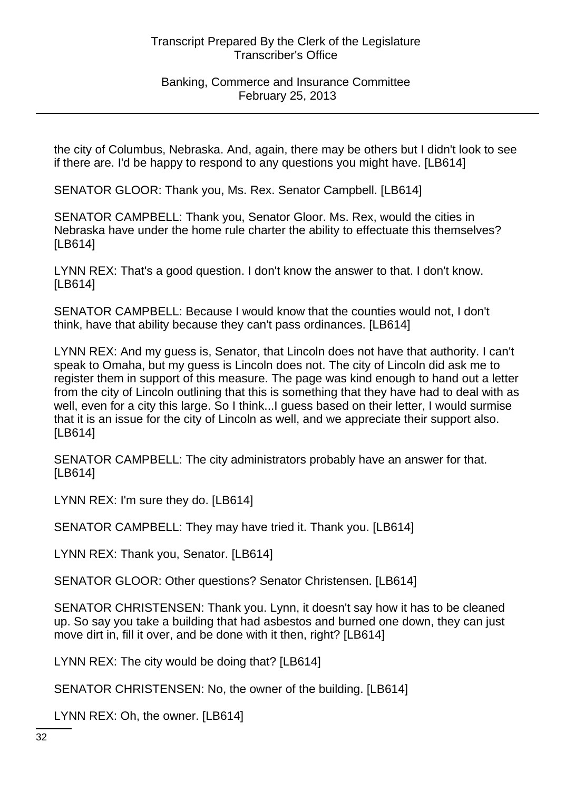Banking, Commerce and Insurance Committee February 25, 2013

the city of Columbus, Nebraska. And, again, there may be others but I didn't look to see if there are. I'd be happy to respond to any questions you might have. [LB614]

SENATOR GLOOR: Thank you, Ms. Rex. Senator Campbell. [LB614]

SENATOR CAMPBELL: Thank you, Senator Gloor. Ms. Rex, would the cities in Nebraska have under the home rule charter the ability to effectuate this themselves? [LB614]

LYNN REX: That's a good question. I don't know the answer to that. I don't know. [LB614]

SENATOR CAMPBELL: Because I would know that the counties would not, I don't think, have that ability because they can't pass ordinances. [LB614]

LYNN REX: And my guess is, Senator, that Lincoln does not have that authority. I can't speak to Omaha, but my guess is Lincoln does not. The city of Lincoln did ask me to register them in support of this measure. The page was kind enough to hand out a letter from the city of Lincoln outlining that this is something that they have had to deal with as well, even for a city this large. So I think...I guess based on their letter, I would surmise that it is an issue for the city of Lincoln as well, and we appreciate their support also. [LB614]

SENATOR CAMPBELL: The city administrators probably have an answer for that. [LB614]

LYNN REX: I'm sure they do. [LB614]

SENATOR CAMPBELL: They may have tried it. Thank you. [LB614]

LYNN REX: Thank you, Senator. [LB614]

SENATOR GLOOR: Other questions? Senator Christensen. [LB614]

SENATOR CHRISTENSEN: Thank you. Lynn, it doesn't say how it has to be cleaned up. So say you take a building that had asbestos and burned one down, they can just move dirt in, fill it over, and be done with it then, right? [LB614]

LYNN REX: The city would be doing that? [LB614]

SENATOR CHRISTENSEN: No, the owner of the building. [LB614]

LYNN REX: Oh, the owner. [LB614]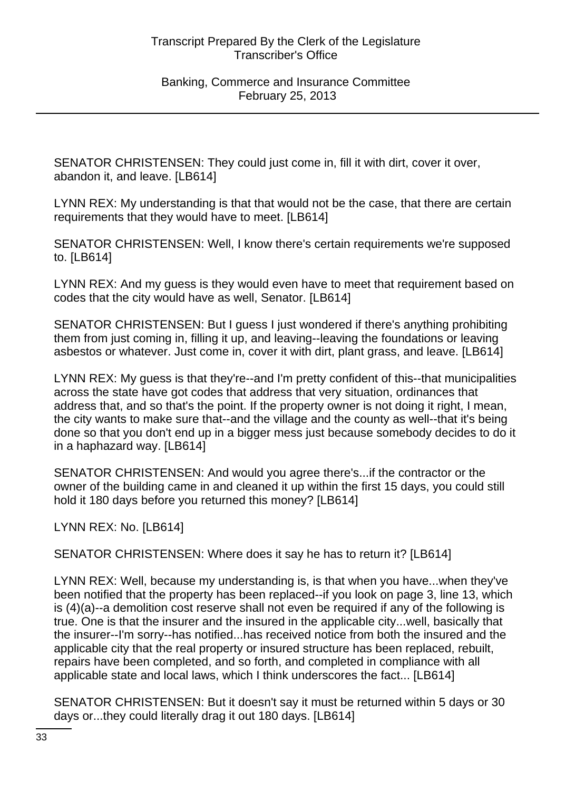SENATOR CHRISTENSEN: They could just come in, fill it with dirt, cover it over, abandon it, and leave. [LB614]

LYNN REX: My understanding is that that would not be the case, that there are certain requirements that they would have to meet. [LB614]

SENATOR CHRISTENSEN: Well, I know there's certain requirements we're supposed to. [LB614]

LYNN REX: And my guess is they would even have to meet that requirement based on codes that the city would have as well, Senator. [LB614]

SENATOR CHRISTENSEN: But I guess I just wondered if there's anything prohibiting them from just coming in, filling it up, and leaving--leaving the foundations or leaving asbestos or whatever. Just come in, cover it with dirt, plant grass, and leave. [LB614]

LYNN REX: My guess is that they're--and I'm pretty confident of this--that municipalities across the state have got codes that address that very situation, ordinances that address that, and so that's the point. If the property owner is not doing it right, I mean, the city wants to make sure that--and the village and the county as well--that it's being done so that you don't end up in a bigger mess just because somebody decides to do it in a haphazard way. [LB614]

SENATOR CHRISTENSEN: And would you agree there's...if the contractor or the owner of the building came in and cleaned it up within the first 15 days, you could still hold it 180 days before you returned this money? [LB614]

LYNN REX: No. [LB614]

SENATOR CHRISTENSEN: Where does it say he has to return it? [LB614]

LYNN REX: Well, because my understanding is, is that when you have...when they've been notified that the property has been replaced--if you look on page 3, line 13, which is (4)(a)--a demolition cost reserve shall not even be required if any of the following is true. One is that the insurer and the insured in the applicable city...well, basically that the insurer--I'm sorry--has notified...has received notice from both the insured and the applicable city that the real property or insured structure has been replaced, rebuilt, repairs have been completed, and so forth, and completed in compliance with all applicable state and local laws, which I think underscores the fact... [LB614]

SENATOR CHRISTENSEN: But it doesn't say it must be returned within 5 days or 30 days or...they could literally drag it out 180 days. [LB614]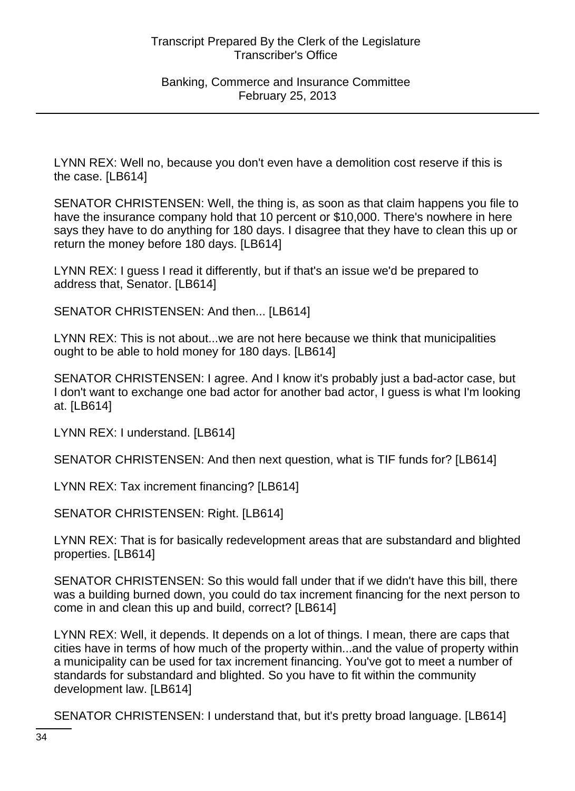LYNN REX: Well no, because you don't even have a demolition cost reserve if this is the case. [LB614]

SENATOR CHRISTENSEN: Well, the thing is, as soon as that claim happens you file to have the insurance company hold that 10 percent or \$10,000. There's nowhere in here says they have to do anything for 180 days. I disagree that they have to clean this up or return the money before 180 days. [LB614]

LYNN REX: I guess I read it differently, but if that's an issue we'd be prepared to address that, Senator. [LB614]

SENATOR CHRISTENSEN: And then... [LB614]

LYNN REX: This is not about...we are not here because we think that municipalities ought to be able to hold money for 180 days. [LB614]

SENATOR CHRISTENSEN: I agree. And I know it's probably just a bad-actor case, but I don't want to exchange one bad actor for another bad actor, I guess is what I'm looking at. [LB614]

LYNN REX: I understand. [LB614]

SENATOR CHRISTENSEN: And then next question, what is TIF funds for? [LB614]

LYNN REX: Tax increment financing? [LB614]

SENATOR CHRISTENSEN: Right. [LB614]

LYNN REX: That is for basically redevelopment areas that are substandard and blighted properties. [LB614]

SENATOR CHRISTENSEN: So this would fall under that if we didn't have this bill, there was a building burned down, you could do tax increment financing for the next person to come in and clean this up and build, correct? [LB614]

LYNN REX: Well, it depends. It depends on a lot of things. I mean, there are caps that cities have in terms of how much of the property within...and the value of property within a municipality can be used for tax increment financing. You've got to meet a number of standards for substandard and blighted. So you have to fit within the community development law. [LB614]

SENATOR CHRISTENSEN: I understand that, but it's pretty broad language. [LB614]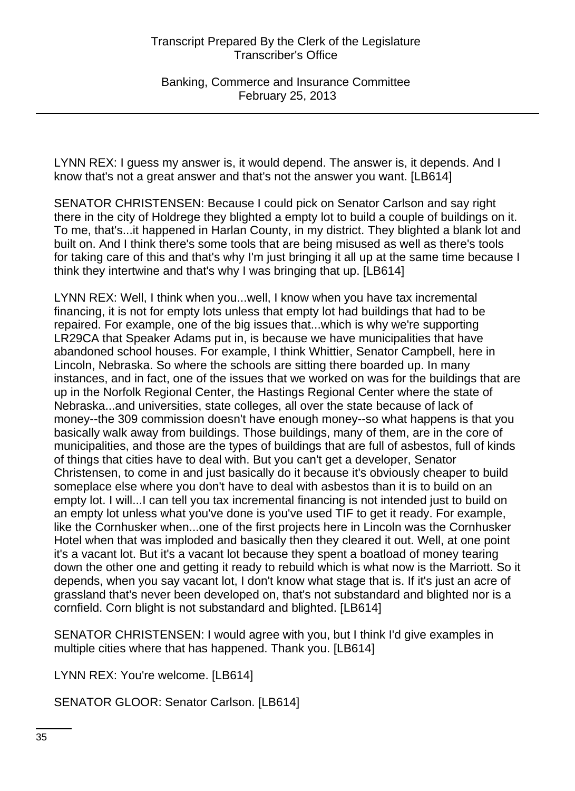Banking, Commerce and Insurance Committee February 25, 2013

LYNN REX: I guess my answer is, it would depend. The answer is, it depends. And I know that's not a great answer and that's not the answer you want. [LB614]

SENATOR CHRISTENSEN: Because I could pick on Senator Carlson and say right there in the city of Holdrege they blighted a empty lot to build a couple of buildings on it. To me, that's...it happened in Harlan County, in my district. They blighted a blank lot and built on. And I think there's some tools that are being misused as well as there's tools for taking care of this and that's why I'm just bringing it all up at the same time because I think they intertwine and that's why I was bringing that up. [LB614]

LYNN REX: Well, I think when you...well, I know when you have tax incremental financing, it is not for empty lots unless that empty lot had buildings that had to be repaired. For example, one of the big issues that...which is why we're supporting LR29CA that Speaker Adams put in, is because we have municipalities that have abandoned school houses. For example, I think Whittier, Senator Campbell, here in Lincoln, Nebraska. So where the schools are sitting there boarded up. In many instances, and in fact, one of the issues that we worked on was for the buildings that are up in the Norfolk Regional Center, the Hastings Regional Center where the state of Nebraska...and universities, state colleges, all over the state because of lack of money--the 309 commission doesn't have enough money--so what happens is that you basically walk away from buildings. Those buildings, many of them, are in the core of municipalities, and those are the types of buildings that are full of asbestos, full of kinds of things that cities have to deal with. But you can't get a developer, Senator Christensen, to come in and just basically do it because it's obviously cheaper to build someplace else where you don't have to deal with asbestos than it is to build on an empty lot. I will...I can tell you tax incremental financing is not intended just to build on an empty lot unless what you've done is you've used TIF to get it ready. For example, like the Cornhusker when...one of the first projects here in Lincoln was the Cornhusker Hotel when that was imploded and basically then they cleared it out. Well, at one point it's a vacant lot. But it's a vacant lot because they spent a boatload of money tearing down the other one and getting it ready to rebuild which is what now is the Marriott. So it depends, when you say vacant lot, I don't know what stage that is. If it's just an acre of grassland that's never been developed on, that's not substandard and blighted nor is a cornfield. Corn blight is not substandard and blighted. [LB614]

SENATOR CHRISTENSEN: I would agree with you, but I think I'd give examples in multiple cities where that has happened. Thank you. [LB614]

LYNN REX: You're welcome. [LB614]

SENATOR GLOOR: Senator Carlson. [LB614]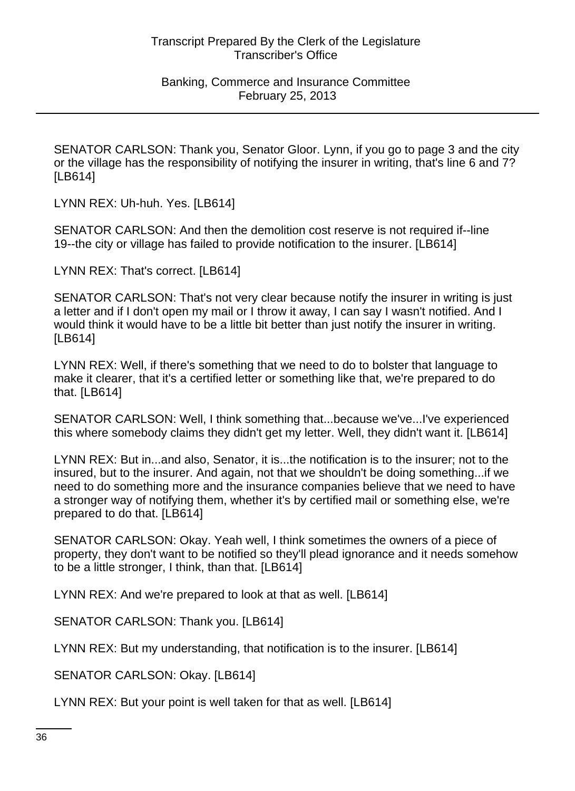SENATOR CARLSON: Thank you, Senator Gloor. Lynn, if you go to page 3 and the city or the village has the responsibility of notifying the insurer in writing, that's line 6 and 7? [LB614]

LYNN REX: Uh-huh. Yes. [LB614]

SENATOR CARLSON: And then the demolition cost reserve is not required if--line 19--the city or village has failed to provide notification to the insurer. [LB614]

LYNN REX: That's correct. [LB614]

SENATOR CARLSON: That's not very clear because notify the insurer in writing is just a letter and if I don't open my mail or I throw it away, I can say I wasn't notified. And I would think it would have to be a little bit better than just notify the insurer in writing. [LB614]

LYNN REX: Well, if there's something that we need to do to bolster that language to make it clearer, that it's a certified letter or something like that, we're prepared to do that. [LB614]

SENATOR CARLSON: Well, I think something that...because we've...I've experienced this where somebody claims they didn't get my letter. Well, they didn't want it. [LB614]

LYNN REX: But in...and also, Senator, it is...the notification is to the insurer; not to the insured, but to the insurer. And again, not that we shouldn't be doing something...if we need to do something more and the insurance companies believe that we need to have a stronger way of notifying them, whether it's by certified mail or something else, we're prepared to do that. [LB614]

SENATOR CARLSON: Okay. Yeah well, I think sometimes the owners of a piece of property, they don't want to be notified so they'll plead ignorance and it needs somehow to be a little stronger, I think, than that. [LB614]

LYNN REX: And we're prepared to look at that as well. [LB614]

SENATOR CARLSON: Thank you. [LB614]

LYNN REX: But my understanding, that notification is to the insurer. [LB614]

SENATOR CARLSON: Okay. [LB614]

LYNN REX: But your point is well taken for that as well. [LB614]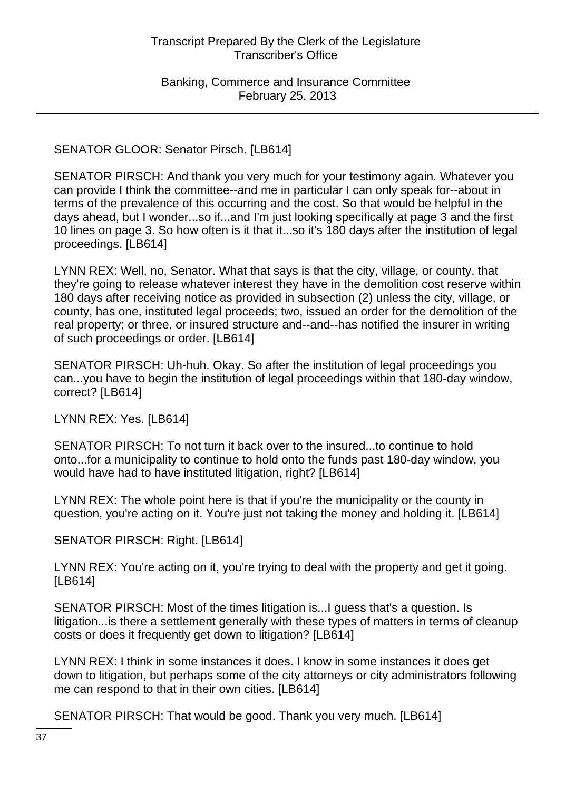SENATOR GLOOR: Senator Pirsch. [LB614]

SENATOR PIRSCH: And thank you very much for your testimony again. Whatever you can provide I think the committee--and me in particular I can only speak for--about in terms of the prevalence of this occurring and the cost. So that would be helpful in the days ahead, but I wonder...so if...and I'm just looking specifically at page 3 and the first 10 lines on page 3. So how often is it that it...so it's 180 days after the institution of legal proceedings. [LB614]

LYNN REX: Well, no, Senator. What that says is that the city, village, or county, that they're going to release whatever interest they have in the demolition cost reserve within 180 days after receiving notice as provided in subsection (2) unless the city, village, or county, has one, instituted legal proceeds; two, issued an order for the demolition of the real property; or three, or insured structure and--and--has notified the insurer in writing of such proceedings or order. [LB614]

SENATOR PIRSCH: Uh-huh. Okay. So after the institution of legal proceedings you can...you have to begin the institution of legal proceedings within that 180-day window, correct? [LB614]

LYNN REX: Yes. [LB614]

SENATOR PIRSCH: To not turn it back over to the insured...to continue to hold onto...for a municipality to continue to hold onto the funds past 180-day window, you would have had to have instituted litigation, right? [LB614]

LYNN REX: The whole point here is that if you're the municipality or the county in question, you're acting on it. You're just not taking the money and holding it. [LB614]

SENATOR PIRSCH: Right. [LB614]

LYNN REX: You're acting on it, you're trying to deal with the property and get it going. [LB614]

SENATOR PIRSCH: Most of the times litigation is...I guess that's a question. Is litigation...is there a settlement generally with these types of matters in terms of cleanup costs or does it frequently get down to litigation? [LB614]

LYNN REX: I think in some instances it does. I know in some instances it does get down to litigation, but perhaps some of the city attorneys or city administrators following me can respond to that in their own cities. [LB614]

SENATOR PIRSCH: That would be good. Thank you very much. [LB614]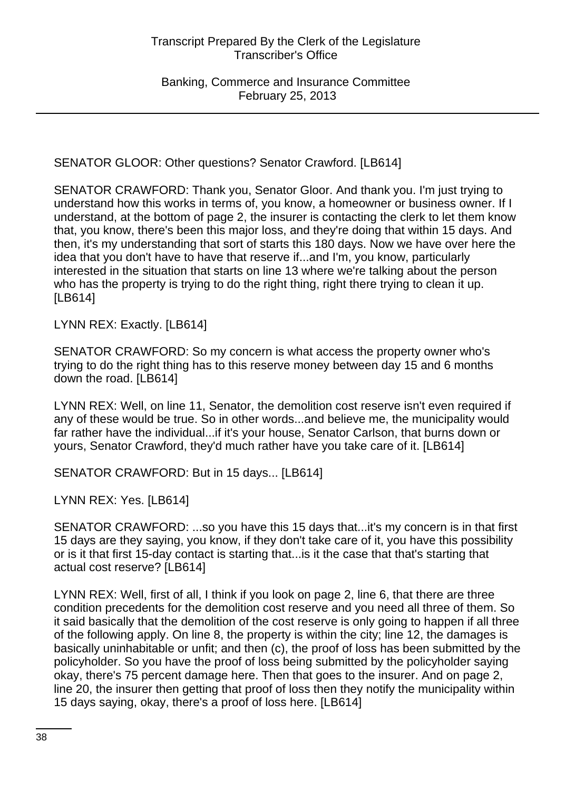SENATOR GLOOR: Other questions? Senator Crawford. [LB614]

SENATOR CRAWFORD: Thank you, Senator Gloor. And thank you. I'm just trying to understand how this works in terms of, you know, a homeowner or business owner. If I understand, at the bottom of page 2, the insurer is contacting the clerk to let them know that, you know, there's been this major loss, and they're doing that within 15 days. And then, it's my understanding that sort of starts this 180 days. Now we have over here the idea that you don't have to have that reserve if...and I'm, you know, particularly interested in the situation that starts on line 13 where we're talking about the person who has the property is trying to do the right thing, right there trying to clean it up. [LB614]

LYNN REX: Exactly. [LB614]

SENATOR CRAWFORD: So my concern is what access the property owner who's trying to do the right thing has to this reserve money between day 15 and 6 months down the road. [LB614]

LYNN REX: Well, on line 11, Senator, the demolition cost reserve isn't even required if any of these would be true. So in other words...and believe me, the municipality would far rather have the individual...if it's your house, Senator Carlson, that burns down or yours, Senator Crawford, they'd much rather have you take care of it. [LB614]

SENATOR CRAWFORD: But in 15 days... [LB614]

LYNN REX: Yes. [LB614]

SENATOR CRAWFORD: ...so you have this 15 days that...it's my concern is in that first 15 days are they saying, you know, if they don't take care of it, you have this possibility or is it that first 15-day contact is starting that...is it the case that that's starting that actual cost reserve? [LB614]

LYNN REX: Well, first of all, I think if you look on page 2, line 6, that there are three condition precedents for the demolition cost reserve and you need all three of them. So it said basically that the demolition of the cost reserve is only going to happen if all three of the following apply. On line 8, the property is within the city; line 12, the damages is basically uninhabitable or unfit; and then (c), the proof of loss has been submitted by the policyholder. So you have the proof of loss being submitted by the policyholder saying okay, there's 75 percent damage here. Then that goes to the insurer. And on page 2, line 20, the insurer then getting that proof of loss then they notify the municipality within 15 days saying, okay, there's a proof of loss here. [LB614]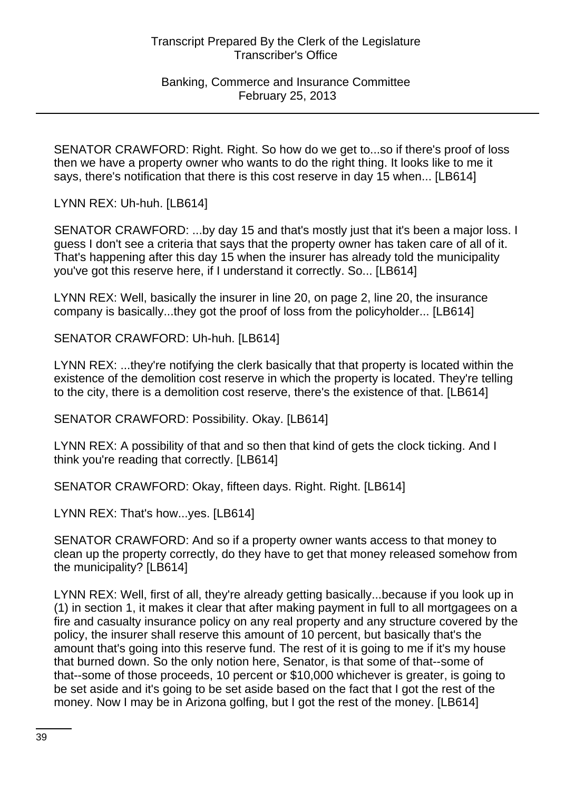#### Banking, Commerce and Insurance Committee February 25, 2013

SENATOR CRAWFORD: Right. Right. So how do we get to...so if there's proof of loss then we have a property owner who wants to do the right thing. It looks like to me it says, there's notification that there is this cost reserve in day 15 when... [LB614]

LYNN REX: Uh-huh. [LB614]

SENATOR CRAWFORD: ...by day 15 and that's mostly just that it's been a major loss. I guess I don't see a criteria that says that the property owner has taken care of all of it. That's happening after this day 15 when the insurer has already told the municipality you've got this reserve here, if I understand it correctly. So... [LB614]

LYNN REX: Well, basically the insurer in line 20, on page 2, line 20, the insurance company is basically...they got the proof of loss from the policyholder... [LB614]

SENATOR CRAWFORD: Uh-huh. [LB614]

LYNN REX: ...they're notifying the clerk basically that that property is located within the existence of the demolition cost reserve in which the property is located. They're telling to the city, there is a demolition cost reserve, there's the existence of that. [LB614]

SENATOR CRAWFORD: Possibility. Okay. [LB614]

LYNN REX: A possibility of that and so then that kind of gets the clock ticking. And I think you're reading that correctly. [LB614]

SENATOR CRAWFORD: Okay, fifteen days. Right. Right. [LB614]

LYNN REX: That's how...yes. [LB614]

SENATOR CRAWFORD: And so if a property owner wants access to that money to clean up the property correctly, do they have to get that money released somehow from the municipality? [LB614]

LYNN REX: Well, first of all, they're already getting basically...because if you look up in (1) in section 1, it makes it clear that after making payment in full to all mortgagees on a fire and casualty insurance policy on any real property and any structure covered by the policy, the insurer shall reserve this amount of 10 percent, but basically that's the amount that's going into this reserve fund. The rest of it is going to me if it's my house that burned down. So the only notion here, Senator, is that some of that--some of that--some of those proceeds, 10 percent or \$10,000 whichever is greater, is going to be set aside and it's going to be set aside based on the fact that I got the rest of the money. Now I may be in Arizona golfing, but I got the rest of the money. [LB614]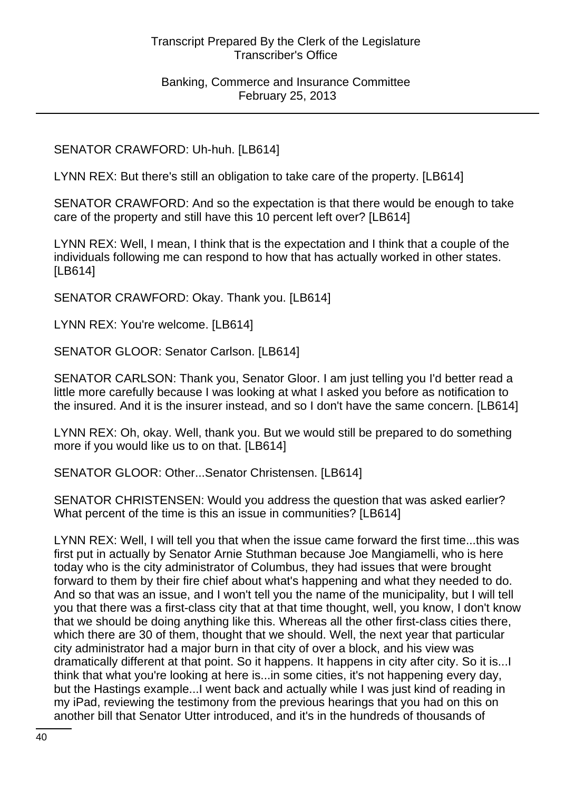Banking, Commerce and Insurance Committee February 25, 2013

## SENATOR CRAWFORD: Uh-huh. [LB614]

LYNN REX: But there's still an obligation to take care of the property. [LB614]

SENATOR CRAWFORD: And so the expectation is that there would be enough to take care of the property and still have this 10 percent left over? [LB614]

LYNN REX: Well, I mean, I think that is the expectation and I think that a couple of the individuals following me can respond to how that has actually worked in other states. [LB614]

SENATOR CRAWFORD: Okay. Thank you. [LB614]

LYNN REX: You're welcome. [LB614]

SENATOR GLOOR: Senator Carlson. [LB614]

SENATOR CARLSON: Thank you, Senator Gloor. I am just telling you I'd better read a little more carefully because I was looking at what I asked you before as notification to the insured. And it is the insurer instead, and so I don't have the same concern. [LB614]

LYNN REX: Oh, okay. Well, thank you. But we would still be prepared to do something more if you would like us to on that. [LB614]

SENATOR GLOOR: Other...Senator Christensen. [LB614]

SENATOR CHRISTENSEN: Would you address the question that was asked earlier? What percent of the time is this an issue in communities? [LB614]

LYNN REX: Well, I will tell you that when the issue came forward the first time...this was first put in actually by Senator Arnie Stuthman because Joe Mangiamelli, who is here today who is the city administrator of Columbus, they had issues that were brought forward to them by their fire chief about what's happening and what they needed to do. And so that was an issue, and I won't tell you the name of the municipality, but I will tell you that there was a first-class city that at that time thought, well, you know, I don't know that we should be doing anything like this. Whereas all the other first-class cities there, which there are 30 of them, thought that we should. Well, the next year that particular city administrator had a major burn in that city of over a block, and his view was dramatically different at that point. So it happens. It happens in city after city. So it is...I think that what you're looking at here is...in some cities, it's not happening every day, but the Hastings example...I went back and actually while I was just kind of reading in my iPad, reviewing the testimony from the previous hearings that you had on this on another bill that Senator Utter introduced, and it's in the hundreds of thousands of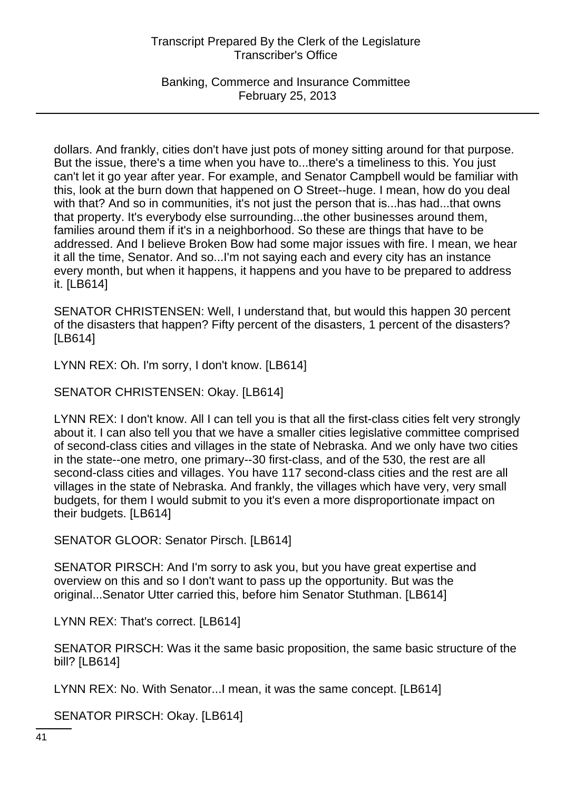Banking, Commerce and Insurance Committee February 25, 2013

dollars. And frankly, cities don't have just pots of money sitting around for that purpose. But the issue, there's a time when you have to...there's a timeliness to this. You just can't let it go year after year. For example, and Senator Campbell would be familiar with this, look at the burn down that happened on O Street--huge. I mean, how do you deal with that? And so in communities, it's not just the person that is...has had...that owns that property. It's everybody else surrounding...the other businesses around them, families around them if it's in a neighborhood. So these are things that have to be addressed. And I believe Broken Bow had some major issues with fire. I mean, we hear it all the time, Senator. And so...I'm not saying each and every city has an instance every month, but when it happens, it happens and you have to be prepared to address it. [LB614]

SENATOR CHRISTENSEN: Well, I understand that, but would this happen 30 percent of the disasters that happen? Fifty percent of the disasters, 1 percent of the disasters? [LB614]

LYNN REX: Oh. I'm sorry, I don't know. [LB614]

SENATOR CHRISTENSEN: Okay. [LB614]

LYNN REX: I don't know. All I can tell you is that all the first-class cities felt very strongly about it. I can also tell you that we have a smaller cities legislative committee comprised of second-class cities and villages in the state of Nebraska. And we only have two cities in the state--one metro, one primary--30 first-class, and of the 530, the rest are all second-class cities and villages. You have 117 second-class cities and the rest are all villages in the state of Nebraska. And frankly, the villages which have very, very small budgets, for them I would submit to you it's even a more disproportionate impact on their budgets. [LB614]

SENATOR GLOOR: Senator Pirsch. [LB614]

SENATOR PIRSCH: And I'm sorry to ask you, but you have great expertise and overview on this and so I don't want to pass up the opportunity. But was the original...Senator Utter carried this, before him Senator Stuthman. [LB614]

LYNN REX: That's correct. [LB614]

SENATOR PIRSCH: Was it the same basic proposition, the same basic structure of the bill? [LB614]

LYNN REX: No. With Senator...I mean, it was the same concept. [LB614]

SENATOR PIRSCH: Okay. [LB614]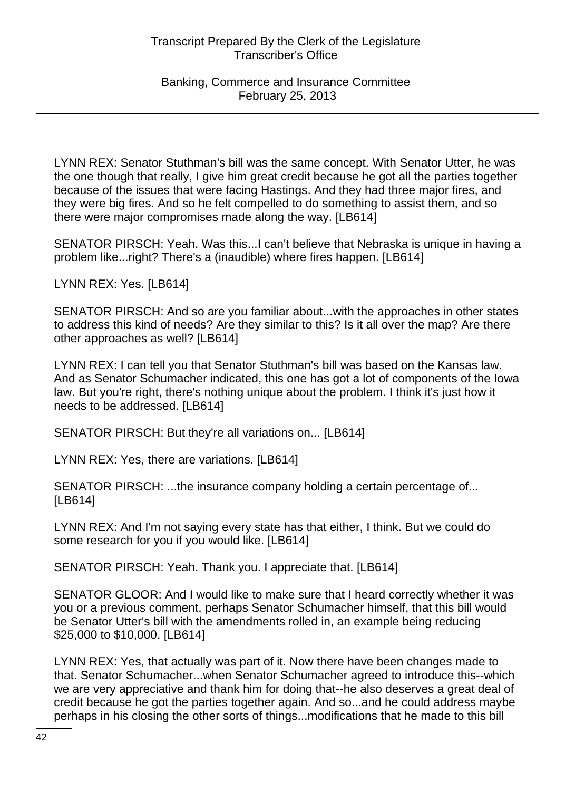LYNN REX: Senator Stuthman's bill was the same concept. With Senator Utter, he was the one though that really, I give him great credit because he got all the parties together because of the issues that were facing Hastings. And they had three major fires, and they were big fires. And so he felt compelled to do something to assist them, and so there were major compromises made along the way. [LB614]

SENATOR PIRSCH: Yeah. Was this...I can't believe that Nebraska is unique in having a problem like...right? There's a (inaudible) where fires happen. [LB614]

LYNN REX: Yes. [LB614]

SENATOR PIRSCH: And so are you familiar about...with the approaches in other states to address this kind of needs? Are they similar to this? Is it all over the map? Are there other approaches as well? [LB614]

LYNN REX: I can tell you that Senator Stuthman's bill was based on the Kansas law. And as Senator Schumacher indicated, this one has got a lot of components of the Iowa law. But you're right, there's nothing unique about the problem. I think it's just how it needs to be addressed. [LB614]

SENATOR PIRSCH: But they're all variations on... [LB614]

LYNN REX: Yes, there are variations. [LB614]

SENATOR PIRSCH: ...the insurance company holding a certain percentage of... [LB614]

LYNN REX: And I'm not saying every state has that either, I think. But we could do some research for you if you would like. [LB614]

SENATOR PIRSCH: Yeah. Thank you. I appreciate that. [LB614]

SENATOR GLOOR: And I would like to make sure that I heard correctly whether it was you or a previous comment, perhaps Senator Schumacher himself, that this bill would be Senator Utter's bill with the amendments rolled in, an example being reducing \$25,000 to \$10,000. [LB614]

LYNN REX: Yes, that actually was part of it. Now there have been changes made to that. Senator Schumacher...when Senator Schumacher agreed to introduce this--which we are very appreciative and thank him for doing that--he also deserves a great deal of credit because he got the parties together again. And so...and he could address maybe perhaps in his closing the other sorts of things...modifications that he made to this bill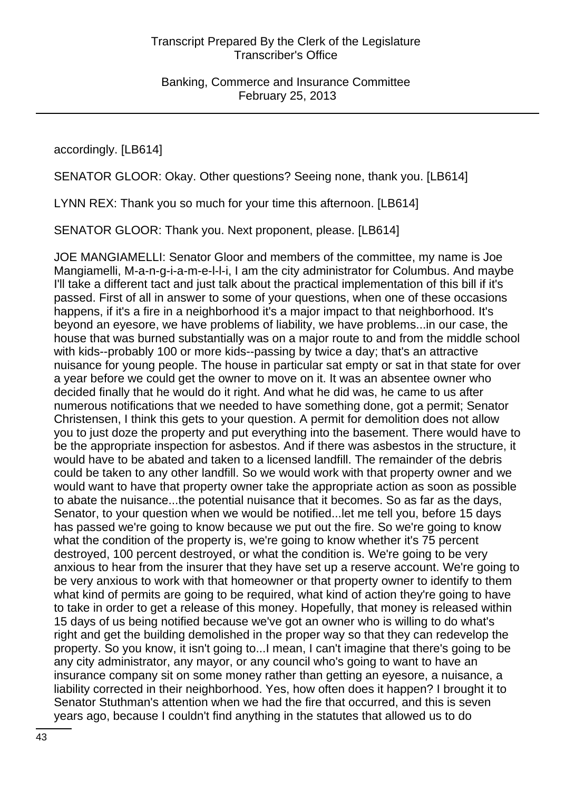accordingly. [LB614]

SENATOR GLOOR: Okay. Other questions? Seeing none, thank you. [LB614]

LYNN REX: Thank you so much for your time this afternoon. [LB614]

SENATOR GLOOR: Thank you. Next proponent, please. [LB614]

JOE MANGIAMELLI: Senator Gloor and members of the committee, my name is Joe Mangiamelli, M-a-n-g-i-a-m-e-l-l-i, I am the city administrator for Columbus. And maybe I'll take a different tact and just talk about the practical implementation of this bill if it's passed. First of all in answer to some of your questions, when one of these occasions happens, if it's a fire in a neighborhood it's a major impact to that neighborhood. It's beyond an eyesore, we have problems of liability, we have problems...in our case, the house that was burned substantially was on a major route to and from the middle school with kids--probably 100 or more kids--passing by twice a day; that's an attractive nuisance for young people. The house in particular sat empty or sat in that state for over a year before we could get the owner to move on it. It was an absentee owner who decided finally that he would do it right. And what he did was, he came to us after numerous notifications that we needed to have something done, got a permit; Senator Christensen, I think this gets to your question. A permit for demolition does not allow you to just doze the property and put everything into the basement. There would have to be the appropriate inspection for asbestos. And if there was asbestos in the structure, it would have to be abated and taken to a licensed landfill. The remainder of the debris could be taken to any other landfill. So we would work with that property owner and we would want to have that property owner take the appropriate action as soon as possible to abate the nuisance...the potential nuisance that it becomes. So as far as the days, Senator, to your question when we would be notified...let me tell you, before 15 days has passed we're going to know because we put out the fire. So we're going to know what the condition of the property is, we're going to know whether it's 75 percent destroyed, 100 percent destroyed, or what the condition is. We're going to be very anxious to hear from the insurer that they have set up a reserve account. We're going to be very anxious to work with that homeowner or that property owner to identify to them what kind of permits are going to be required, what kind of action they're going to have to take in order to get a release of this money. Hopefully, that money is released within 15 days of us being notified because we've got an owner who is willing to do what's right and get the building demolished in the proper way so that they can redevelop the property. So you know, it isn't going to...I mean, I can't imagine that there's going to be any city administrator, any mayor, or any council who's going to want to have an insurance company sit on some money rather than getting an eyesore, a nuisance, a liability corrected in their neighborhood. Yes, how often does it happen? I brought it to Senator Stuthman's attention when we had the fire that occurred, and this is seven years ago, because I couldn't find anything in the statutes that allowed us to do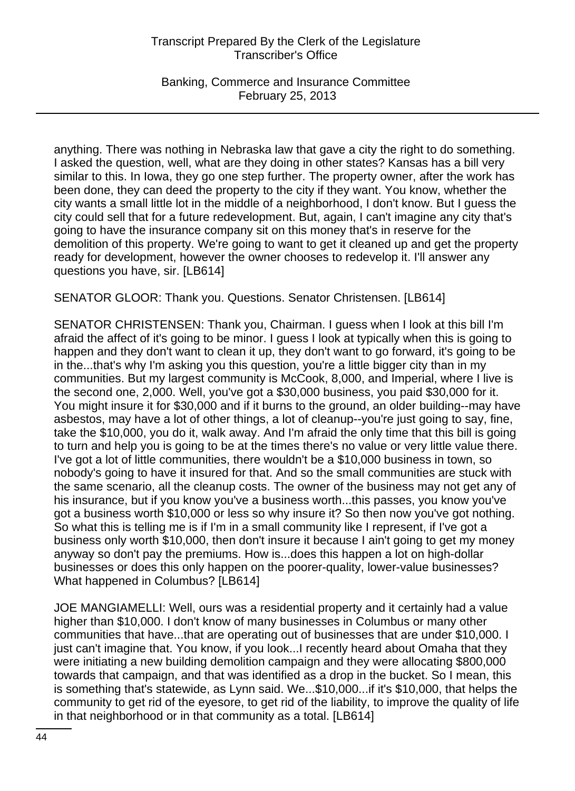Banking, Commerce and Insurance Committee February 25, 2013

anything. There was nothing in Nebraska law that gave a city the right to do something. I asked the question, well, what are they doing in other states? Kansas has a bill very similar to this. In Iowa, they go one step further. The property owner, after the work has been done, they can deed the property to the city if they want. You know, whether the city wants a small little lot in the middle of a neighborhood, I don't know. But I guess the city could sell that for a future redevelopment. But, again, I can't imagine any city that's going to have the insurance company sit on this money that's in reserve for the demolition of this property. We're going to want to get it cleaned up and get the property ready for development, however the owner chooses to redevelop it. I'll answer any questions you have, sir. [LB614]

SENATOR GLOOR: Thank you. Questions. Senator Christensen. [LB614]

SENATOR CHRISTENSEN: Thank you, Chairman. I guess when I look at this bill I'm afraid the affect of it's going to be minor. I guess I look at typically when this is going to happen and they don't want to clean it up, they don't want to go forward, it's going to be in the...that's why I'm asking you this question, you're a little bigger city than in my communities. But my largest community is McCook, 8,000, and Imperial, where I live is the second one, 2,000. Well, you've got a \$30,000 business, you paid \$30,000 for it. You might insure it for \$30,000 and if it burns to the ground, an older building--may have asbestos, may have a lot of other things, a lot of cleanup--you're just going to say, fine, take the \$10,000, you do it, walk away. And I'm afraid the only time that this bill is going to turn and help you is going to be at the times there's no value or very little value there. I've got a lot of little communities, there wouldn't be a \$10,000 business in town, so nobody's going to have it insured for that. And so the small communities are stuck with the same scenario, all the cleanup costs. The owner of the business may not get any of his insurance, but if you know you've a business worth...this passes, you know you've got a business worth \$10,000 or less so why insure it? So then now you've got nothing. So what this is telling me is if I'm in a small community like I represent, if I've got a business only worth \$10,000, then don't insure it because I ain't going to get my money anyway so don't pay the premiums. How is...does this happen a lot on high-dollar businesses or does this only happen on the poorer-quality, lower-value businesses? What happened in Columbus? [LB614]

JOE MANGIAMELLI: Well, ours was a residential property and it certainly had a value higher than \$10,000. I don't know of many businesses in Columbus or many other communities that have...that are operating out of businesses that are under \$10,000. I just can't imagine that. You know, if you look...I recently heard about Omaha that they were initiating a new building demolition campaign and they were allocating \$800,000 towards that campaign, and that was identified as a drop in the bucket. So I mean, this is something that's statewide, as Lynn said. We...\$10,000...if it's \$10,000, that helps the community to get rid of the eyesore, to get rid of the liability, to improve the quality of life in that neighborhood or in that community as a total. [LB614]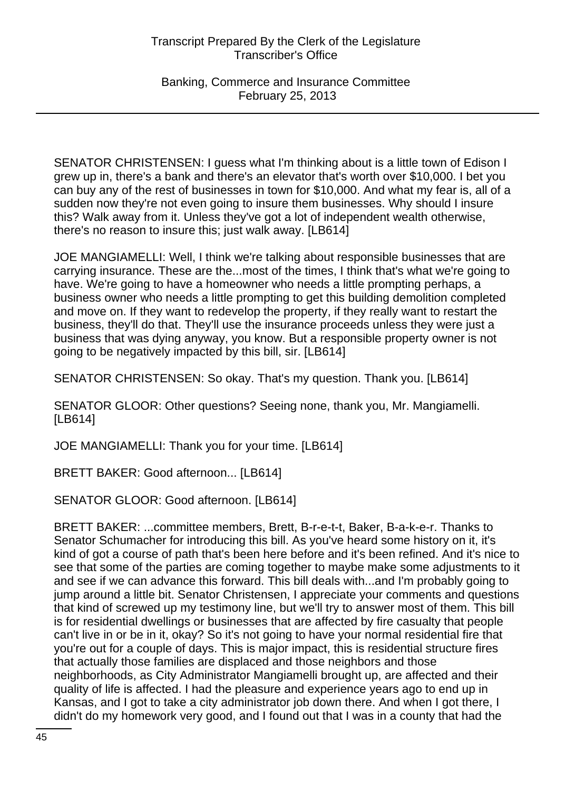Banking, Commerce and Insurance Committee February 25, 2013

SENATOR CHRISTENSEN: I guess what I'm thinking about is a little town of Edison I grew up in, there's a bank and there's an elevator that's worth over \$10,000. I bet you can buy any of the rest of businesses in town for \$10,000. And what my fear is, all of a sudden now they're not even going to insure them businesses. Why should I insure this? Walk away from it. Unless they've got a lot of independent wealth otherwise, there's no reason to insure this; just walk away. [LB614]

JOE MANGIAMELLI: Well, I think we're talking about responsible businesses that are carrying insurance. These are the...most of the times, I think that's what we're going to have. We're going to have a homeowner who needs a little prompting perhaps, a business owner who needs a little prompting to get this building demolition completed and move on. If they want to redevelop the property, if they really want to restart the business, they'll do that. They'll use the insurance proceeds unless they were just a business that was dying anyway, you know. But a responsible property owner is not going to be negatively impacted by this bill, sir. [LB614]

SENATOR CHRISTENSEN: So okay. That's my question. Thank you. [LB614]

SENATOR GLOOR: Other questions? Seeing none, thank you, Mr. Mangiamelli. [LB614]

JOE MANGIAMELLI: Thank you for your time. [LB614]

BRETT BAKER: Good afternoon... [LB614]

SENATOR GLOOR: Good afternoon. [LB614]

BRETT BAKER: ...committee members, Brett, B-r-e-t-t, Baker, B-a-k-e-r. Thanks to Senator Schumacher for introducing this bill. As you've heard some history on it, it's kind of got a course of path that's been here before and it's been refined. And it's nice to see that some of the parties are coming together to maybe make some adjustments to it and see if we can advance this forward. This bill deals with...and I'm probably going to jump around a little bit. Senator Christensen, I appreciate your comments and questions that kind of screwed up my testimony line, but we'll try to answer most of them. This bill is for residential dwellings or businesses that are affected by fire casualty that people can't live in or be in it, okay? So it's not going to have your normal residential fire that you're out for a couple of days. This is major impact, this is residential structure fires that actually those families are displaced and those neighbors and those neighborhoods, as City Administrator Mangiamelli brought up, are affected and their quality of life is affected. I had the pleasure and experience years ago to end up in Kansas, and I got to take a city administrator job down there. And when I got there, I didn't do my homework very good, and I found out that I was in a county that had the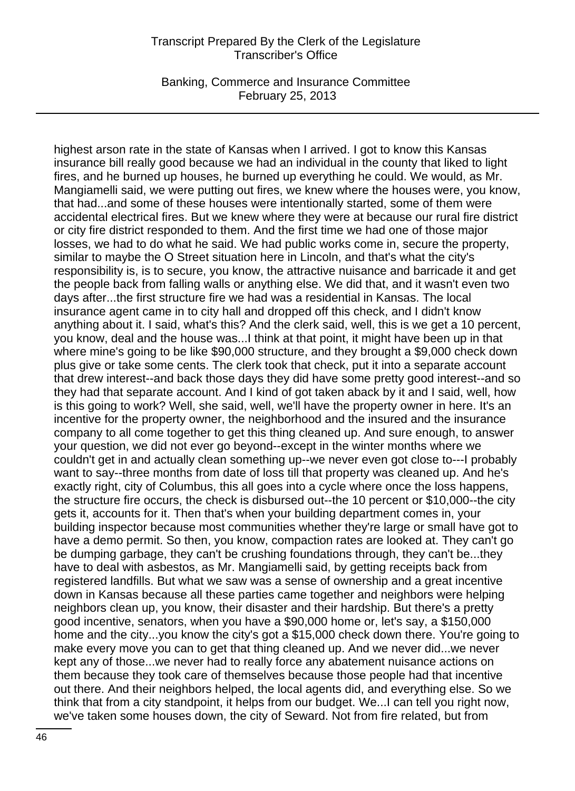Banking, Commerce and Insurance Committee February 25, 2013

highest arson rate in the state of Kansas when I arrived. I got to know this Kansas insurance bill really good because we had an individual in the county that liked to light fires, and he burned up houses, he burned up everything he could. We would, as Mr. Mangiamelli said, we were putting out fires, we knew where the houses were, you know, that had...and some of these houses were intentionally started, some of them were accidental electrical fires. But we knew where they were at because our rural fire district or city fire district responded to them. And the first time we had one of those major losses, we had to do what he said. We had public works come in, secure the property, similar to maybe the O Street situation here in Lincoln, and that's what the city's responsibility is, is to secure, you know, the attractive nuisance and barricade it and get the people back from falling walls or anything else. We did that, and it wasn't even two days after...the first structure fire we had was a residential in Kansas. The local insurance agent came in to city hall and dropped off this check, and I didn't know anything about it. I said, what's this? And the clerk said, well, this is we get a 10 percent, you know, deal and the house was...I think at that point, it might have been up in that where mine's going to be like \$90,000 structure, and they brought a \$9,000 check down plus give or take some cents. The clerk took that check, put it into a separate account that drew interest--and back those days they did have some pretty good interest--and so they had that separate account. And I kind of got taken aback by it and I said, well, how is this going to work? Well, she said, well, we'll have the property owner in here. It's an incentive for the property owner, the neighborhood and the insured and the insurance company to all come together to get this thing cleaned up. And sure enough, to answer your question, we did not ever go beyond--except in the winter months where we couldn't get in and actually clean something up--we never even got close to---I probably want to say--three months from date of loss till that property was cleaned up. And he's exactly right, city of Columbus, this all goes into a cycle where once the loss happens, the structure fire occurs, the check is disbursed out--the 10 percent or \$10,000--the city gets it, accounts for it. Then that's when your building department comes in, your building inspector because most communities whether they're large or small have got to have a demo permit. So then, you know, compaction rates are looked at. They can't go be dumping garbage, they can't be crushing foundations through, they can't be...they have to deal with asbestos, as Mr. Mangiamelli said, by getting receipts back from registered landfills. But what we saw was a sense of ownership and a great incentive down in Kansas because all these parties came together and neighbors were helping neighbors clean up, you know, their disaster and their hardship. But there's a pretty good incentive, senators, when you have a \$90,000 home or, let's say, a \$150,000 home and the city...you know the city's got a \$15,000 check down there. You're going to make every move you can to get that thing cleaned up. And we never did...we never kept any of those...we never had to really force any abatement nuisance actions on them because they took care of themselves because those people had that incentive out there. And their neighbors helped, the local agents did, and everything else. So we think that from a city standpoint, it helps from our budget. We...I can tell you right now, we've taken some houses down, the city of Seward. Not from fire related, but from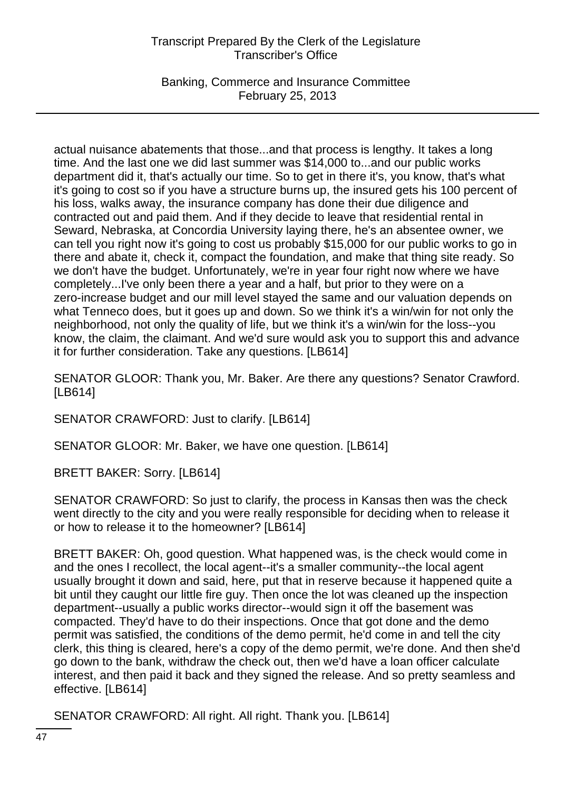Banking, Commerce and Insurance Committee February 25, 2013

actual nuisance abatements that those...and that process is lengthy. It takes a long time. And the last one we did last summer was \$14,000 to...and our public works department did it, that's actually our time. So to get in there it's, you know, that's what it's going to cost so if you have a structure burns up, the insured gets his 100 percent of his loss, walks away, the insurance company has done their due diligence and contracted out and paid them. And if they decide to leave that residential rental in Seward, Nebraska, at Concordia University laying there, he's an absentee owner, we can tell you right now it's going to cost us probably \$15,000 for our public works to go in there and abate it, check it, compact the foundation, and make that thing site ready. So we don't have the budget. Unfortunately, we're in year four right now where we have completely...I've only been there a year and a half, but prior to they were on a zero-increase budget and our mill level stayed the same and our valuation depends on what Tenneco does, but it goes up and down. So we think it's a win/win for not only the neighborhood, not only the quality of life, but we think it's a win/win for the loss--you know, the claim, the claimant. And we'd sure would ask you to support this and advance it for further consideration. Take any questions. [LB614]

SENATOR GLOOR: Thank you, Mr. Baker. Are there any questions? Senator Crawford. [LB614]

SENATOR CRAWFORD: Just to clarify. [LB614]

SENATOR GLOOR: Mr. Baker, we have one question. [LB614]

BRETT BAKER: Sorry. [LB614]

SENATOR CRAWFORD: So just to clarify, the process in Kansas then was the check went directly to the city and you were really responsible for deciding when to release it or how to release it to the homeowner? [LB614]

BRETT BAKER: Oh, good question. What happened was, is the check would come in and the ones I recollect, the local agent--it's a smaller community--the local agent usually brought it down and said, here, put that in reserve because it happened quite a bit until they caught our little fire guy. Then once the lot was cleaned up the inspection department--usually a public works director--would sign it off the basement was compacted. They'd have to do their inspections. Once that got done and the demo permit was satisfied, the conditions of the demo permit, he'd come in and tell the city clerk, this thing is cleared, here's a copy of the demo permit, we're done. And then she'd go down to the bank, withdraw the check out, then we'd have a loan officer calculate interest, and then paid it back and they signed the release. And so pretty seamless and effective. [LB614]

SENATOR CRAWFORD: All right. All right. Thank you. [LB614]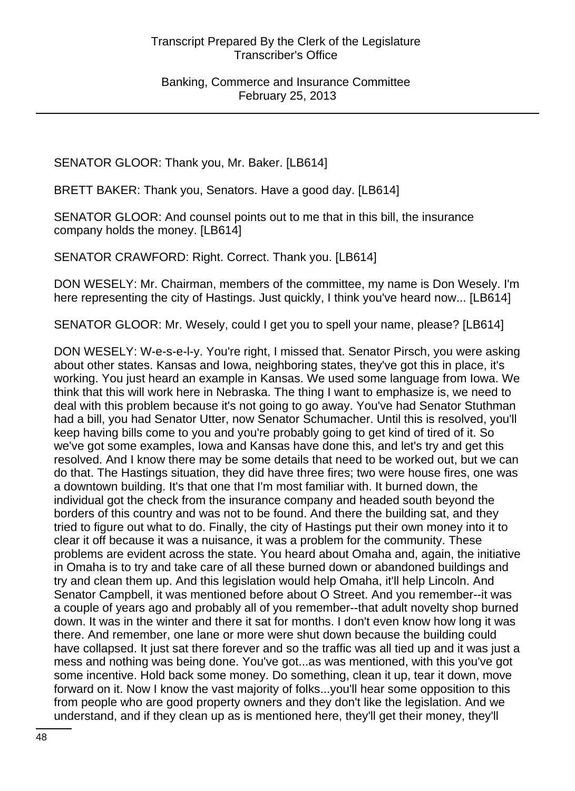SENATOR GLOOR: Thank you, Mr. Baker. [LB614]

BRETT BAKER: Thank you, Senators. Have a good day. [LB614]

SENATOR GLOOR: And counsel points out to me that in this bill, the insurance company holds the money. [LB614]

SENATOR CRAWFORD: Right. Correct. Thank you. [LB614]

DON WESELY: Mr. Chairman, members of the committee, my name is Don Wesely. I'm here representing the city of Hastings. Just quickly, I think you've heard now... [LB614]

SENATOR GLOOR: Mr. Wesely, could I get you to spell your name, please? [LB614]

DON WESELY: W-e-s-e-l-y. You're right, I missed that. Senator Pirsch, you were asking about other states. Kansas and Iowa, neighboring states, they've got this in place, it's working. You just heard an example in Kansas. We used some language from Iowa. We think that this will work here in Nebraska. The thing I want to emphasize is, we need to deal with this problem because it's not going to go away. You've had Senator Stuthman had a bill, you had Senator Utter, now Senator Schumacher. Until this is resolved, you'll keep having bills come to you and you're probably going to get kind of tired of it. So we've got some examples, Iowa and Kansas have done this, and let's try and get this resolved. And I know there may be some details that need to be worked out, but we can do that. The Hastings situation, they did have three fires; two were house fires, one was a downtown building. It's that one that I'm most familiar with. It burned down, the individual got the check from the insurance company and headed south beyond the borders of this country and was not to be found. And there the building sat, and they tried to figure out what to do. Finally, the city of Hastings put their own money into it to clear it off because it was a nuisance, it was a problem for the community. These problems are evident across the state. You heard about Omaha and, again, the initiative in Omaha is to try and take care of all these burned down or abandoned buildings and try and clean them up. And this legislation would help Omaha, it'll help Lincoln. And Senator Campbell, it was mentioned before about O Street. And you remember--it was a couple of years ago and probably all of you remember--that adult novelty shop burned down. It was in the winter and there it sat for months. I don't even know how long it was there. And remember, one lane or more were shut down because the building could have collapsed. It just sat there forever and so the traffic was all tied up and it was just a mess and nothing was being done. You've got...as was mentioned, with this you've got some incentive. Hold back some money. Do something, clean it up, tear it down, move forward on it. Now I know the vast majority of folks...you'll hear some opposition to this from people who are good property owners and they don't like the legislation. And we understand, and if they clean up as is mentioned here, they'll get their money, they'll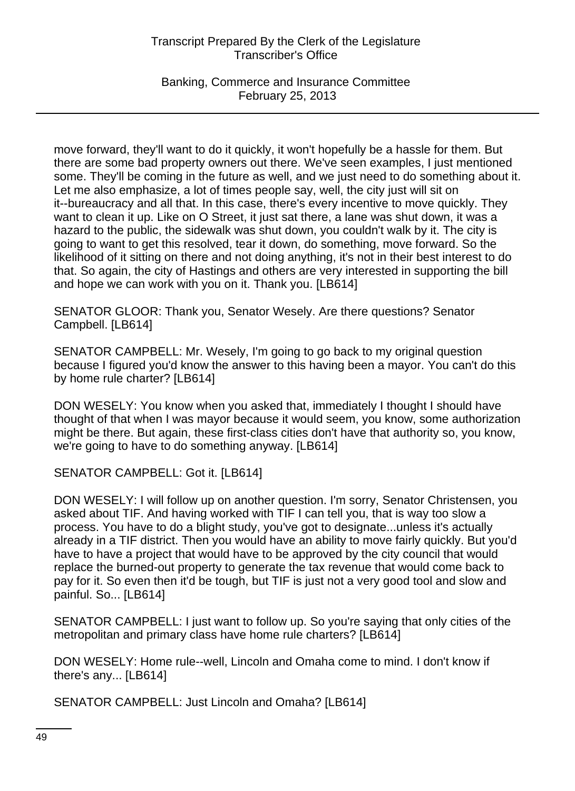Banking, Commerce and Insurance Committee February 25, 2013

move forward, they'll want to do it quickly, it won't hopefully be a hassle for them. But there are some bad property owners out there. We've seen examples, I just mentioned some. They'll be coming in the future as well, and we just need to do something about it. Let me also emphasize, a lot of times people say, well, the city just will sit on it--bureaucracy and all that. In this case, there's every incentive to move quickly. They want to clean it up. Like on O Street, it just sat there, a lane was shut down, it was a hazard to the public, the sidewalk was shut down, you couldn't walk by it. The city is going to want to get this resolved, tear it down, do something, move forward. So the likelihood of it sitting on there and not doing anything, it's not in their best interest to do that. So again, the city of Hastings and others are very interested in supporting the bill and hope we can work with you on it. Thank you. [LB614]

SENATOR GLOOR: Thank you, Senator Wesely. Are there questions? Senator Campbell. [LB614]

SENATOR CAMPBELL: Mr. Wesely, I'm going to go back to my original question because I figured you'd know the answer to this having been a mayor. You can't do this by home rule charter? [LB614]

DON WESELY: You know when you asked that, immediately I thought I should have thought of that when I was mayor because it would seem, you know, some authorization might be there. But again, these first-class cities don't have that authority so, you know, we're going to have to do something anyway. [LB614]

SENATOR CAMPBELL: Got it. [LB614]

DON WESELY: I will follow up on another question. I'm sorry, Senator Christensen, you asked about TIF. And having worked with TIF I can tell you, that is way too slow a process. You have to do a blight study, you've got to designate...unless it's actually already in a TIF district. Then you would have an ability to move fairly quickly. But you'd have to have a project that would have to be approved by the city council that would replace the burned-out property to generate the tax revenue that would come back to pay for it. So even then it'd be tough, but TIF is just not a very good tool and slow and painful. So... [LB614]

SENATOR CAMPBELL: I just want to follow up. So you're saying that only cities of the metropolitan and primary class have home rule charters? [LB614]

DON WESELY: Home rule--well, Lincoln and Omaha come to mind. I don't know if there's any... [LB614]

SENATOR CAMPBELL: Just Lincoln and Omaha? [LB614]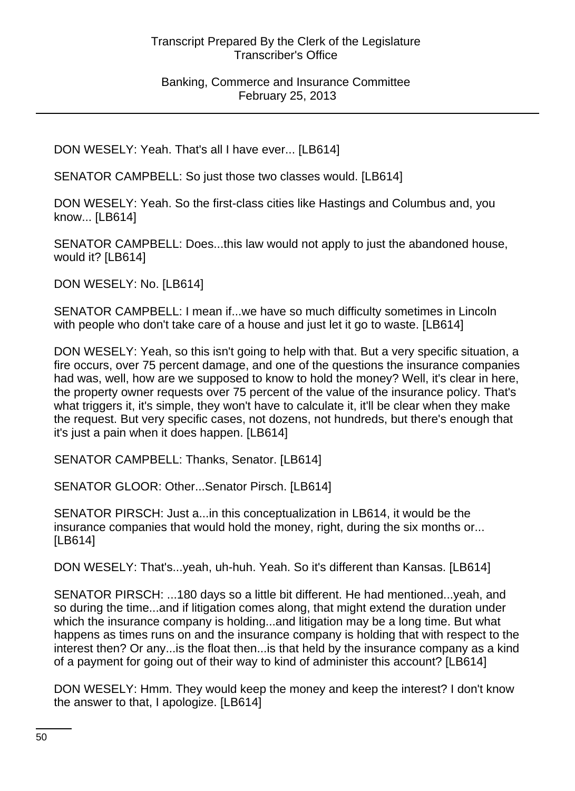DON WESELY: Yeah. That's all I have ever... [LB614]

SENATOR CAMPBELL: So just those two classes would. [LB614]

DON WESELY: Yeah. So the first-class cities like Hastings and Columbus and, you know... [LB614]

SENATOR CAMPBELL: Does...this law would not apply to just the abandoned house, would it? [LB614]

DON WESELY: No. [LB614]

SENATOR CAMPBELL: I mean if...we have so much difficulty sometimes in Lincoln with people who don't take care of a house and just let it go to waste. [LB614]

DON WESELY: Yeah, so this isn't going to help with that. But a very specific situation, a fire occurs, over 75 percent damage, and one of the questions the insurance companies had was, well, how are we supposed to know to hold the money? Well, it's clear in here, the property owner requests over 75 percent of the value of the insurance policy. That's what triggers it, it's simple, they won't have to calculate it, it'll be clear when they make the request. But very specific cases, not dozens, not hundreds, but there's enough that it's just a pain when it does happen. [LB614]

SENATOR CAMPBELL: Thanks, Senator. [LB614]

SENATOR GLOOR: Other...Senator Pirsch. [LB614]

SENATOR PIRSCH: Just a...in this conceptualization in LB614, it would be the insurance companies that would hold the money, right, during the six months or... [LB614]

DON WESELY: That's...yeah, uh-huh. Yeah. So it's different than Kansas. [LB614]

SENATOR PIRSCH: ...180 days so a little bit different. He had mentioned...yeah, and so during the time...and if litigation comes along, that might extend the duration under which the insurance company is holding...and litigation may be a long time. But what happens as times runs on and the insurance company is holding that with respect to the interest then? Or any...is the float then...is that held by the insurance company as a kind of a payment for going out of their way to kind of administer this account? [LB614]

DON WESELY: Hmm. They would keep the money and keep the interest? I don't know the answer to that, I apologize. [LB614]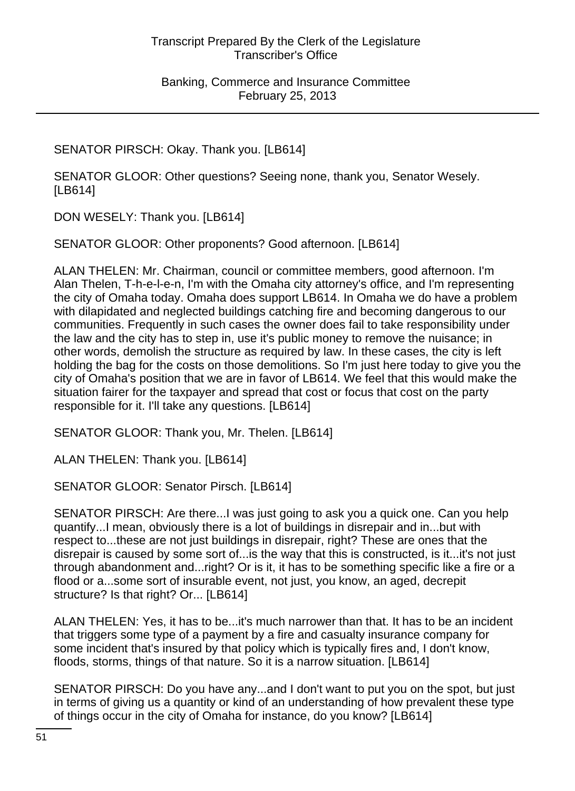SENATOR PIRSCH: Okay. Thank you. [LB614]

SENATOR GLOOR: Other questions? Seeing none, thank you, Senator Wesely. [LB614]

DON WESELY: Thank you. [LB614]

SENATOR GLOOR: Other proponents? Good afternoon. [LB614]

ALAN THELEN: Mr. Chairman, council or committee members, good afternoon. I'm Alan Thelen, T-h-e-l-e-n, I'm with the Omaha city attorney's office, and I'm representing the city of Omaha today. Omaha does support LB614. In Omaha we do have a problem with dilapidated and neglected buildings catching fire and becoming dangerous to our communities. Frequently in such cases the owner does fail to take responsibility under the law and the city has to step in, use it's public money to remove the nuisance; in other words, demolish the structure as required by law. In these cases, the city is left holding the bag for the costs on those demolitions. So I'm just here today to give you the city of Omaha's position that we are in favor of LB614. We feel that this would make the situation fairer for the taxpayer and spread that cost or focus that cost on the party responsible for it. I'll take any questions. [LB614]

SENATOR GLOOR: Thank you, Mr. Thelen. [LB614]

ALAN THELEN: Thank you. [LB614]

SENATOR GLOOR: Senator Pirsch. [LB614]

SENATOR PIRSCH: Are there...I was just going to ask you a quick one. Can you help quantify...I mean, obviously there is a lot of buildings in disrepair and in...but with respect to...these are not just buildings in disrepair, right? These are ones that the disrepair is caused by some sort of...is the way that this is constructed, is it...it's not just through abandonment and...right? Or is it, it has to be something specific like a fire or a flood or a...some sort of insurable event, not just, you know, an aged, decrepit structure? Is that right? Or... [LB614]

ALAN THELEN: Yes, it has to be...it's much narrower than that. It has to be an incident that triggers some type of a payment by a fire and casualty insurance company for some incident that's insured by that policy which is typically fires and, I don't know, floods, storms, things of that nature. So it is a narrow situation. [LB614]

SENATOR PIRSCH: Do you have any...and I don't want to put you on the spot, but just in terms of giving us a quantity or kind of an understanding of how prevalent these type of things occur in the city of Omaha for instance, do you know? [LB614]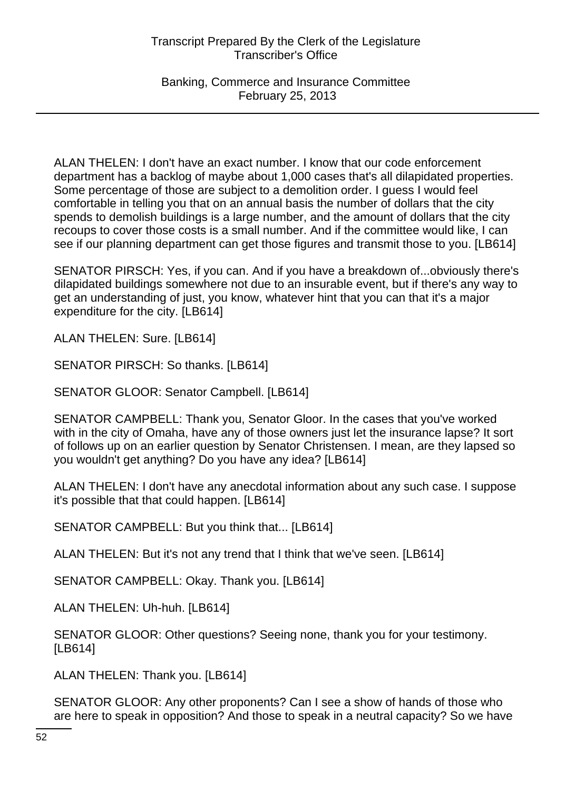Banking, Commerce and Insurance Committee February 25, 2013

ALAN THELEN: I don't have an exact number. I know that our code enforcement department has a backlog of maybe about 1,000 cases that's all dilapidated properties. Some percentage of those are subject to a demolition order. I guess I would feel comfortable in telling you that on an annual basis the number of dollars that the city spends to demolish buildings is a large number, and the amount of dollars that the city recoups to cover those costs is a small number. And if the committee would like, I can see if our planning department can get those figures and transmit those to you. [LB614]

SENATOR PIRSCH: Yes, if you can. And if you have a breakdown of...obviously there's dilapidated buildings somewhere not due to an insurable event, but if there's any way to get an understanding of just, you know, whatever hint that you can that it's a major expenditure for the city. [LB614]

ALAN THELEN: Sure. [LB614]

SENATOR PIRSCH: So thanks. [LB614]

SENATOR GLOOR: Senator Campbell. [LB614]

SENATOR CAMPBELL: Thank you, Senator Gloor. In the cases that you've worked with in the city of Omaha, have any of those owners just let the insurance lapse? It sort of follows up on an earlier question by Senator Christensen. I mean, are they lapsed so you wouldn't get anything? Do you have any idea? [LB614]

ALAN THELEN: I don't have any anecdotal information about any such case. I suppose it's possible that that could happen. [LB614]

SENATOR CAMPBELL: But you think that... [LB614]

ALAN THELEN: But it's not any trend that I think that we've seen. [LB614]

SENATOR CAMPBELL: Okay. Thank you. [LB614]

ALAN THELEN: Uh-huh. [LB614]

SENATOR GLOOR: Other questions? Seeing none, thank you for your testimony. [LB614]

ALAN THELEN: Thank you. [LB614]

SENATOR GLOOR: Any other proponents? Can I see a show of hands of those who are here to speak in opposition? And those to speak in a neutral capacity? So we have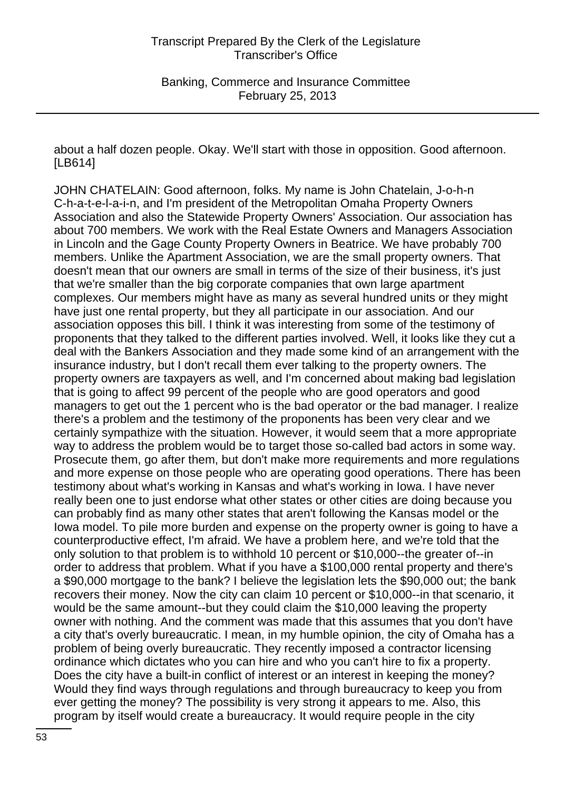about a half dozen people. Okay. We'll start with those in opposition. Good afternoon. [LB614]

JOHN CHATELAIN: Good afternoon, folks. My name is John Chatelain, J-o-h-n C-h-a-t-e-l-a-i-n, and I'm president of the Metropolitan Omaha Property Owners Association and also the Statewide Property Owners' Association. Our association has about 700 members. We work with the Real Estate Owners and Managers Association in Lincoln and the Gage County Property Owners in Beatrice. We have probably 700 members. Unlike the Apartment Association, we are the small property owners. That doesn't mean that our owners are small in terms of the size of their business, it's just that we're smaller than the big corporate companies that own large apartment complexes. Our members might have as many as several hundred units or they might have just one rental property, but they all participate in our association. And our association opposes this bill. I think it was interesting from some of the testimony of proponents that they talked to the different parties involved. Well, it looks like they cut a deal with the Bankers Association and they made some kind of an arrangement with the insurance industry, but I don't recall them ever talking to the property owners. The property owners are taxpayers as well, and I'm concerned about making bad legislation that is going to affect 99 percent of the people who are good operators and good managers to get out the 1 percent who is the bad operator or the bad manager. I realize there's a problem and the testimony of the proponents has been very clear and we certainly sympathize with the situation. However, it would seem that a more appropriate way to address the problem would be to target those so-called bad actors in some way. Prosecute them, go after them, but don't make more requirements and more regulations and more expense on those people who are operating good operations. There has been testimony about what's working in Kansas and what's working in Iowa. I have never really been one to just endorse what other states or other cities are doing because you can probably find as many other states that aren't following the Kansas model or the Iowa model. To pile more burden and expense on the property owner is going to have a counterproductive effect, I'm afraid. We have a problem here, and we're told that the only solution to that problem is to withhold 10 percent or \$10,000--the greater of--in order to address that problem. What if you have a \$100,000 rental property and there's a \$90,000 mortgage to the bank? I believe the legislation lets the \$90,000 out; the bank recovers their money. Now the city can claim 10 percent or \$10,000--in that scenario, it would be the same amount--but they could claim the \$10,000 leaving the property owner with nothing. And the comment was made that this assumes that you don't have a city that's overly bureaucratic. I mean, in my humble opinion, the city of Omaha has a problem of being overly bureaucratic. They recently imposed a contractor licensing ordinance which dictates who you can hire and who you can't hire to fix a property. Does the city have a built-in conflict of interest or an interest in keeping the money? Would they find ways through regulations and through bureaucracy to keep you from ever getting the money? The possibility is very strong it appears to me. Also, this program by itself would create a bureaucracy. It would require people in the city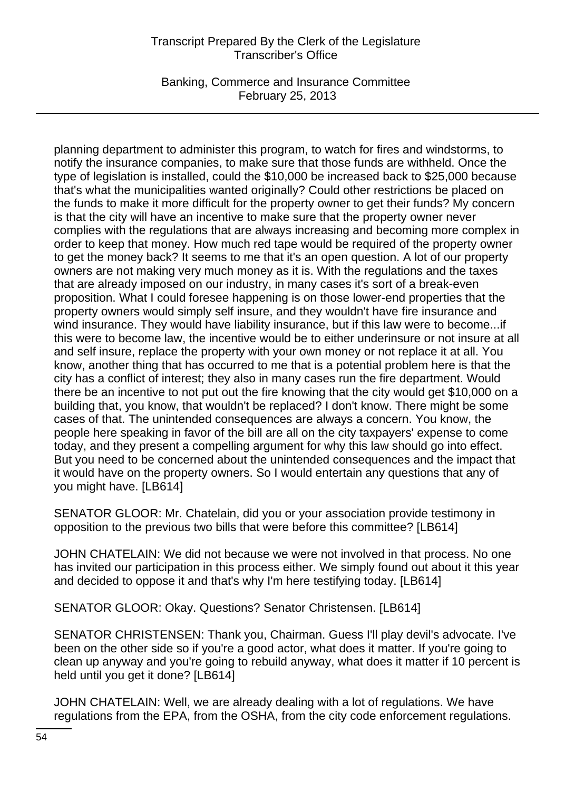Banking, Commerce and Insurance Committee February 25, 2013

planning department to administer this program, to watch for fires and windstorms, to notify the insurance companies, to make sure that those funds are withheld. Once the type of legislation is installed, could the \$10,000 be increased back to \$25,000 because that's what the municipalities wanted originally? Could other restrictions be placed on the funds to make it more difficult for the property owner to get their funds? My concern is that the city will have an incentive to make sure that the property owner never complies with the regulations that are always increasing and becoming more complex in order to keep that money. How much red tape would be required of the property owner to get the money back? It seems to me that it's an open question. A lot of our property owners are not making very much money as it is. With the regulations and the taxes that are already imposed on our industry, in many cases it's sort of a break-even proposition. What I could foresee happening is on those lower-end properties that the property owners would simply self insure, and they wouldn't have fire insurance and wind insurance. They would have liability insurance, but if this law were to become...if this were to become law, the incentive would be to either underinsure or not insure at all and self insure, replace the property with your own money or not replace it at all. You know, another thing that has occurred to me that is a potential problem here is that the city has a conflict of interest; they also in many cases run the fire department. Would there be an incentive to not put out the fire knowing that the city would get \$10,000 on a building that, you know, that wouldn't be replaced? I don't know. There might be some cases of that. The unintended consequences are always a concern. You know, the people here speaking in favor of the bill are all on the city taxpayers' expense to come today, and they present a compelling argument for why this law should go into effect. But you need to be concerned about the unintended consequences and the impact that it would have on the property owners. So I would entertain any questions that any of you might have. [LB614]

SENATOR GLOOR: Mr. Chatelain, did you or your association provide testimony in opposition to the previous two bills that were before this committee? [LB614]

JOHN CHATELAIN: We did not because we were not involved in that process. No one has invited our participation in this process either. We simply found out about it this year and decided to oppose it and that's why I'm here testifying today. [LB614]

SENATOR GLOOR: Okay. Questions? Senator Christensen. [LB614]

SENATOR CHRISTENSEN: Thank you, Chairman. Guess I'll play devil's advocate. I've been on the other side so if you're a good actor, what does it matter. If you're going to clean up anyway and you're going to rebuild anyway, what does it matter if 10 percent is held until you get it done? [LB614]

JOHN CHATELAIN: Well, we are already dealing with a lot of regulations. We have regulations from the EPA, from the OSHA, from the city code enforcement regulations.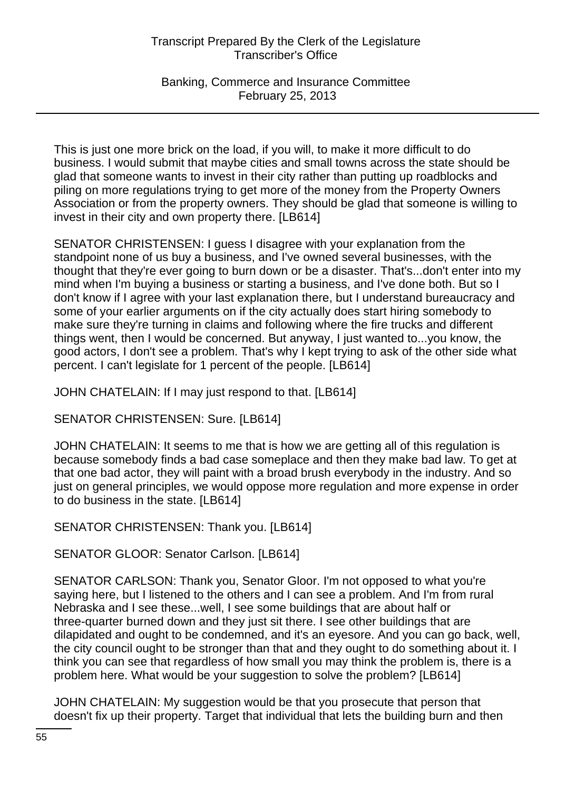Banking, Commerce and Insurance Committee February 25, 2013

This is just one more brick on the load, if you will, to make it more difficult to do business. I would submit that maybe cities and small towns across the state should be glad that someone wants to invest in their city rather than putting up roadblocks and piling on more regulations trying to get more of the money from the Property Owners Association or from the property owners. They should be glad that someone is willing to invest in their city and own property there. [LB614]

SENATOR CHRISTENSEN: I guess I disagree with your explanation from the standpoint none of us buy a business, and I've owned several businesses, with the thought that they're ever going to burn down or be a disaster. That's...don't enter into my mind when I'm buying a business or starting a business, and I've done both. But so I don't know if I agree with your last explanation there, but I understand bureaucracy and some of your earlier arguments on if the city actually does start hiring somebody to make sure they're turning in claims and following where the fire trucks and different things went, then I would be concerned. But anyway, I just wanted to...you know, the good actors, I don't see a problem. That's why I kept trying to ask of the other side what percent. I can't legislate for 1 percent of the people. [LB614]

JOHN CHATELAIN: If I may just respond to that. [LB614]

SENATOR CHRISTENSEN: Sure. [LB614]

JOHN CHATELAIN: It seems to me that is how we are getting all of this regulation is because somebody finds a bad case someplace and then they make bad law. To get at that one bad actor, they will paint with a broad brush everybody in the industry. And so just on general principles, we would oppose more regulation and more expense in order to do business in the state. [LB614]

SENATOR CHRISTENSEN: Thank you. [LB614]

SENATOR GLOOR: Senator Carlson. [LB614]

SENATOR CARLSON: Thank you, Senator Gloor. I'm not opposed to what you're saying here, but I listened to the others and I can see a problem. And I'm from rural Nebraska and I see these...well, I see some buildings that are about half or three-quarter burned down and they just sit there. I see other buildings that are dilapidated and ought to be condemned, and it's an eyesore. And you can go back, well, the city council ought to be stronger than that and they ought to do something about it. I think you can see that regardless of how small you may think the problem is, there is a problem here. What would be your suggestion to solve the problem? [LB614]

JOHN CHATELAIN: My suggestion would be that you prosecute that person that doesn't fix up their property. Target that individual that lets the building burn and then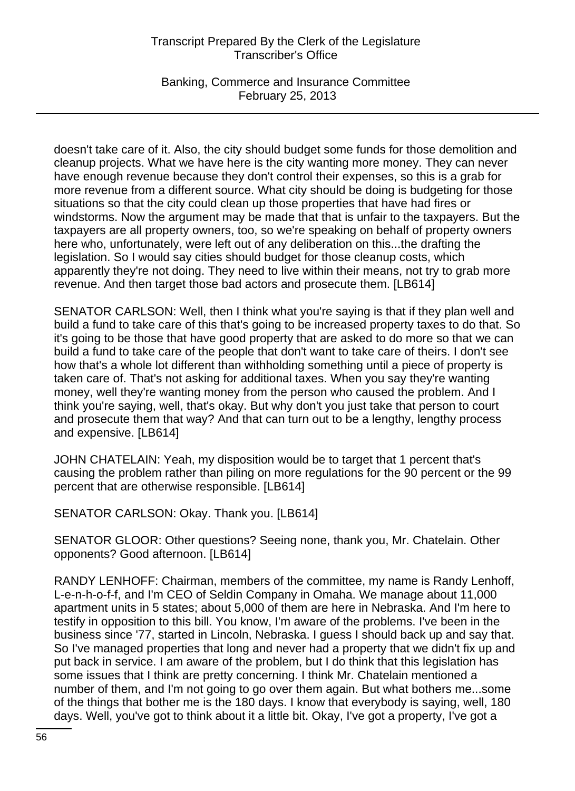Banking, Commerce and Insurance Committee February 25, 2013

doesn't take care of it. Also, the city should budget some funds for those demolition and cleanup projects. What we have here is the city wanting more money. They can never have enough revenue because they don't control their expenses, so this is a grab for more revenue from a different source. What city should be doing is budgeting for those situations so that the city could clean up those properties that have had fires or windstorms. Now the argument may be made that that is unfair to the taxpayers. But the taxpayers are all property owners, too, so we're speaking on behalf of property owners here who, unfortunately, were left out of any deliberation on this...the drafting the legislation. So I would say cities should budget for those cleanup costs, which apparently they're not doing. They need to live within their means, not try to grab more revenue. And then target those bad actors and prosecute them. [LB614]

SENATOR CARLSON: Well, then I think what you're saying is that if they plan well and build a fund to take care of this that's going to be increased property taxes to do that. So it's going to be those that have good property that are asked to do more so that we can build a fund to take care of the people that don't want to take care of theirs. I don't see how that's a whole lot different than withholding something until a piece of property is taken care of. That's not asking for additional taxes. When you say they're wanting money, well they're wanting money from the person who caused the problem. And I think you're saying, well, that's okay. But why don't you just take that person to court and prosecute them that way? And that can turn out to be a lengthy, lengthy process and expensive. [LB614]

JOHN CHATELAIN: Yeah, my disposition would be to target that 1 percent that's causing the problem rather than piling on more regulations for the 90 percent or the 99 percent that are otherwise responsible. [LB614]

SENATOR CARLSON: Okay. Thank you. [LB614]

SENATOR GLOOR: Other questions? Seeing none, thank you, Mr. Chatelain. Other opponents? Good afternoon. [LB614]

RANDY LENHOFF: Chairman, members of the committee, my name is Randy Lenhoff, L-e-n-h-o-f-f, and I'm CEO of Seldin Company in Omaha. We manage about 11,000 apartment units in 5 states; about 5,000 of them are here in Nebraska. And I'm here to testify in opposition to this bill. You know, I'm aware of the problems. I've been in the business since '77, started in Lincoln, Nebraska. I guess I should back up and say that. So I've managed properties that long and never had a property that we didn't fix up and put back in service. I am aware of the problem, but I do think that this legislation has some issues that I think are pretty concerning. I think Mr. Chatelain mentioned a number of them, and I'm not going to go over them again. But what bothers me...some of the things that bother me is the 180 days. I know that everybody is saying, well, 180 days. Well, you've got to think about it a little bit. Okay, I've got a property, I've got a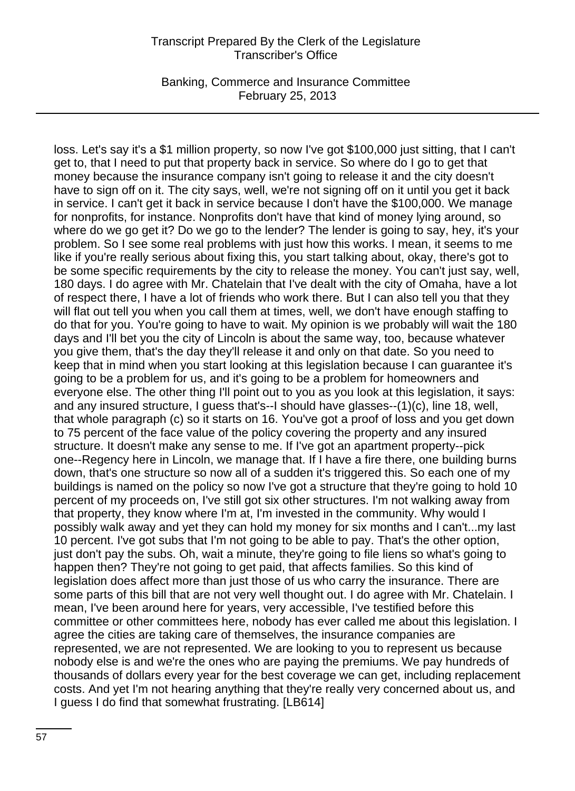Banking, Commerce and Insurance Committee February 25, 2013

loss. Let's say it's a \$1 million property, so now I've got \$100,000 just sitting, that I can't get to, that I need to put that property back in service. So where do I go to get that money because the insurance company isn't going to release it and the city doesn't have to sign off on it. The city says, well, we're not signing off on it until you get it back in service. I can't get it back in service because I don't have the \$100,000. We manage for nonprofits, for instance. Nonprofits don't have that kind of money lying around, so where do we go get it? Do we go to the lender? The lender is going to say, hey, it's your problem. So I see some real problems with just how this works. I mean, it seems to me like if you're really serious about fixing this, you start talking about, okay, there's got to be some specific requirements by the city to release the money. You can't just say, well, 180 days. I do agree with Mr. Chatelain that I've dealt with the city of Omaha, have a lot of respect there, I have a lot of friends who work there. But I can also tell you that they will flat out tell you when you call them at times, well, we don't have enough staffing to do that for you. You're going to have to wait. My opinion is we probably will wait the 180 days and I'll bet you the city of Lincoln is about the same way, too, because whatever you give them, that's the day they'll release it and only on that date. So you need to keep that in mind when you start looking at this legislation because I can guarantee it's going to be a problem for us, and it's going to be a problem for homeowners and everyone else. The other thing I'll point out to you as you look at this legislation, it says: and any insured structure, I guess that's--I should have glasses--(1)(c), line 18, well, that whole paragraph (c) so it starts on 16. You've got a proof of loss and you get down to 75 percent of the face value of the policy covering the property and any insured structure. It doesn't make any sense to me. If I've got an apartment property--pick one--Regency here in Lincoln, we manage that. If I have a fire there, one building burns down, that's one structure so now all of a sudden it's triggered this. So each one of my buildings is named on the policy so now I've got a structure that they're going to hold 10 percent of my proceeds on, I've still got six other structures. I'm not walking away from that property, they know where I'm at, I'm invested in the community. Why would I possibly walk away and yet they can hold my money for six months and I can't...my last 10 percent. I've got subs that I'm not going to be able to pay. That's the other option, just don't pay the subs. Oh, wait a minute, they're going to file liens so what's going to happen then? They're not going to get paid, that affects families. So this kind of legislation does affect more than just those of us who carry the insurance. There are some parts of this bill that are not very well thought out. I do agree with Mr. Chatelain. I mean, I've been around here for years, very accessible, I've testified before this committee or other committees here, nobody has ever called me about this legislation. I agree the cities are taking care of themselves, the insurance companies are represented, we are not represented. We are looking to you to represent us because nobody else is and we're the ones who are paying the premiums. We pay hundreds of thousands of dollars every year for the best coverage we can get, including replacement costs. And yet I'm not hearing anything that they're really very concerned about us, and I guess I do find that somewhat frustrating. [LB614]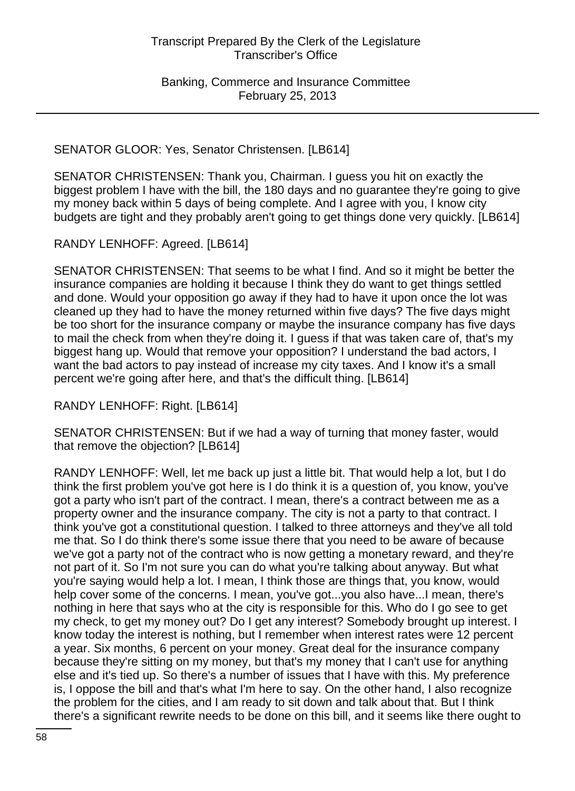SENATOR GLOOR: Yes, Senator Christensen. [LB614]

SENATOR CHRISTENSEN: Thank you, Chairman. I guess you hit on exactly the biggest problem I have with the bill, the 180 days and no guarantee they're going to give my money back within 5 days of being complete. And I agree with you, I know city budgets are tight and they probably aren't going to get things done very quickly. [LB614]

RANDY LENHOFF: Agreed. [LB614]

SENATOR CHRISTENSEN: That seems to be what I find. And so it might be better the insurance companies are holding it because I think they do want to get things settled and done. Would your opposition go away if they had to have it upon once the lot was cleaned up they had to have the money returned within five days? The five days might be too short for the insurance company or maybe the insurance company has five days to mail the check from when they're doing it. I guess if that was taken care of, that's my biggest hang up. Would that remove your opposition? I understand the bad actors, I want the bad actors to pay instead of increase my city taxes. And I know it's a small percent we're going after here, and that's the difficult thing. [LB614]

RANDY LENHOFF: Right. [LB614]

SENATOR CHRISTENSEN: But if we had a way of turning that money faster, would that remove the objection? [LB614]

RANDY LENHOFF: Well, let me back up just a little bit. That would help a lot, but I do think the first problem you've got here is I do think it is a question of, you know, you've got a party who isn't part of the contract. I mean, there's a contract between me as a property owner and the insurance company. The city is not a party to that contract. I think you've got a constitutional question. I talked to three attorneys and they've all told me that. So I do think there's some issue there that you need to be aware of because we've got a party not of the contract who is now getting a monetary reward, and they're not part of it. So I'm not sure you can do what you're talking about anyway. But what you're saying would help a lot. I mean, I think those are things that, you know, would help cover some of the concerns. I mean, you've got...you also have...I mean, there's nothing in here that says who at the city is responsible for this. Who do I go see to get my check, to get my money out? Do I get any interest? Somebody brought up interest. I know today the interest is nothing, but I remember when interest rates were 12 percent a year. Six months, 6 percent on your money. Great deal for the insurance company because they're sitting on my money, but that's my money that I can't use for anything else and it's tied up. So there's a number of issues that I have with this. My preference is, I oppose the bill and that's what I'm here to say. On the other hand, I also recognize the problem for the cities, and I am ready to sit down and talk about that. But I think there's a significant rewrite needs to be done on this bill, and it seems like there ought to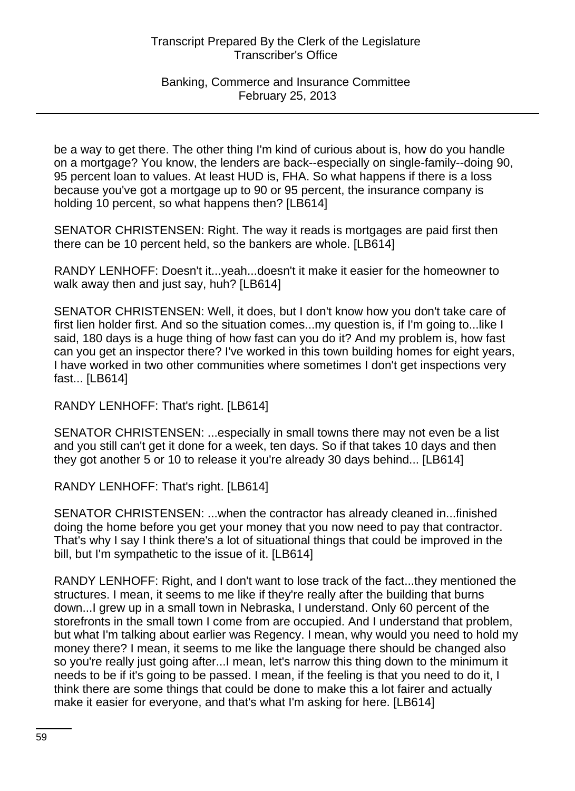### Banking, Commerce and Insurance Committee February 25, 2013

be a way to get there. The other thing I'm kind of curious about is, how do you handle on a mortgage? You know, the lenders are back--especially on single-family--doing 90, 95 percent loan to values. At least HUD is, FHA. So what happens if there is a loss because you've got a mortgage up to 90 or 95 percent, the insurance company is holding 10 percent, so what happens then? [LB614]

SENATOR CHRISTENSEN: Right. The way it reads is mortgages are paid first then there can be 10 percent held, so the bankers are whole. [LB614]

RANDY LENHOFF: Doesn't it...yeah...doesn't it make it easier for the homeowner to walk away then and just say, huh? [LB614]

SENATOR CHRISTENSEN: Well, it does, but I don't know how you don't take care of first lien holder first. And so the situation comes...my question is, if I'm going to...like I said, 180 days is a huge thing of how fast can you do it? And my problem is, how fast can you get an inspector there? I've worked in this town building homes for eight years, I have worked in two other communities where sometimes I don't get inspections very fast... [LB614]

RANDY LENHOFF: That's right. [LB614]

SENATOR CHRISTENSEN: ...especially in small towns there may not even be a list and you still can't get it done for a week, ten days. So if that takes 10 days and then they got another 5 or 10 to release it you're already 30 days behind... [LB614]

RANDY LENHOFF: That's right. [LB614]

SENATOR CHRISTENSEN: ...when the contractor has already cleaned in...finished doing the home before you get your money that you now need to pay that contractor. That's why I say I think there's a lot of situational things that could be improved in the bill, but I'm sympathetic to the issue of it. [LB614]

RANDY LENHOFF: Right, and I don't want to lose track of the fact...they mentioned the structures. I mean, it seems to me like if they're really after the building that burns down...I grew up in a small town in Nebraska, I understand. Only 60 percent of the storefronts in the small town I come from are occupied. And I understand that problem, but what I'm talking about earlier was Regency. I mean, why would you need to hold my money there? I mean, it seems to me like the language there should be changed also so you're really just going after...I mean, let's narrow this thing down to the minimum it needs to be if it's going to be passed. I mean, if the feeling is that you need to do it, I think there are some things that could be done to make this a lot fairer and actually make it easier for everyone, and that's what I'm asking for here. [LB614]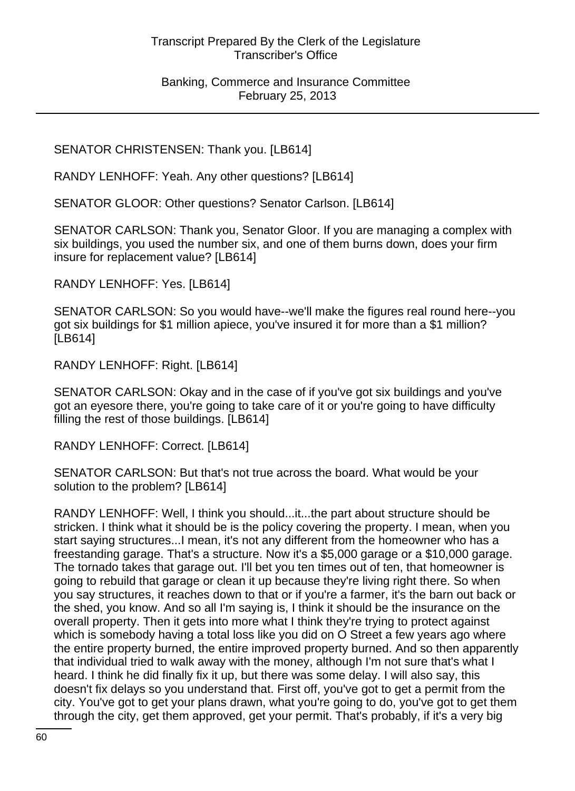SENATOR CHRISTENSEN: Thank you. [LB614]

RANDY LENHOFF: Yeah. Any other questions? [LB614]

SENATOR GLOOR: Other questions? Senator Carlson. [LB614]

SENATOR CARLSON: Thank you, Senator Gloor. If you are managing a complex with six buildings, you used the number six, and one of them burns down, does your firm insure for replacement value? [LB614]

RANDY LENHOFF: Yes. [LB614]

SENATOR CARLSON: So you would have--we'll make the figures real round here--you got six buildings for \$1 million apiece, you've insured it for more than a \$1 million? [LB614]

RANDY LENHOFF: Right. [LB614]

SENATOR CARLSON: Okay and in the case of if you've got six buildings and you've got an eyesore there, you're going to take care of it or you're going to have difficulty filling the rest of those buildings. [LB614]

RANDY LENHOFF: Correct. [LB614]

SENATOR CARLSON: But that's not true across the board. What would be your solution to the problem? [LB614]

RANDY LENHOFF: Well, I think you should...it...the part about structure should be stricken. I think what it should be is the policy covering the property. I mean, when you start saying structures...I mean, it's not any different from the homeowner who has a freestanding garage. That's a structure. Now it's a \$5,000 garage or a \$10,000 garage. The tornado takes that garage out. I'll bet you ten times out of ten, that homeowner is going to rebuild that garage or clean it up because they're living right there. So when you say structures, it reaches down to that or if you're a farmer, it's the barn out back or the shed, you know. And so all I'm saying is, I think it should be the insurance on the overall property. Then it gets into more what I think they're trying to protect against which is somebody having a total loss like you did on O Street a few years ago where the entire property burned, the entire improved property burned. And so then apparently that individual tried to walk away with the money, although I'm not sure that's what I heard. I think he did finally fix it up, but there was some delay. I will also say, this doesn't fix delays so you understand that. First off, you've got to get a permit from the city. You've got to get your plans drawn, what you're going to do, you've got to get them through the city, get them approved, get your permit. That's probably, if it's a very big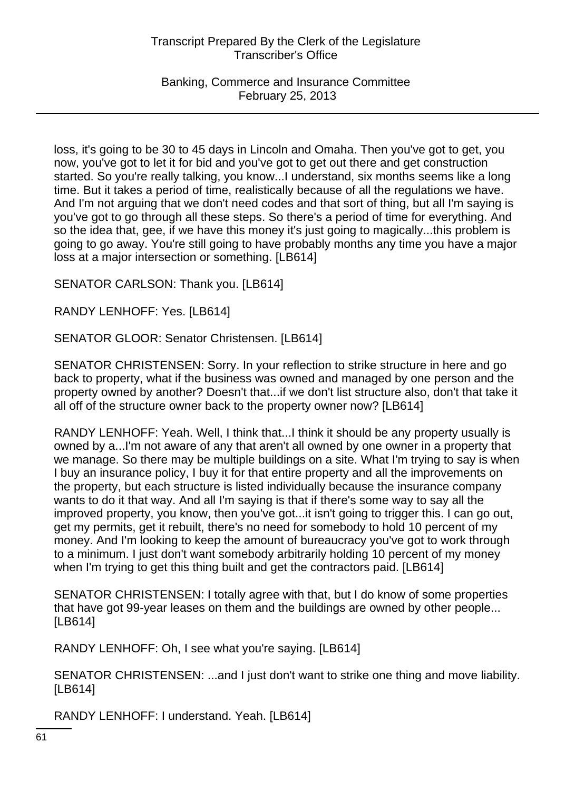Banking, Commerce and Insurance Committee February 25, 2013

loss, it's going to be 30 to 45 days in Lincoln and Omaha. Then you've got to get, you now, you've got to let it for bid and you've got to get out there and get construction started. So you're really talking, you know...I understand, six months seems like a long time. But it takes a period of time, realistically because of all the regulations we have. And I'm not arguing that we don't need codes and that sort of thing, but all I'm saying is you've got to go through all these steps. So there's a period of time for everything. And so the idea that, gee, if we have this money it's just going to magically...this problem is going to go away. You're still going to have probably months any time you have a major loss at a major intersection or something. [LB614]

SENATOR CARLSON: Thank you. [LB614]

RANDY LENHOFF: Yes. [LB614]

SENATOR GLOOR: Senator Christensen. [LB614]

SENATOR CHRISTENSEN: Sorry. In your reflection to strike structure in here and go back to property, what if the business was owned and managed by one person and the property owned by another? Doesn't that...if we don't list structure also, don't that take it all off of the structure owner back to the property owner now? [LB614]

RANDY LENHOFF: Yeah. Well, I think that...I think it should be any property usually is owned by a...I'm not aware of any that aren't all owned by one owner in a property that we manage. So there may be multiple buildings on a site. What I'm trying to say is when I buy an insurance policy, I buy it for that entire property and all the improvements on the property, but each structure is listed individually because the insurance company wants to do it that way. And all I'm saying is that if there's some way to say all the improved property, you know, then you've got...it isn't going to trigger this. I can go out, get my permits, get it rebuilt, there's no need for somebody to hold 10 percent of my money. And I'm looking to keep the amount of bureaucracy you've got to work through to a minimum. I just don't want somebody arbitrarily holding 10 percent of my money when I'm trying to get this thing built and get the contractors paid. [LB614]

SENATOR CHRISTENSEN: I totally agree with that, but I do know of some properties that have got 99-year leases on them and the buildings are owned by other people... [LB614]

RANDY LENHOFF: Oh, I see what you're saying. [LB614]

SENATOR CHRISTENSEN: ...and I just don't want to strike one thing and move liability. [LB614]

RANDY LENHOFF: I understand. Yeah. [LB614]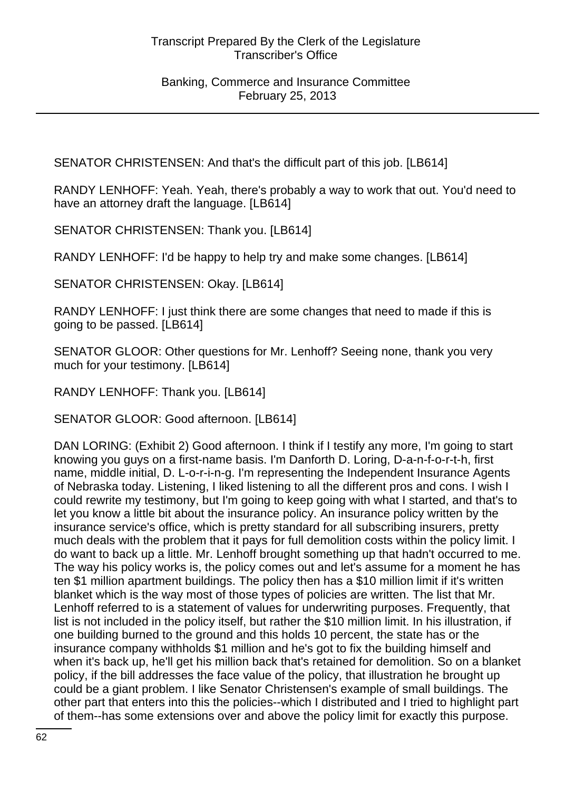SENATOR CHRISTENSEN: And that's the difficult part of this job. [LB614]

RANDY LENHOFF: Yeah. Yeah, there's probably a way to work that out. You'd need to have an attorney draft the language. [LB614]

SENATOR CHRISTENSEN: Thank you. [LB614]

RANDY LENHOFF: I'd be happy to help try and make some changes. [LB614]

SENATOR CHRISTENSEN: Okay. [LB614]

RANDY LENHOFF: I just think there are some changes that need to made if this is going to be passed. [LB614]

SENATOR GLOOR: Other questions for Mr. Lenhoff? Seeing none, thank you very much for your testimony. [LB614]

RANDY LENHOFF: Thank you. [LB614]

SENATOR GLOOR: Good afternoon. [LB614]

DAN LORING: (Exhibit 2) Good afternoon. I think if I testify any more, I'm going to start knowing you guys on a first-name basis. I'm Danforth D. Loring, D-a-n-f-o-r-t-h, first name, middle initial, D. L-o-r-i-n-g. I'm representing the Independent Insurance Agents of Nebraska today. Listening, I liked listening to all the different pros and cons. I wish I could rewrite my testimony, but I'm going to keep going with what I started, and that's to let you know a little bit about the insurance policy. An insurance policy written by the insurance service's office, which is pretty standard for all subscribing insurers, pretty much deals with the problem that it pays for full demolition costs within the policy limit. I do want to back up a little. Mr. Lenhoff brought something up that hadn't occurred to me. The way his policy works is, the policy comes out and let's assume for a moment he has ten \$1 million apartment buildings. The policy then has a \$10 million limit if it's written blanket which is the way most of those types of policies are written. The list that Mr. Lenhoff referred to is a statement of values for underwriting purposes. Frequently, that list is not included in the policy itself, but rather the \$10 million limit. In his illustration, if one building burned to the ground and this holds 10 percent, the state has or the insurance company withholds \$1 million and he's got to fix the building himself and when it's back up, he'll get his million back that's retained for demolition. So on a blanket policy, if the bill addresses the face value of the policy, that illustration he brought up could be a giant problem. I like Senator Christensen's example of small buildings. The other part that enters into this the policies--which I distributed and I tried to highlight part of them--has some extensions over and above the policy limit for exactly this purpose.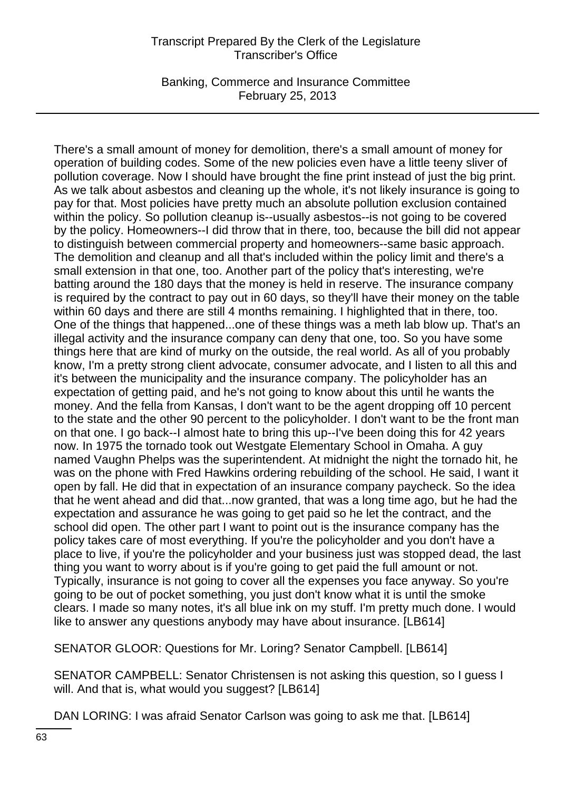Banking, Commerce and Insurance Committee February 25, 2013

There's a small amount of money for demolition, there's a small amount of money for operation of building codes. Some of the new policies even have a little teeny sliver of pollution coverage. Now I should have brought the fine print instead of just the big print. As we talk about asbestos and cleaning up the whole, it's not likely insurance is going to pay for that. Most policies have pretty much an absolute pollution exclusion contained within the policy. So pollution cleanup is--usually asbestos--is not going to be covered by the policy. Homeowners--I did throw that in there, too, because the bill did not appear to distinguish between commercial property and homeowners--same basic approach. The demolition and cleanup and all that's included within the policy limit and there's a small extension in that one, too. Another part of the policy that's interesting, we're batting around the 180 days that the money is held in reserve. The insurance company is required by the contract to pay out in 60 days, so they'll have their money on the table within 60 days and there are still 4 months remaining. I highlighted that in there, too. One of the things that happened...one of these things was a meth lab blow up. That's an illegal activity and the insurance company can deny that one, too. So you have some things here that are kind of murky on the outside, the real world. As all of you probably know, I'm a pretty strong client advocate, consumer advocate, and I listen to all this and it's between the municipality and the insurance company. The policyholder has an expectation of getting paid, and he's not going to know about this until he wants the money. And the fella from Kansas, I don't want to be the agent dropping off 10 percent to the state and the other 90 percent to the policyholder. I don't want to be the front man on that one. I go back--I almost hate to bring this up--I've been doing this for 42 years now. In 1975 the tornado took out Westgate Elementary School in Omaha. A guy named Vaughn Phelps was the superintendent. At midnight the night the tornado hit, he was on the phone with Fred Hawkins ordering rebuilding of the school. He said, I want it open by fall. He did that in expectation of an insurance company paycheck. So the idea that he went ahead and did that...now granted, that was a long time ago, but he had the expectation and assurance he was going to get paid so he let the contract, and the school did open. The other part I want to point out is the insurance company has the policy takes care of most everything. If you're the policyholder and you don't have a place to live, if you're the policyholder and your business just was stopped dead, the last thing you want to worry about is if you're going to get paid the full amount or not. Typically, insurance is not going to cover all the expenses you face anyway. So you're going to be out of pocket something, you just don't know what it is until the smoke clears. I made so many notes, it's all blue ink on my stuff. I'm pretty much done. I would like to answer any questions anybody may have about insurance. [LB614]

SENATOR GLOOR: Questions for Mr. Loring? Senator Campbell. [LB614]

SENATOR CAMPBELL: Senator Christensen is not asking this question, so I guess I will. And that is, what would you suggest? [LB614]

DAN LORING: I was afraid Senator Carlson was going to ask me that. [LB614]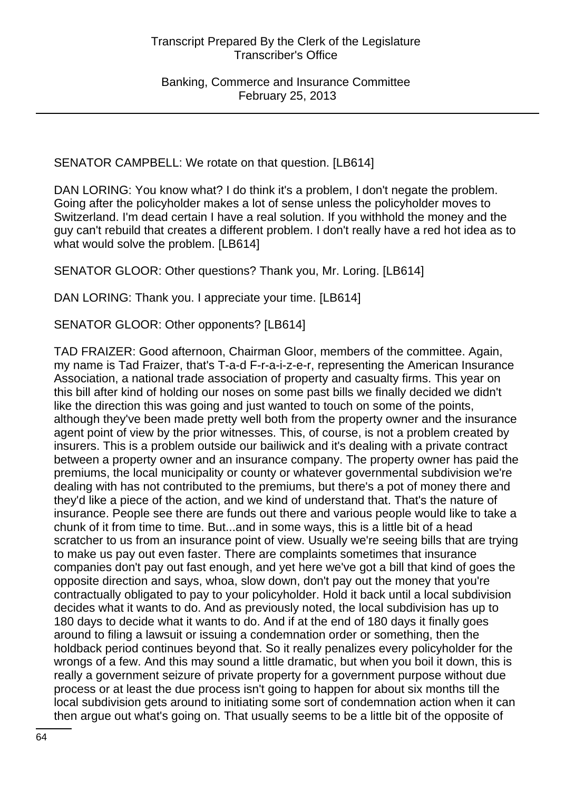SENATOR CAMPBELL: We rotate on that question. [LB614]

DAN LORING: You know what? I do think it's a problem, I don't negate the problem. Going after the policyholder makes a lot of sense unless the policyholder moves to Switzerland. I'm dead certain I have a real solution. If you withhold the money and the guy can't rebuild that creates a different problem. I don't really have a red hot idea as to what would solve the problem. [LB614]

SENATOR GLOOR: Other questions? Thank you, Mr. Loring. [LB614]

DAN LORING: Thank you. I appreciate your time. [LB614]

SENATOR GLOOR: Other opponents? [LB614]

TAD FRAIZER: Good afternoon, Chairman Gloor, members of the committee. Again, my name is Tad Fraizer, that's T-a-d F-r-a-i-z-e-r, representing the American Insurance Association, a national trade association of property and casualty firms. This year on this bill after kind of holding our noses on some past bills we finally decided we didn't like the direction this was going and just wanted to touch on some of the points, although they've been made pretty well both from the property owner and the insurance agent point of view by the prior witnesses. This, of course, is not a problem created by insurers. This is a problem outside our bailiwick and it's dealing with a private contract between a property owner and an insurance company. The property owner has paid the premiums, the local municipality or county or whatever governmental subdivision we're dealing with has not contributed to the premiums, but there's a pot of money there and they'd like a piece of the action, and we kind of understand that. That's the nature of insurance. People see there are funds out there and various people would like to take a chunk of it from time to time. But...and in some ways, this is a little bit of a head scratcher to us from an insurance point of view. Usually we're seeing bills that are trying to make us pay out even faster. There are complaints sometimes that insurance companies don't pay out fast enough, and yet here we've got a bill that kind of goes the opposite direction and says, whoa, slow down, don't pay out the money that you're contractually obligated to pay to your policyholder. Hold it back until a local subdivision decides what it wants to do. And as previously noted, the local subdivision has up to 180 days to decide what it wants to do. And if at the end of 180 days it finally goes around to filing a lawsuit or issuing a condemnation order or something, then the holdback period continues beyond that. So it really penalizes every policyholder for the wrongs of a few. And this may sound a little dramatic, but when you boil it down, this is really a government seizure of private property for a government purpose without due process or at least the due process isn't going to happen for about six months till the local subdivision gets around to initiating some sort of condemnation action when it can then argue out what's going on. That usually seems to be a little bit of the opposite of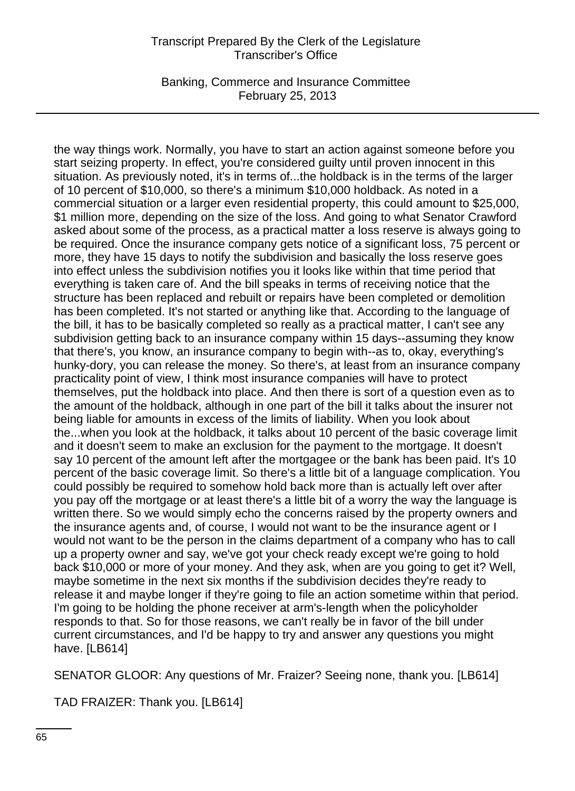Banking, Commerce and Insurance Committee February 25, 2013

the way things work. Normally, you have to start an action against someone before you start seizing property. In effect, you're considered guilty until proven innocent in this situation. As previously noted, it's in terms of...the holdback is in the terms of the larger of 10 percent of \$10,000, so there's a minimum \$10,000 holdback. As noted in a commercial situation or a larger even residential property, this could amount to \$25,000, \$1 million more, depending on the size of the loss. And going to what Senator Crawford asked about some of the process, as a practical matter a loss reserve is always going to be required. Once the insurance company gets notice of a significant loss, 75 percent or more, they have 15 days to notify the subdivision and basically the loss reserve goes into effect unless the subdivision notifies you it looks like within that time period that everything is taken care of. And the bill speaks in terms of receiving notice that the structure has been replaced and rebuilt or repairs have been completed or demolition has been completed. It's not started or anything like that. According to the language of the bill, it has to be basically completed so really as a practical matter, I can't see any subdivision getting back to an insurance company within 15 days--assuming they know that there's, you know, an insurance company to begin with--as to, okay, everything's hunky-dory, you can release the money. So there's, at least from an insurance company practicality point of view, I think most insurance companies will have to protect themselves, put the holdback into place. And then there is sort of a question even as to the amount of the holdback, although in one part of the bill it talks about the insurer not being liable for amounts in excess of the limits of liability. When you look about the...when you look at the holdback, it talks about 10 percent of the basic coverage limit and it doesn't seem to make an exclusion for the payment to the mortgage. It doesn't say 10 percent of the amount left after the mortgagee or the bank has been paid. It's 10 percent of the basic coverage limit. So there's a little bit of a language complication. You could possibly be required to somehow hold back more than is actually left over after you pay off the mortgage or at least there's a little bit of a worry the way the language is written there. So we would simply echo the concerns raised by the property owners and the insurance agents and, of course, I would not want to be the insurance agent or I would not want to be the person in the claims department of a company who has to call up a property owner and say, we've got your check ready except we're going to hold back \$10,000 or more of your money. And they ask, when are you going to get it? Well, maybe sometime in the next six months if the subdivision decides they're ready to release it and maybe longer if they're going to file an action sometime within that period. I'm going to be holding the phone receiver at arm's-length when the policyholder responds to that. So for those reasons, we can't really be in favor of the bill under current circumstances, and I'd be happy to try and answer any questions you might have. [LB614]

SENATOR GLOOR: Any questions of Mr. Fraizer? Seeing none, thank you. [LB614]

TAD FRAIZER: Thank you. [LB614]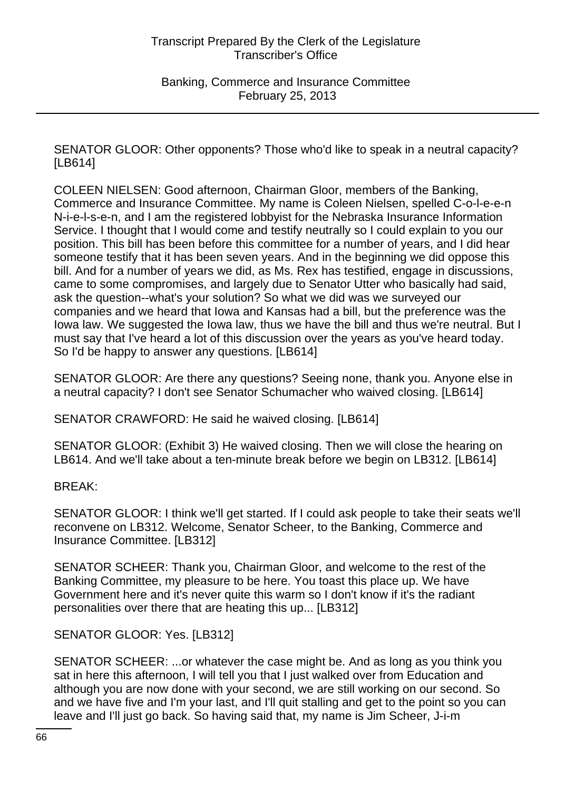SENATOR GLOOR: Other opponents? Those who'd like to speak in a neutral capacity? [LB614]

COLEEN NIELSEN: Good afternoon, Chairman Gloor, members of the Banking, Commerce and Insurance Committee. My name is Coleen Nielsen, spelled C-o-l-e-e-n N-i-e-l-s-e-n, and I am the registered lobbyist for the Nebraska Insurance Information Service. I thought that I would come and testify neutrally so I could explain to you our position. This bill has been before this committee for a number of years, and I did hear someone testify that it has been seven years. And in the beginning we did oppose this bill. And for a number of years we did, as Ms. Rex has testified, engage in discussions, came to some compromises, and largely due to Senator Utter who basically had said, ask the question--what's your solution? So what we did was we surveyed our companies and we heard that Iowa and Kansas had a bill, but the preference was the Iowa law. We suggested the Iowa law, thus we have the bill and thus we're neutral. But I must say that I've heard a lot of this discussion over the years as you've heard today. So I'd be happy to answer any questions. [LB614]

SENATOR GLOOR: Are there any questions? Seeing none, thank you. Anyone else in a neutral capacity? I don't see Senator Schumacher who waived closing. [LB614]

SENATOR CRAWFORD: He said he waived closing. [LB614]

SENATOR GLOOR: (Exhibit 3) He waived closing. Then we will close the hearing on LB614. And we'll take about a ten-minute break before we begin on LB312. [LB614]

BREAK:

SENATOR GLOOR: I think we'll get started. If I could ask people to take their seats we'll reconvene on LB312. Welcome, Senator Scheer, to the Banking, Commerce and Insurance Committee. [LB312]

SENATOR SCHEER: Thank you, Chairman Gloor, and welcome to the rest of the Banking Committee, my pleasure to be here. You toast this place up. We have Government here and it's never quite this warm so I don't know if it's the radiant personalities over there that are heating this up... [LB312]

SENATOR GLOOR: Yes. [LB312]

SENATOR SCHEER: ...or whatever the case might be. And as long as you think you sat in here this afternoon, I will tell you that I just walked over from Education and although you are now done with your second, we are still working on our second. So and we have five and I'm your last, and I'll quit stalling and get to the point so you can leave and I'll just go back. So having said that, my name is Jim Scheer, J-i-m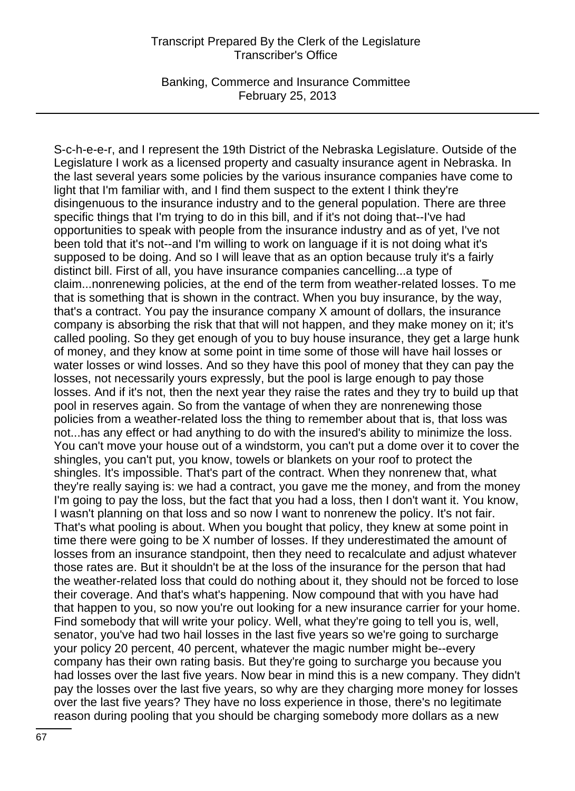Banking, Commerce and Insurance Committee February 25, 2013

S-c-h-e-e-r, and I represent the 19th District of the Nebraska Legislature. Outside of the Legislature I work as a licensed property and casualty insurance agent in Nebraska. In the last several years some policies by the various insurance companies have come to light that I'm familiar with, and I find them suspect to the extent I think they're disingenuous to the insurance industry and to the general population. There are three specific things that I'm trying to do in this bill, and if it's not doing that--I've had opportunities to speak with people from the insurance industry and as of yet, I've not been told that it's not--and I'm willing to work on language if it is not doing what it's supposed to be doing. And so I will leave that as an option because truly it's a fairly distinct bill. First of all, you have insurance companies cancelling...a type of claim...nonrenewing policies, at the end of the term from weather-related losses. To me that is something that is shown in the contract. When you buy insurance, by the way, that's a contract. You pay the insurance company X amount of dollars, the insurance company is absorbing the risk that that will not happen, and they make money on it; it's called pooling. So they get enough of you to buy house insurance, they get a large hunk of money, and they know at some point in time some of those will have hail losses or water losses or wind losses. And so they have this pool of money that they can pay the losses, not necessarily yours expressly, but the pool is large enough to pay those losses. And if it's not, then the next year they raise the rates and they try to build up that pool in reserves again. So from the vantage of when they are nonrenewing those policies from a weather-related loss the thing to remember about that is, that loss was not...has any effect or had anything to do with the insured's ability to minimize the loss. You can't move your house out of a windstorm, you can't put a dome over it to cover the shingles, you can't put, you know, towels or blankets on your roof to protect the shingles. It's impossible. That's part of the contract. When they nonrenew that, what they're really saying is: we had a contract, you gave me the money, and from the money I'm going to pay the loss, but the fact that you had a loss, then I don't want it. You know, I wasn't planning on that loss and so now I want to nonrenew the policy. It's not fair. That's what pooling is about. When you bought that policy, they knew at some point in time there were going to be X number of losses. If they underestimated the amount of losses from an insurance standpoint, then they need to recalculate and adjust whatever those rates are. But it shouldn't be at the loss of the insurance for the person that had the weather-related loss that could do nothing about it, they should not be forced to lose their coverage. And that's what's happening. Now compound that with you have had that happen to you, so now you're out looking for a new insurance carrier for your home. Find somebody that will write your policy. Well, what they're going to tell you is, well, senator, you've had two hail losses in the last five years so we're going to surcharge your policy 20 percent, 40 percent, whatever the magic number might be--every company has their own rating basis. But they're going to surcharge you because you had losses over the last five years. Now bear in mind this is a new company. They didn't pay the losses over the last five years, so why are they charging more money for losses over the last five years? They have no loss experience in those, there's no legitimate reason during pooling that you should be charging somebody more dollars as a new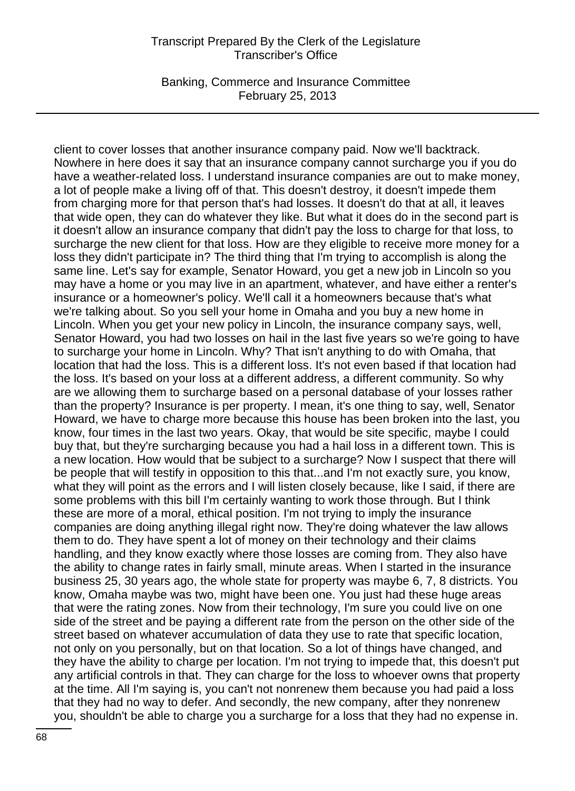Banking, Commerce and Insurance Committee February 25, 2013

client to cover losses that another insurance company paid. Now we'll backtrack. Nowhere in here does it say that an insurance company cannot surcharge you if you do have a weather-related loss. I understand insurance companies are out to make money, a lot of people make a living off of that. This doesn't destroy, it doesn't impede them from charging more for that person that's had losses. It doesn't do that at all, it leaves that wide open, they can do whatever they like. But what it does do in the second part is it doesn't allow an insurance company that didn't pay the loss to charge for that loss, to surcharge the new client for that loss. How are they eligible to receive more money for a loss they didn't participate in? The third thing that I'm trying to accomplish is along the same line. Let's say for example, Senator Howard, you get a new job in Lincoln so you may have a home or you may live in an apartment, whatever, and have either a renter's insurance or a homeowner's policy. We'll call it a homeowners because that's what we're talking about. So you sell your home in Omaha and you buy a new home in Lincoln. When you get your new policy in Lincoln, the insurance company says, well, Senator Howard, you had two losses on hail in the last five years so we're going to have to surcharge your home in Lincoln. Why? That isn't anything to do with Omaha, that location that had the loss. This is a different loss. It's not even based if that location had the loss. It's based on your loss at a different address, a different community. So why are we allowing them to surcharge based on a personal database of your losses rather than the property? Insurance is per property. I mean, it's one thing to say, well, Senator Howard, we have to charge more because this house has been broken into the last, you know, four times in the last two years. Okay, that would be site specific, maybe I could buy that, but they're surcharging because you had a hail loss in a different town. This is a new location. How would that be subject to a surcharge? Now I suspect that there will be people that will testify in opposition to this that...and I'm not exactly sure, you know, what they will point as the errors and I will listen closely because, like I said, if there are some problems with this bill I'm certainly wanting to work those through. But I think these are more of a moral, ethical position. I'm not trying to imply the insurance companies are doing anything illegal right now. They're doing whatever the law allows them to do. They have spent a lot of money on their technology and their claims handling, and they know exactly where those losses are coming from. They also have the ability to change rates in fairly small, minute areas. When I started in the insurance business 25, 30 years ago, the whole state for property was maybe 6, 7, 8 districts. You know, Omaha maybe was two, might have been one. You just had these huge areas that were the rating zones. Now from their technology, I'm sure you could live on one side of the street and be paying a different rate from the person on the other side of the street based on whatever accumulation of data they use to rate that specific location, not only on you personally, but on that location. So a lot of things have changed, and they have the ability to charge per location. I'm not trying to impede that, this doesn't put any artificial controls in that. They can charge for the loss to whoever owns that property at the time. All I'm saying is, you can't not nonrenew them because you had paid a loss that they had no way to defer. And secondly, the new company, after they nonrenew you, shouldn't be able to charge you a surcharge for a loss that they had no expense in.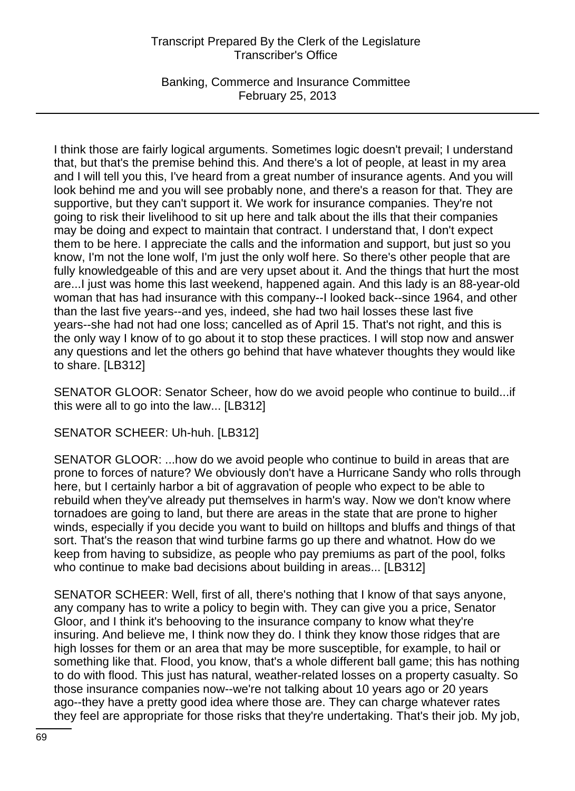Banking, Commerce and Insurance Committee February 25, 2013

I think those are fairly logical arguments. Sometimes logic doesn't prevail; I understand that, but that's the premise behind this. And there's a lot of people, at least in my area and I will tell you this, I've heard from a great number of insurance agents. And you will look behind me and you will see probably none, and there's a reason for that. They are supportive, but they can't support it. We work for insurance companies. They're not going to risk their livelihood to sit up here and talk about the ills that their companies may be doing and expect to maintain that contract. I understand that, I don't expect them to be here. I appreciate the calls and the information and support, but just so you know, I'm not the lone wolf, I'm just the only wolf here. So there's other people that are fully knowledgeable of this and are very upset about it. And the things that hurt the most are...I just was home this last weekend, happened again. And this lady is an 88-year-old woman that has had insurance with this company--I looked back--since 1964, and other than the last five years--and yes, indeed, she had two hail losses these last five years--she had not had one loss; cancelled as of April 15. That's not right, and this is the only way I know of to go about it to stop these practices. I will stop now and answer any questions and let the others go behind that have whatever thoughts they would like to share. [LB312]

SENATOR GLOOR: Senator Scheer, how do we avoid people who continue to build...if this were all to go into the law... [LB312]

SENATOR SCHEER: Uh-huh. [LB312]

SENATOR GLOOR: ...how do we avoid people who continue to build in areas that are prone to forces of nature? We obviously don't have a Hurricane Sandy who rolls through here, but I certainly harbor a bit of aggravation of people who expect to be able to rebuild when they've already put themselves in harm's way. Now we don't know where tornadoes are going to land, but there are areas in the state that are prone to higher winds, especially if you decide you want to build on hilltops and bluffs and things of that sort. That's the reason that wind turbine farms go up there and whatnot. How do we keep from having to subsidize, as people who pay premiums as part of the pool, folks who continue to make bad decisions about building in areas... [LB312]

SENATOR SCHEER: Well, first of all, there's nothing that I know of that says anyone, any company has to write a policy to begin with. They can give you a price, Senator Gloor, and I think it's behooving to the insurance company to know what they're insuring. And believe me, I think now they do. I think they know those ridges that are high losses for them or an area that may be more susceptible, for example, to hail or something like that. Flood, you know, that's a whole different ball game; this has nothing to do with flood. This just has natural, weather-related losses on a property casualty. So those insurance companies now--we're not talking about 10 years ago or 20 years ago--they have a pretty good idea where those are. They can charge whatever rates they feel are appropriate for those risks that they're undertaking. That's their job. My job,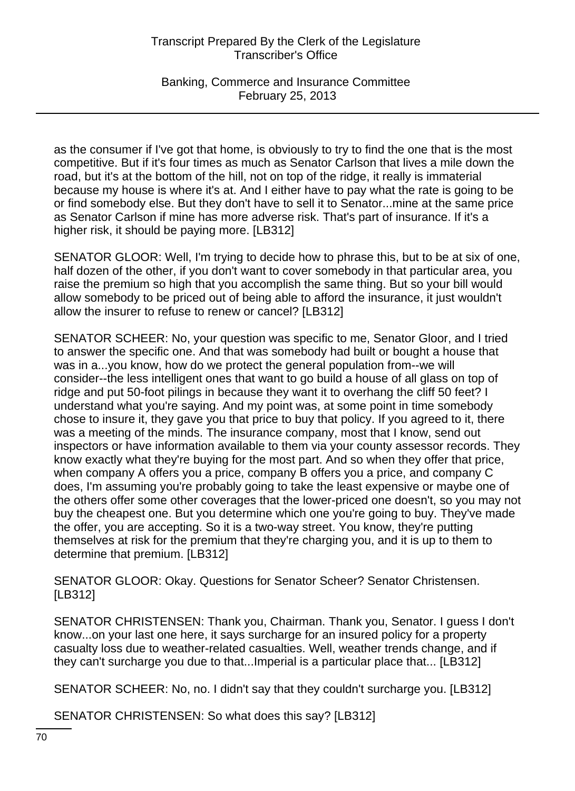Banking, Commerce and Insurance Committee February 25, 2013

as the consumer if I've got that home, is obviously to try to find the one that is the most competitive. But if it's four times as much as Senator Carlson that lives a mile down the road, but it's at the bottom of the hill, not on top of the ridge, it really is immaterial because my house is where it's at. And I either have to pay what the rate is going to be or find somebody else. But they don't have to sell it to Senator...mine at the same price as Senator Carlson if mine has more adverse risk. That's part of insurance. If it's a higher risk, it should be paying more. [LB312]

SENATOR GLOOR: Well, I'm trying to decide how to phrase this, but to be at six of one, half dozen of the other, if you don't want to cover somebody in that particular area, you raise the premium so high that you accomplish the same thing. But so your bill would allow somebody to be priced out of being able to afford the insurance, it just wouldn't allow the insurer to refuse to renew or cancel? [LB312]

SENATOR SCHEER: No, your question was specific to me, Senator Gloor, and I tried to answer the specific one. And that was somebody had built or bought a house that was in a...you know, how do we protect the general population from--we will consider--the less intelligent ones that want to go build a house of all glass on top of ridge and put 50-foot pilings in because they want it to overhang the cliff 50 feet? I understand what you're saying. And my point was, at some point in time somebody chose to insure it, they gave you that price to buy that policy. If you agreed to it, there was a meeting of the minds. The insurance company, most that I know, send out inspectors or have information available to them via your county assessor records. They know exactly what they're buying for the most part. And so when they offer that price, when company A offers you a price, company B offers you a price, and company C does, I'm assuming you're probably going to take the least expensive or maybe one of the others offer some other coverages that the lower-priced one doesn't, so you may not buy the cheapest one. But you determine which one you're going to buy. They've made the offer, you are accepting. So it is a two-way street. You know, they're putting themselves at risk for the premium that they're charging you, and it is up to them to determine that premium. [LB312]

SENATOR GLOOR: Okay. Questions for Senator Scheer? Senator Christensen. [LB312]

SENATOR CHRISTENSEN: Thank you, Chairman. Thank you, Senator. I guess I don't know...on your last one here, it says surcharge for an insured policy for a property casualty loss due to weather-related casualties. Well, weather trends change, and if they can't surcharge you due to that...Imperial is a particular place that... [LB312]

SENATOR SCHEER: No, no. I didn't say that they couldn't surcharge you. [LB312]

SENATOR CHRISTENSEN: So what does this say? [LB312]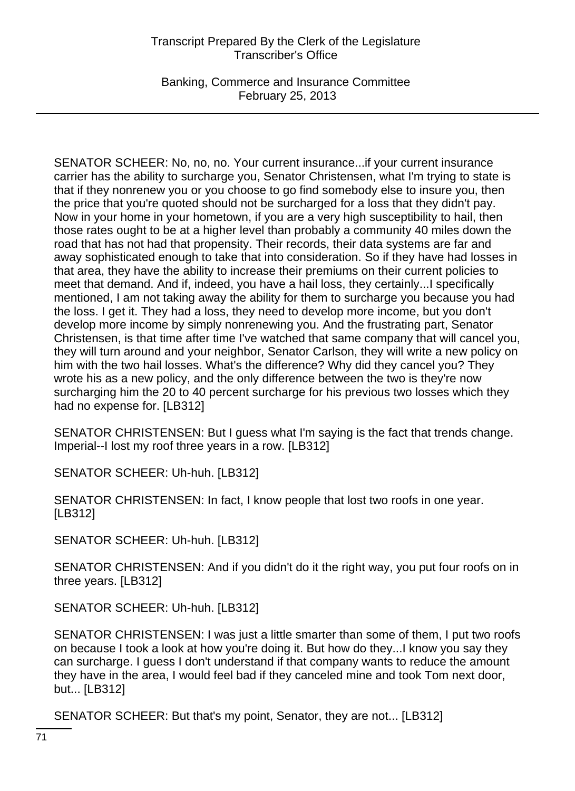Banking, Commerce and Insurance Committee February 25, 2013

SENATOR SCHEER: No, no, no. Your current insurance...if your current insurance carrier has the ability to surcharge you, Senator Christensen, what I'm trying to state is that if they nonrenew you or you choose to go find somebody else to insure you, then the price that you're quoted should not be surcharged for a loss that they didn't pay. Now in your home in your hometown, if you are a very high susceptibility to hail, then those rates ought to be at a higher level than probably a community 40 miles down the road that has not had that propensity. Their records, their data systems are far and away sophisticated enough to take that into consideration. So if they have had losses in that area, they have the ability to increase their premiums on their current policies to meet that demand. And if, indeed, you have a hail loss, they certainly...I specifically mentioned, I am not taking away the ability for them to surcharge you because you had the loss. I get it. They had a loss, they need to develop more income, but you don't develop more income by simply nonrenewing you. And the frustrating part, Senator Christensen, is that time after time I've watched that same company that will cancel you, they will turn around and your neighbor, Senator Carlson, they will write a new policy on him with the two hail losses. What's the difference? Why did they cancel you? They wrote his as a new policy, and the only difference between the two is they're now surcharging him the 20 to 40 percent surcharge for his previous two losses which they had no expense for. [LB312]

SENATOR CHRISTENSEN: But I guess what I'm saying is the fact that trends change. Imperial--I lost my roof three years in a row. [LB312]

SENATOR SCHEER: Uh-huh. [LB312]

SENATOR CHRISTENSEN: In fact, I know people that lost two roofs in one year. [LB312]

SENATOR SCHEER: Uh-huh. [LB312]

SENATOR CHRISTENSEN: And if you didn't do it the right way, you put four roofs on in three years. [LB312]

SENATOR SCHEER: Uh-huh. [LB312]

SENATOR CHRISTENSEN: I was just a little smarter than some of them, I put two roofs on because I took a look at how you're doing it. But how do they...I know you say they can surcharge. I guess I don't understand if that company wants to reduce the amount they have in the area, I would feel bad if they canceled mine and took Tom next door, but... [LB312]

SENATOR SCHEER: But that's my point, Senator, they are not... [LB312]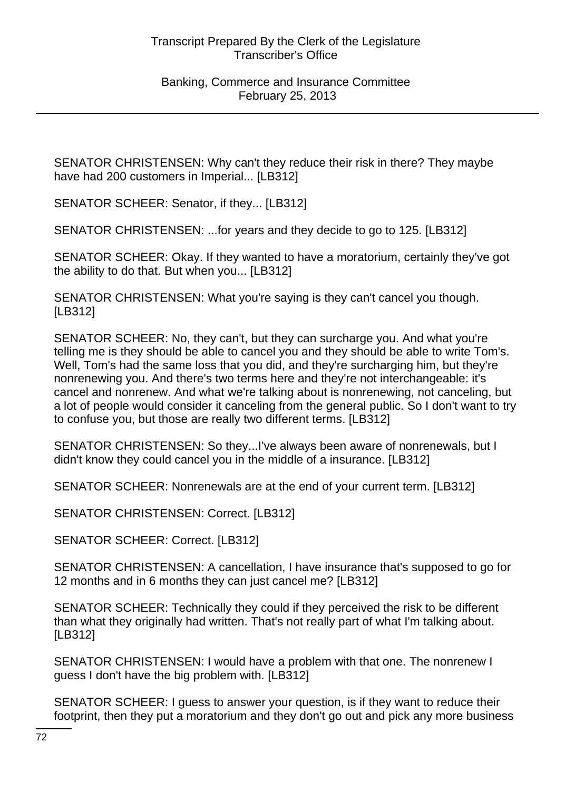SENATOR CHRISTENSEN: Why can't they reduce their risk in there? They maybe have had 200 customers in Imperial... [LB312]

SENATOR SCHEER: Senator, if they... [LB312]

SENATOR CHRISTENSEN: ...for years and they decide to go to 125. [LB312]

SENATOR SCHEER: Okay. If they wanted to have a moratorium, certainly they've got the ability to do that. But when you... [LB312]

SENATOR CHRISTENSEN: What you're saying is they can't cancel you though. [LB312]

SENATOR SCHEER: No, they can't, but they can surcharge you. And what you're telling me is they should be able to cancel you and they should be able to write Tom's. Well, Tom's had the same loss that you did, and they're surcharging him, but they're nonrenewing you. And there's two terms here and they're not interchangeable: it's cancel and nonrenew. And what we're talking about is nonrenewing, not canceling, but a lot of people would consider it canceling from the general public. So I don't want to try to confuse you, but those are really two different terms. [LB312]

SENATOR CHRISTENSEN: So they...I've always been aware of nonrenewals, but I didn't know they could cancel you in the middle of a insurance. [LB312]

SENATOR SCHEER: Nonrenewals are at the end of your current term. [LB312]

SENATOR CHRISTENSEN: Correct. [LB312]

SENATOR SCHEER: Correct. [LB312]

SENATOR CHRISTENSEN: A cancellation, I have insurance that's supposed to go for 12 months and in 6 months they can just cancel me? [LB312]

SENATOR SCHEER: Technically they could if they perceived the risk to be different than what they originally had written. That's not really part of what I'm talking about. [LB312]

SENATOR CHRISTENSEN: I would have a problem with that one. The nonrenew I guess I don't have the big problem with. [LB312]

SENATOR SCHEER: I guess to answer your question, is if they want to reduce their footprint, then they put a moratorium and they don't go out and pick any more business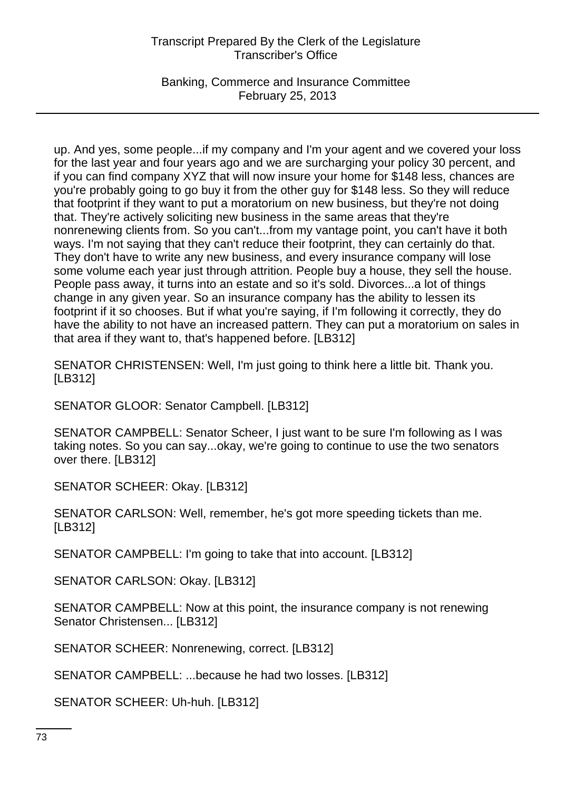Banking, Commerce and Insurance Committee February 25, 2013

up. And yes, some people...if my company and I'm your agent and we covered your loss for the last year and four years ago and we are surcharging your policy 30 percent, and if you can find company XYZ that will now insure your home for \$148 less, chances are you're probably going to go buy it from the other guy for \$148 less. So they will reduce that footprint if they want to put a moratorium on new business, but they're not doing that. They're actively soliciting new business in the same areas that they're nonrenewing clients from. So you can't...from my vantage point, you can't have it both ways. I'm not saying that they can't reduce their footprint, they can certainly do that. They don't have to write any new business, and every insurance company will lose some volume each year just through attrition. People buy a house, they sell the house. People pass away, it turns into an estate and so it's sold. Divorces...a lot of things change in any given year. So an insurance company has the ability to lessen its footprint if it so chooses. But if what you're saying, if I'm following it correctly, they do have the ability to not have an increased pattern. They can put a moratorium on sales in that area if they want to, that's happened before. [LB312]

SENATOR CHRISTENSEN: Well, I'm just going to think here a little bit. Thank you. [LB312]

SENATOR GLOOR: Senator Campbell. [LB312]

SENATOR CAMPBELL: Senator Scheer, I just want to be sure I'm following as I was taking notes. So you can say...okay, we're going to continue to use the two senators over there. [LB312]

SENATOR SCHEER: Okay. [LB312]

SENATOR CARLSON: Well, remember, he's got more speeding tickets than me. [LB312]

SENATOR CAMPBELL: I'm going to take that into account. [LB312]

SENATOR CARLSON: Okay. [LB312]

SENATOR CAMPBELL: Now at this point, the insurance company is not renewing Senator Christensen... [LB312]

SENATOR SCHEER: Nonrenewing, correct. [LB312]

SENATOR CAMPBELL: ...because he had two losses. [LB312]

SENATOR SCHEER: Uh-huh. [LB312]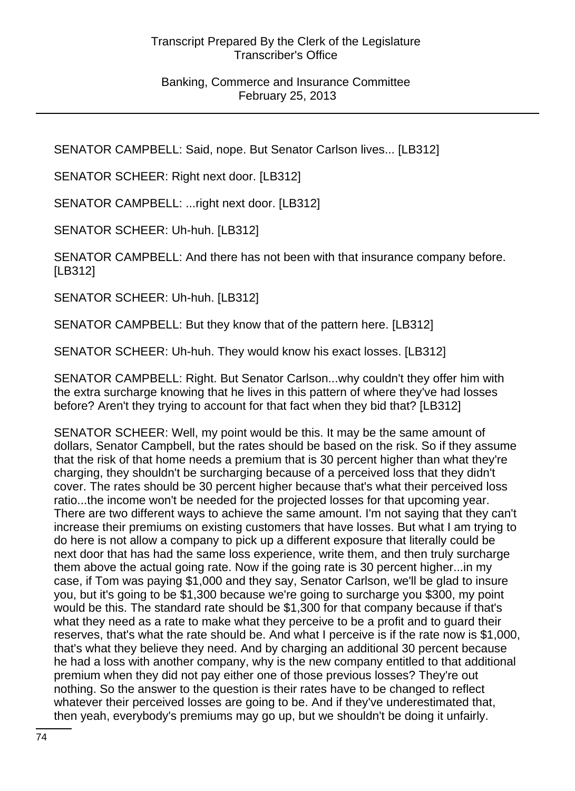SENATOR CAMPBELL: Said, nope. But Senator Carlson lives... [LB312]

SENATOR SCHEER: Right next door. [LB312]

SENATOR CAMPBELL: ...right next door. [LB312]

SENATOR SCHEER: Uh-huh. [LB312]

SENATOR CAMPBELL: And there has not been with that insurance company before. [LB312]

SENATOR SCHEER: Uh-huh. [LB312]

SENATOR CAMPBELL: But they know that of the pattern here. [LB312]

SENATOR SCHEER: Uh-huh. They would know his exact losses. [LB312]

SENATOR CAMPBELL: Right. But Senator Carlson...why couldn't they offer him with the extra surcharge knowing that he lives in this pattern of where they've had losses before? Aren't they trying to account for that fact when they bid that? [LB312]

SENATOR SCHEER: Well, my point would be this. It may be the same amount of dollars, Senator Campbell, but the rates should be based on the risk. So if they assume that the risk of that home needs a premium that is 30 percent higher than what they're charging, they shouldn't be surcharging because of a perceived loss that they didn't cover. The rates should be 30 percent higher because that's what their perceived loss ratio...the income won't be needed for the projected losses for that upcoming year. There are two different ways to achieve the same amount. I'm not saying that they can't increase their premiums on existing customers that have losses. But what I am trying to do here is not allow a company to pick up a different exposure that literally could be next door that has had the same loss experience, write them, and then truly surcharge them above the actual going rate. Now if the going rate is 30 percent higher...in my case, if Tom was paying \$1,000 and they say, Senator Carlson, we'll be glad to insure you, but it's going to be \$1,300 because we're going to surcharge you \$300, my point would be this. The standard rate should be \$1,300 for that company because if that's what they need as a rate to make what they perceive to be a profit and to guard their reserves, that's what the rate should be. And what I perceive is if the rate now is \$1,000, that's what they believe they need. And by charging an additional 30 percent because he had a loss with another company, why is the new company entitled to that additional premium when they did not pay either one of those previous losses? They're out nothing. So the answer to the question is their rates have to be changed to reflect whatever their perceived losses are going to be. And if they've underestimated that, then yeah, everybody's premiums may go up, but we shouldn't be doing it unfairly.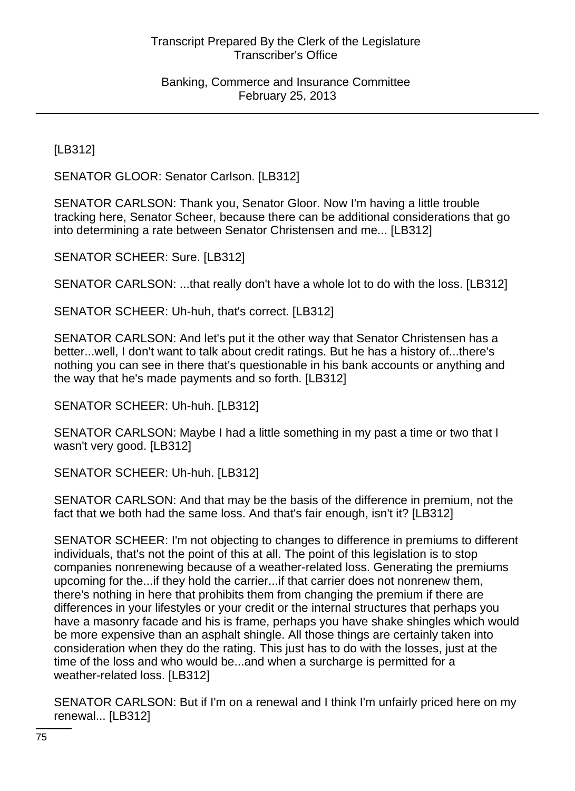[LB312]

SENATOR GLOOR: Senator Carlson. [LB312]

SENATOR CARLSON: Thank you, Senator Gloor. Now I'm having a little trouble tracking here, Senator Scheer, because there can be additional considerations that go into determining a rate between Senator Christensen and me... [LB312]

SENATOR SCHEER: Sure. [LB312]

SENATOR CARLSON: ...that really don't have a whole lot to do with the loss. [LB312]

SENATOR SCHEER: Uh-huh, that's correct. [LB312]

SENATOR CARLSON: And let's put it the other way that Senator Christensen has a better...well, I don't want to talk about credit ratings. But he has a history of...there's nothing you can see in there that's questionable in his bank accounts or anything and the way that he's made payments and so forth. [LB312]

SENATOR SCHEER: Uh-huh. [LB312]

SENATOR CARLSON: Maybe I had a little something in my past a time or two that I wasn't very good. [LB312]

SENATOR SCHEER: Uh-huh. [LB312]

SENATOR CARLSON: And that may be the basis of the difference in premium, not the fact that we both had the same loss. And that's fair enough, isn't it? [LB312]

SENATOR SCHEER: I'm not objecting to changes to difference in premiums to different individuals, that's not the point of this at all. The point of this legislation is to stop companies nonrenewing because of a weather-related loss. Generating the premiums upcoming for the...if they hold the carrier...if that carrier does not nonrenew them, there's nothing in here that prohibits them from changing the premium if there are differences in your lifestyles or your credit or the internal structures that perhaps you have a masonry facade and his is frame, perhaps you have shake shingles which would be more expensive than an asphalt shingle. All those things are certainly taken into consideration when they do the rating. This just has to do with the losses, just at the time of the loss and who would be...and when a surcharge is permitted for a weather-related loss. [LB312]

SENATOR CARLSON: But if I'm on a renewal and I think I'm unfairly priced here on my renewal... [LB312]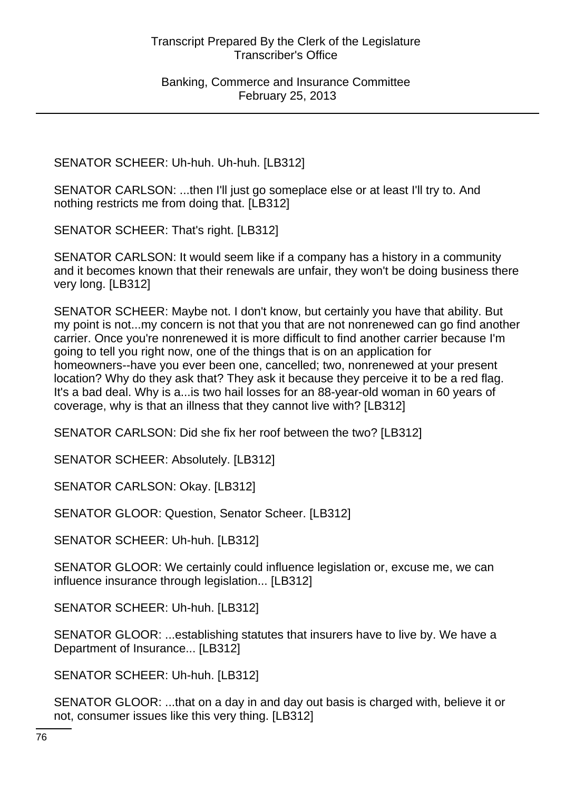SENATOR SCHEER: Uh-huh. Uh-huh. [LB312]

SENATOR CARLSON: ...then I'll just go someplace else or at least I'll try to. And nothing restricts me from doing that. [LB312]

SENATOR SCHEER: That's right. [LB312]

SENATOR CARLSON: It would seem like if a company has a history in a community and it becomes known that their renewals are unfair, they won't be doing business there very long. [LB312]

SENATOR SCHEER: Maybe not. I don't know, but certainly you have that ability. But my point is not...my concern is not that you that are not nonrenewed can go find another carrier. Once you're nonrenewed it is more difficult to find another carrier because I'm going to tell you right now, one of the things that is on an application for homeowners--have you ever been one, cancelled; two, nonrenewed at your present location? Why do they ask that? They ask it because they perceive it to be a red flag. It's a bad deal. Why is a...is two hail losses for an 88-year-old woman in 60 years of coverage, why is that an illness that they cannot live with? [LB312]

SENATOR CARLSON: Did she fix her roof between the two? [LB312]

SENATOR SCHEER: Absolutely. [LB312]

SENATOR CARLSON: Okay. [LB312]

SENATOR GLOOR: Question, Senator Scheer. [LB312]

SENATOR SCHEER: Uh-huh. [LB312]

SENATOR GLOOR: We certainly could influence legislation or, excuse me, we can influence insurance through legislation... [LB312]

SENATOR SCHEER: Uh-huh. [LB312]

SENATOR GLOOR: ...establishing statutes that insurers have to live by. We have a Department of Insurance... [LB312]

SENATOR SCHEER: Uh-huh. [LB312]

SENATOR GLOOR: ...that on a day in and day out basis is charged with, believe it or not, consumer issues like this very thing. [LB312]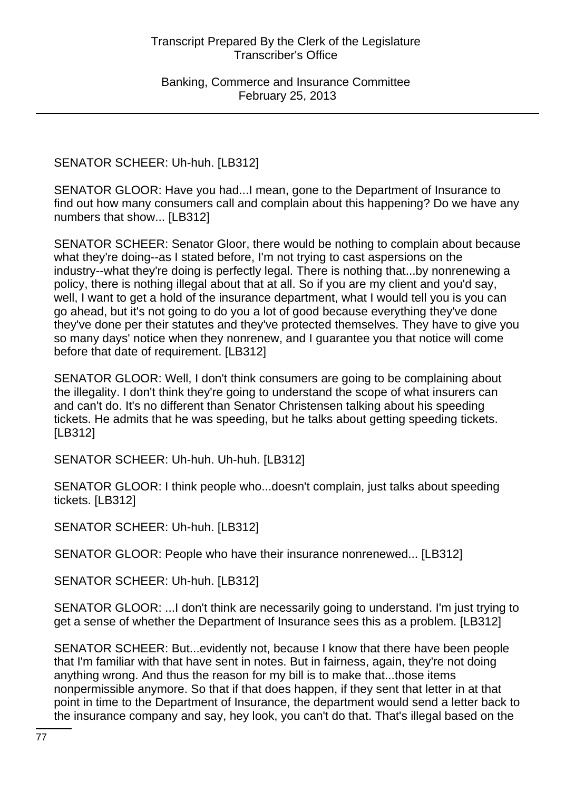SENATOR SCHEER: Uh-huh. [LB312]

SENATOR GLOOR: Have you had...I mean, gone to the Department of Insurance to find out how many consumers call and complain about this happening? Do we have any numbers that show... [LB312]

SENATOR SCHEER: Senator Gloor, there would be nothing to complain about because what they're doing--as I stated before, I'm not trying to cast aspersions on the industry--what they're doing is perfectly legal. There is nothing that...by nonrenewing a policy, there is nothing illegal about that at all. So if you are my client and you'd say, well, I want to get a hold of the insurance department, what I would tell you is you can go ahead, but it's not going to do you a lot of good because everything they've done they've done per their statutes and they've protected themselves. They have to give you so many days' notice when they nonrenew, and I guarantee you that notice will come before that date of requirement. [LB312]

SENATOR GLOOR: Well, I don't think consumers are going to be complaining about the illegality. I don't think they're going to understand the scope of what insurers can and can't do. It's no different than Senator Christensen talking about his speeding tickets. He admits that he was speeding, but he talks about getting speeding tickets. [LB312]

SENATOR SCHEER: Uh-huh. Uh-huh. [LB312]

SENATOR GLOOR: I think people who...doesn't complain, just talks about speeding tickets. [LB312]

SENATOR SCHEER: Uh-huh. [LB312]

SENATOR GLOOR: People who have their insurance nonrenewed... [LB312]

SENATOR SCHEER: Uh-huh. [LB312]

SENATOR GLOOR: ...I don't think are necessarily going to understand. I'm just trying to get a sense of whether the Department of Insurance sees this as a problem. [LB312]

SENATOR SCHEER: But...evidently not, because I know that there have been people that I'm familiar with that have sent in notes. But in fairness, again, they're not doing anything wrong. And thus the reason for my bill is to make that...those items nonpermissible anymore. So that if that does happen, if they sent that letter in at that point in time to the Department of Insurance, the department would send a letter back to the insurance company and say, hey look, you can't do that. That's illegal based on the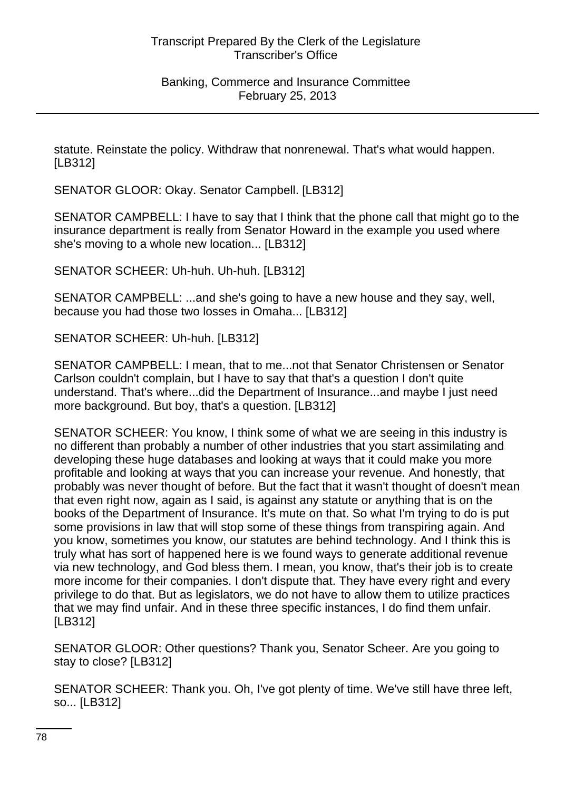statute. Reinstate the policy. Withdraw that nonrenewal. That's what would happen. [LB312]

SENATOR GLOOR: Okay. Senator Campbell. [LB312]

SENATOR CAMPBELL: I have to say that I think that the phone call that might go to the insurance department is really from Senator Howard in the example you used where she's moving to a whole new location... [LB312]

SENATOR SCHEER: Uh-huh. Uh-huh. [LB312]

SENATOR CAMPBELL: ...and she's going to have a new house and they say, well, because you had those two losses in Omaha... [LB312]

SENATOR SCHEER: Uh-huh. [LB312]

SENATOR CAMPBELL: I mean, that to me...not that Senator Christensen or Senator Carlson couldn't complain, but I have to say that that's a question I don't quite understand. That's where...did the Department of Insurance...and maybe I just need more background. But boy, that's a question. [LB312]

SENATOR SCHEER: You know, I think some of what we are seeing in this industry is no different than probably a number of other industries that you start assimilating and developing these huge databases and looking at ways that it could make you more profitable and looking at ways that you can increase your revenue. And honestly, that probably was never thought of before. But the fact that it wasn't thought of doesn't mean that even right now, again as I said, is against any statute or anything that is on the books of the Department of Insurance. It's mute on that. So what I'm trying to do is put some provisions in law that will stop some of these things from transpiring again. And you know, sometimes you know, our statutes are behind technology. And I think this is truly what has sort of happened here is we found ways to generate additional revenue via new technology, and God bless them. I mean, you know, that's their job is to create more income for their companies. I don't dispute that. They have every right and every privilege to do that. But as legislators, we do not have to allow them to utilize practices that we may find unfair. And in these three specific instances, I do find them unfair. [LB312]

SENATOR GLOOR: Other questions? Thank you, Senator Scheer. Are you going to stay to close? [LB312]

SENATOR SCHEER: Thank you. Oh, I've got plenty of time. We've still have three left, so... [LB312]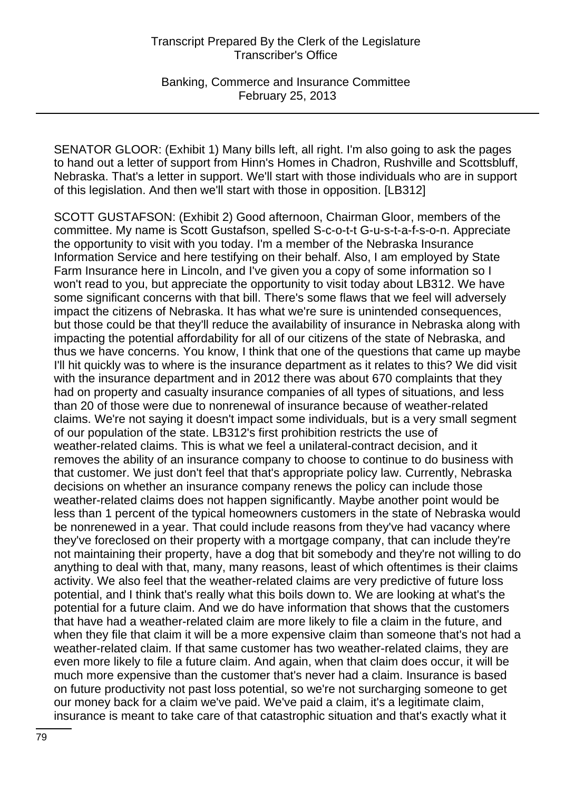Banking, Commerce and Insurance Committee February 25, 2013

SENATOR GLOOR: (Exhibit 1) Many bills left, all right. I'm also going to ask the pages to hand out a letter of support from Hinn's Homes in Chadron, Rushville and Scottsbluff, Nebraska. That's a letter in support. We'll start with those individuals who are in support of this legislation. And then we'll start with those in opposition. [LB312]

SCOTT GUSTAFSON: (Exhibit 2) Good afternoon, Chairman Gloor, members of the committee. My name is Scott Gustafson, spelled S-c-o-t-t G-u-s-t-a-f-s-o-n. Appreciate the opportunity to visit with you today. I'm a member of the Nebraska Insurance Information Service and here testifying on their behalf. Also, I am employed by State Farm Insurance here in Lincoln, and I've given you a copy of some information so I won't read to you, but appreciate the opportunity to visit today about LB312. We have some significant concerns with that bill. There's some flaws that we feel will adversely impact the citizens of Nebraska. It has what we're sure is unintended consequences, but those could be that they'll reduce the availability of insurance in Nebraska along with impacting the potential affordability for all of our citizens of the state of Nebraska, and thus we have concerns. You know, I think that one of the questions that came up maybe I'll hit quickly was to where is the insurance department as it relates to this? We did visit with the insurance department and in 2012 there was about 670 complaints that they had on property and casualty insurance companies of all types of situations, and less than 20 of those were due to nonrenewal of insurance because of weather-related claims. We're not saying it doesn't impact some individuals, but is a very small segment of our population of the state. LB312's first prohibition restricts the use of weather-related claims. This is what we feel a unilateral-contract decision, and it removes the ability of an insurance company to choose to continue to do business with that customer. We just don't feel that that's appropriate policy law. Currently, Nebraska decisions on whether an insurance company renews the policy can include those weather-related claims does not happen significantly. Maybe another point would be less than 1 percent of the typical homeowners customers in the state of Nebraska would be nonrenewed in a year. That could include reasons from they've had vacancy where they've foreclosed on their property with a mortgage company, that can include they're not maintaining their property, have a dog that bit somebody and they're not willing to do anything to deal with that, many, many reasons, least of which oftentimes is their claims activity. We also feel that the weather-related claims are very predictive of future loss potential, and I think that's really what this boils down to. We are looking at what's the potential for a future claim. And we do have information that shows that the customers that have had a weather-related claim are more likely to file a claim in the future, and when they file that claim it will be a more expensive claim than someone that's not had a weather-related claim. If that same customer has two weather-related claims, they are even more likely to file a future claim. And again, when that claim does occur, it will be much more expensive than the customer that's never had a claim. Insurance is based on future productivity not past loss potential, so we're not surcharging someone to get our money back for a claim we've paid. We've paid a claim, it's a legitimate claim, insurance is meant to take care of that catastrophic situation and that's exactly what it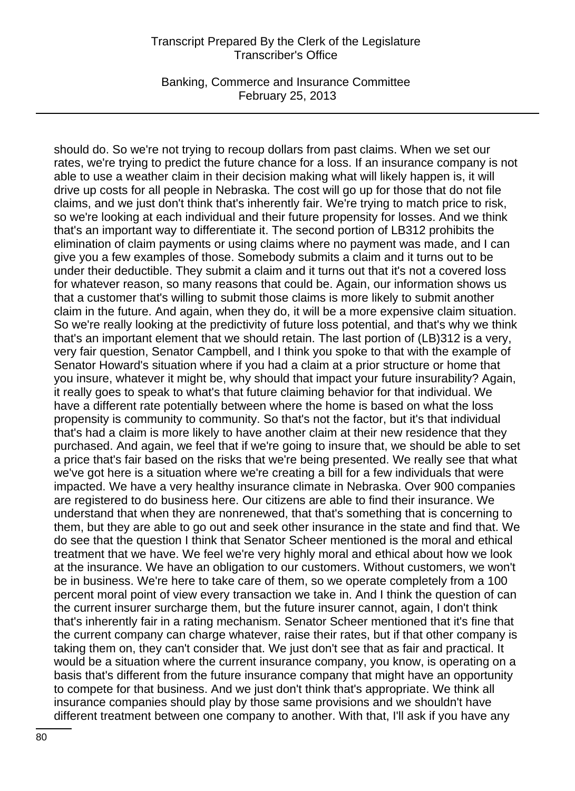Banking, Commerce and Insurance Committee February 25, 2013

should do. So we're not trying to recoup dollars from past claims. When we set our rates, we're trying to predict the future chance for a loss. If an insurance company is not able to use a weather claim in their decision making what will likely happen is, it will drive up costs for all people in Nebraska. The cost will go up for those that do not file claims, and we just don't think that's inherently fair. We're trying to match price to risk, so we're looking at each individual and their future propensity for losses. And we think that's an important way to differentiate it. The second portion of LB312 prohibits the elimination of claim payments or using claims where no payment was made, and I can give you a few examples of those. Somebody submits a claim and it turns out to be under their deductible. They submit a claim and it turns out that it's not a covered loss for whatever reason, so many reasons that could be. Again, our information shows us that a customer that's willing to submit those claims is more likely to submit another claim in the future. And again, when they do, it will be a more expensive claim situation. So we're really looking at the predictivity of future loss potential, and that's why we think that's an important element that we should retain. The last portion of (LB)312 is a very, very fair question, Senator Campbell, and I think you spoke to that with the example of Senator Howard's situation where if you had a claim at a prior structure or home that you insure, whatever it might be, why should that impact your future insurability? Again, it really goes to speak to what's that future claiming behavior for that individual. We have a different rate potentially between where the home is based on what the loss propensity is community to community. So that's not the factor, but it's that individual that's had a claim is more likely to have another claim at their new residence that they purchased. And again, we feel that if we're going to insure that, we should be able to set a price that's fair based on the risks that we're being presented. We really see that what we've got here is a situation where we're creating a bill for a few individuals that were impacted. We have a very healthy insurance climate in Nebraska. Over 900 companies are registered to do business here. Our citizens are able to find their insurance. We understand that when they are nonrenewed, that that's something that is concerning to them, but they are able to go out and seek other insurance in the state and find that. We do see that the question I think that Senator Scheer mentioned is the moral and ethical treatment that we have. We feel we're very highly moral and ethical about how we look at the insurance. We have an obligation to our customers. Without customers, we won't be in business. We're here to take care of them, so we operate completely from a 100 percent moral point of view every transaction we take in. And I think the question of can the current insurer surcharge them, but the future insurer cannot, again, I don't think that's inherently fair in a rating mechanism. Senator Scheer mentioned that it's fine that the current company can charge whatever, raise their rates, but if that other company is taking them on, they can't consider that. We just don't see that as fair and practical. It would be a situation where the current insurance company, you know, is operating on a basis that's different from the future insurance company that might have an opportunity to compete for that business. And we just don't think that's appropriate. We think all insurance companies should play by those same provisions and we shouldn't have different treatment between one company to another. With that, I'll ask if you have any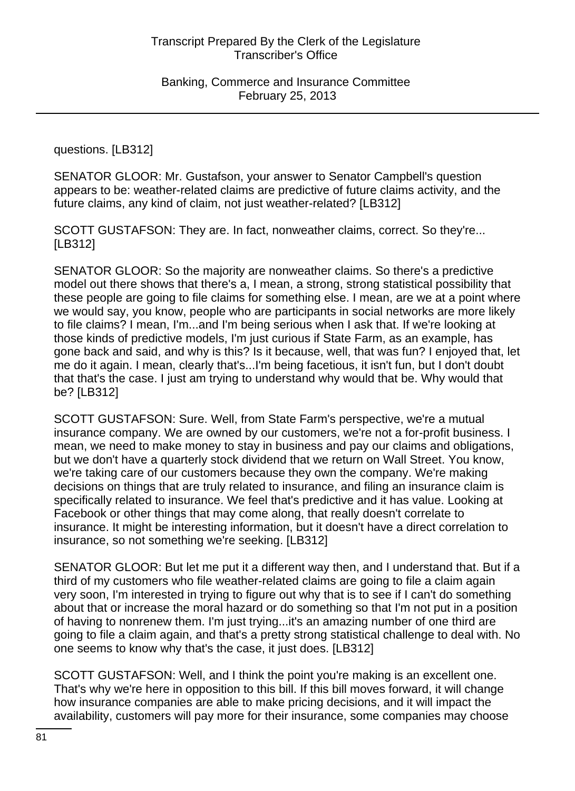questions. [LB312]

SENATOR GLOOR: Mr. Gustafson, your answer to Senator Campbell's question appears to be: weather-related claims are predictive of future claims activity, and the future claims, any kind of claim, not just weather-related? [LB312]

SCOTT GUSTAFSON: They are. In fact, nonweather claims, correct. So they're... [LB312]

SENATOR GLOOR: So the majority are nonweather claims. So there's a predictive model out there shows that there's a, I mean, a strong, strong statistical possibility that these people are going to file claims for something else. I mean, are we at a point where we would say, you know, people who are participants in social networks are more likely to file claims? I mean, I'm...and I'm being serious when I ask that. If we're looking at those kinds of predictive models, I'm just curious if State Farm, as an example, has gone back and said, and why is this? Is it because, well, that was fun? I enjoyed that, let me do it again. I mean, clearly that's...I'm being facetious, it isn't fun, but I don't doubt that that's the case. I just am trying to understand why would that be. Why would that be? [LB312]

SCOTT GUSTAFSON: Sure. Well, from State Farm's perspective, we're a mutual insurance company. We are owned by our customers, we're not a for-profit business. I mean, we need to make money to stay in business and pay our claims and obligations, but we don't have a quarterly stock dividend that we return on Wall Street. You know, we're taking care of our customers because they own the company. We're making decisions on things that are truly related to insurance, and filing an insurance claim is specifically related to insurance. We feel that's predictive and it has value. Looking at Facebook or other things that may come along, that really doesn't correlate to insurance. It might be interesting information, but it doesn't have a direct correlation to insurance, so not something we're seeking. [LB312]

SENATOR GLOOR: But let me put it a different way then, and I understand that. But if a third of my customers who file weather-related claims are going to file a claim again very soon, I'm interested in trying to figure out why that is to see if I can't do something about that or increase the moral hazard or do something so that I'm not put in a position of having to nonrenew them. I'm just trying...it's an amazing number of one third are going to file a claim again, and that's a pretty strong statistical challenge to deal with. No one seems to know why that's the case, it just does. [LB312]

SCOTT GUSTAFSON: Well, and I think the point you're making is an excellent one. That's why we're here in opposition to this bill. If this bill moves forward, it will change how insurance companies are able to make pricing decisions, and it will impact the availability, customers will pay more for their insurance, some companies may choose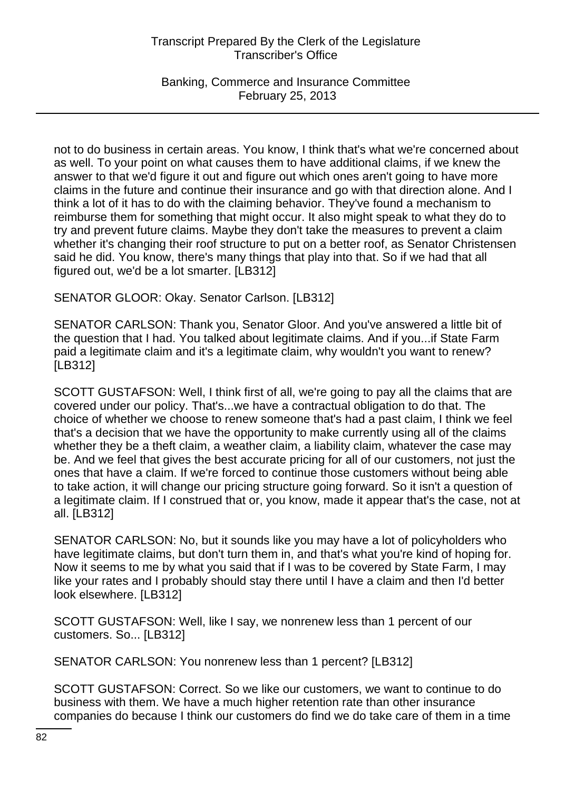Banking, Commerce and Insurance Committee February 25, 2013

not to do business in certain areas. You know, I think that's what we're concerned about as well. To your point on what causes them to have additional claims, if we knew the answer to that we'd figure it out and figure out which ones aren't going to have more claims in the future and continue their insurance and go with that direction alone. And I think a lot of it has to do with the claiming behavior. They've found a mechanism to reimburse them for something that might occur. It also might speak to what they do to try and prevent future claims. Maybe they don't take the measures to prevent a claim whether it's changing their roof structure to put on a better roof, as Senator Christensen said he did. You know, there's many things that play into that. So if we had that all figured out, we'd be a lot smarter. [LB312]

SENATOR GLOOR: Okay. Senator Carlson. [LB312]

SENATOR CARLSON: Thank you, Senator Gloor. And you've answered a little bit of the question that I had. You talked about legitimate claims. And if you...if State Farm paid a legitimate claim and it's a legitimate claim, why wouldn't you want to renew? [LB312]

SCOTT GUSTAFSON: Well, I think first of all, we're going to pay all the claims that are covered under our policy. That's...we have a contractual obligation to do that. The choice of whether we choose to renew someone that's had a past claim, I think we feel that's a decision that we have the opportunity to make currently using all of the claims whether they be a theft claim, a weather claim, a liability claim, whatever the case may be. And we feel that gives the best accurate pricing for all of our customers, not just the ones that have a claim. If we're forced to continue those customers without being able to take action, it will change our pricing structure going forward. So it isn't a question of a legitimate claim. If I construed that or, you know, made it appear that's the case, not at all. [LB312]

SENATOR CARLSON: No, but it sounds like you may have a lot of policyholders who have legitimate claims, but don't turn them in, and that's what you're kind of hoping for. Now it seems to me by what you said that if I was to be covered by State Farm, I may like your rates and I probably should stay there until I have a claim and then I'd better look elsewhere. [LB312]

SCOTT GUSTAFSON: Well, like I say, we nonrenew less than 1 percent of our customers. So... [LB312]

SENATOR CARLSON: You nonrenew less than 1 percent? [LB312]

SCOTT GUSTAFSON: Correct. So we like our customers, we want to continue to do business with them. We have a much higher retention rate than other insurance companies do because I think our customers do find we do take care of them in a time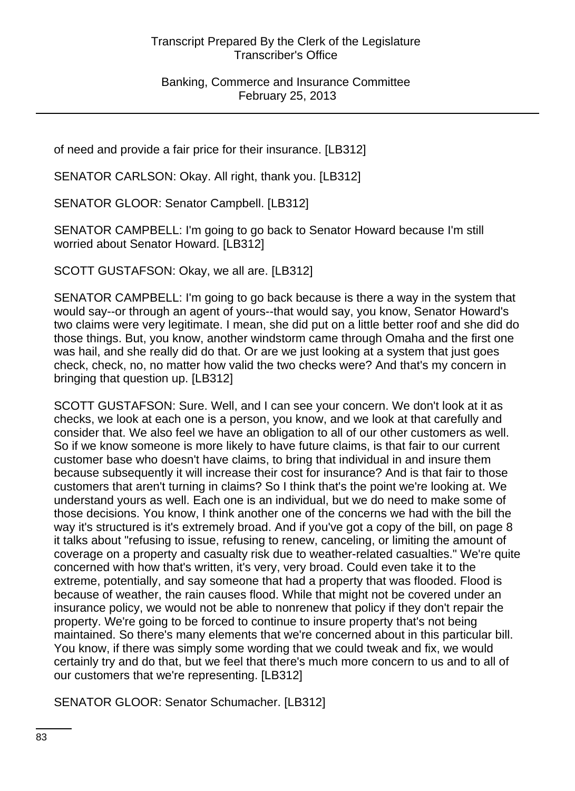of need and provide a fair price for their insurance. [LB312]

SENATOR CARLSON: Okay. All right, thank you. [LB312]

SENATOR GLOOR: Senator Campbell. [LB312]

SENATOR CAMPBELL: I'm going to go back to Senator Howard because I'm still worried about Senator Howard. [LB312]

SCOTT GUSTAFSON: Okay, we all are. [LB312]

SENATOR CAMPBELL: I'm going to go back because is there a way in the system that would say--or through an agent of yours--that would say, you know, Senator Howard's two claims were very legitimate. I mean, she did put on a little better roof and she did do those things. But, you know, another windstorm came through Omaha and the first one was hail, and she really did do that. Or are we just looking at a system that just goes check, check, no, no matter how valid the two checks were? And that's my concern in bringing that question up. [LB312]

SCOTT GUSTAFSON: Sure. Well, and I can see your concern. We don't look at it as checks, we look at each one is a person, you know, and we look at that carefully and consider that. We also feel we have an obligation to all of our other customers as well. So if we know someone is more likely to have future claims, is that fair to our current customer base who doesn't have claims, to bring that individual in and insure them because subsequently it will increase their cost for insurance? And is that fair to those customers that aren't turning in claims? So I think that's the point we're looking at. We understand yours as well. Each one is an individual, but we do need to make some of those decisions. You know, I think another one of the concerns we had with the bill the way it's structured is it's extremely broad. And if you've got a copy of the bill, on page 8 it talks about "refusing to issue, refusing to renew, canceling, or limiting the amount of coverage on a property and casualty risk due to weather-related casualties." We're quite concerned with how that's written, it's very, very broad. Could even take it to the extreme, potentially, and say someone that had a property that was flooded. Flood is because of weather, the rain causes flood. While that might not be covered under an insurance policy, we would not be able to nonrenew that policy if they don't repair the property. We're going to be forced to continue to insure property that's not being maintained. So there's many elements that we're concerned about in this particular bill. You know, if there was simply some wording that we could tweak and fix, we would certainly try and do that, but we feel that there's much more concern to us and to all of our customers that we're representing. [LB312]

SENATOR GLOOR: Senator Schumacher. [LB312]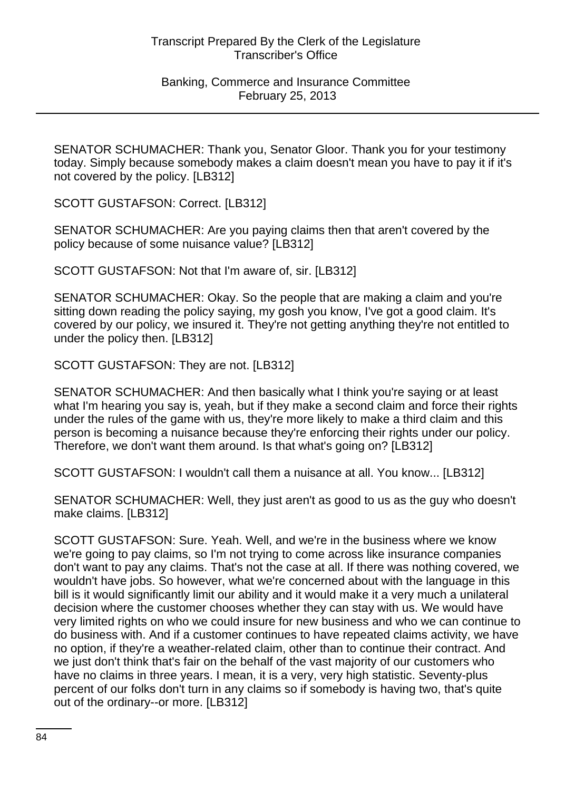SENATOR SCHUMACHER: Thank you, Senator Gloor. Thank you for your testimony today. Simply because somebody makes a claim doesn't mean you have to pay it if it's not covered by the policy. [LB312]

SCOTT GUSTAFSON: Correct. [LB312]

SENATOR SCHUMACHER: Are you paying claims then that aren't covered by the policy because of some nuisance value? [LB312]

SCOTT GUSTAFSON: Not that I'm aware of, sir. [LB312]

SENATOR SCHUMACHER: Okay. So the people that are making a claim and you're sitting down reading the policy saying, my gosh you know, I've got a good claim. It's covered by our policy, we insured it. They're not getting anything they're not entitled to under the policy then. [LB312]

SCOTT GUSTAFSON: They are not. [LB312]

SENATOR SCHUMACHER: And then basically what I think you're saying or at least what I'm hearing you say is, yeah, but if they make a second claim and force their rights under the rules of the game with us, they're more likely to make a third claim and this person is becoming a nuisance because they're enforcing their rights under our policy. Therefore, we don't want them around. Is that what's going on? [LB312]

SCOTT GUSTAFSON: I wouldn't call them a nuisance at all. You know... [LB312]

SENATOR SCHUMACHER: Well, they just aren't as good to us as the guy who doesn't make claims. [LB312]

SCOTT GUSTAFSON: Sure. Yeah. Well, and we're in the business where we know we're going to pay claims, so I'm not trying to come across like insurance companies don't want to pay any claims. That's not the case at all. If there was nothing covered, we wouldn't have jobs. So however, what we're concerned about with the language in this bill is it would significantly limit our ability and it would make it a very much a unilateral decision where the customer chooses whether they can stay with us. We would have very limited rights on who we could insure for new business and who we can continue to do business with. And if a customer continues to have repeated claims activity, we have no option, if they're a weather-related claim, other than to continue their contract. And we just don't think that's fair on the behalf of the vast majority of our customers who have no claims in three years. I mean, it is a very, very high statistic. Seventy-plus percent of our folks don't turn in any claims so if somebody is having two, that's quite out of the ordinary--or more. [LB312]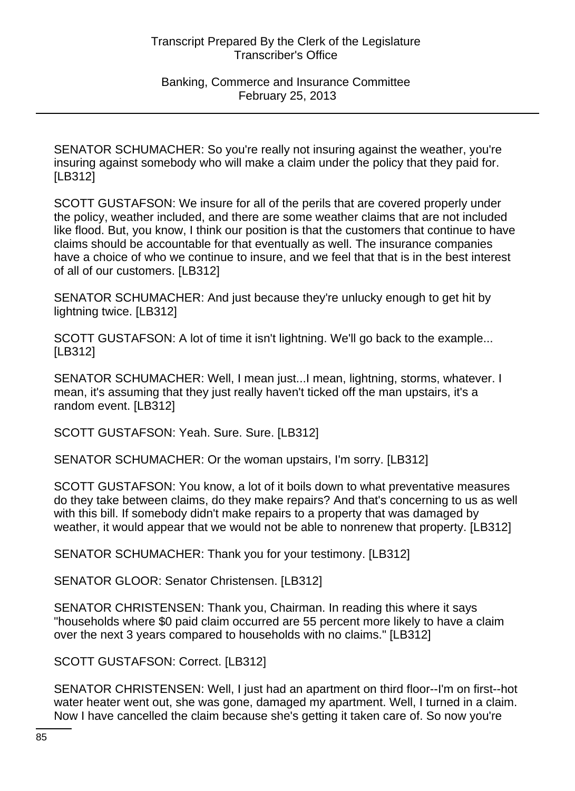SENATOR SCHUMACHER: So you're really not insuring against the weather, you're insuring against somebody who will make a claim under the policy that they paid for. [LB312]

SCOTT GUSTAFSON: We insure for all of the perils that are covered properly under the policy, weather included, and there are some weather claims that are not included like flood. But, you know, I think our position is that the customers that continue to have claims should be accountable for that eventually as well. The insurance companies have a choice of who we continue to insure, and we feel that that is in the best interest of all of our customers. [LB312]

SENATOR SCHUMACHER: And just because they're unlucky enough to get hit by lightning twice. [LB312]

SCOTT GUSTAFSON: A lot of time it isn't lightning. We'll go back to the example... [LB312]

SENATOR SCHUMACHER: Well, I mean just...I mean, lightning, storms, whatever. I mean, it's assuming that they just really haven't ticked off the man upstairs, it's a random event. [LB312]

SCOTT GUSTAFSON: Yeah. Sure. Sure. [LB312]

SENATOR SCHUMACHER: Or the woman upstairs, I'm sorry. [LB312]

SCOTT GUSTAFSON: You know, a lot of it boils down to what preventative measures do they take between claims, do they make repairs? And that's concerning to us as well with this bill. If somebody didn't make repairs to a property that was damaged by weather, it would appear that we would not be able to nonrenew that property. [LB312]

SENATOR SCHUMACHER: Thank you for your testimony. [LB312]

SENATOR GLOOR: Senator Christensen. [LB312]

SENATOR CHRISTENSEN: Thank you, Chairman. In reading this where it says "households where \$0 paid claim occurred are 55 percent more likely to have a claim over the next 3 years compared to households with no claims." [LB312]

SCOTT GUSTAFSON: Correct. [LB312]

SENATOR CHRISTENSEN: Well, I just had an apartment on third floor--I'm on first--hot water heater went out, she was gone, damaged my apartment. Well, I turned in a claim. Now I have cancelled the claim because she's getting it taken care of. So now you're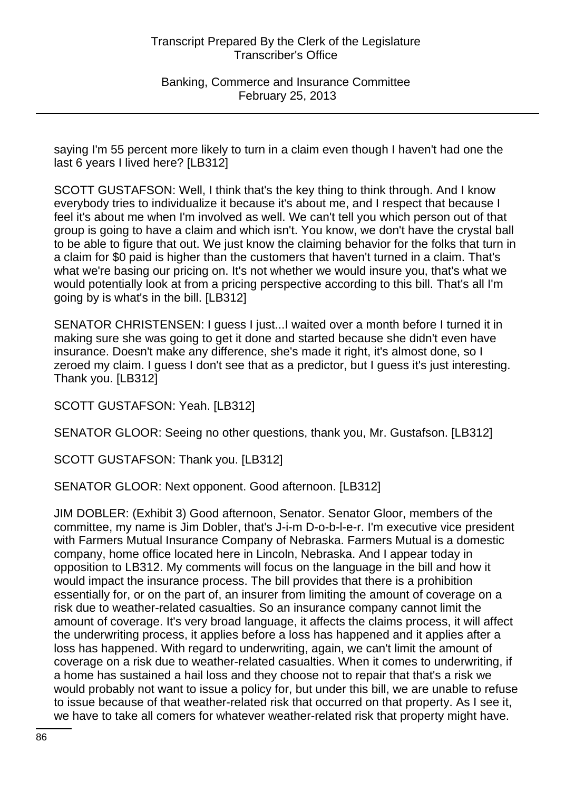saying I'm 55 percent more likely to turn in a claim even though I haven't had one the last 6 years I lived here? [LB312]

SCOTT GUSTAFSON: Well, I think that's the key thing to think through. And I know everybody tries to individualize it because it's about me, and I respect that because I feel it's about me when I'm involved as well. We can't tell you which person out of that group is going to have a claim and which isn't. You know, we don't have the crystal ball to be able to figure that out. We just know the claiming behavior for the folks that turn in a claim for \$0 paid is higher than the customers that haven't turned in a claim. That's what we're basing our pricing on. It's not whether we would insure you, that's what we would potentially look at from a pricing perspective according to this bill. That's all I'm going by is what's in the bill. [LB312]

SENATOR CHRISTENSEN: I guess I just...I waited over a month before I turned it in making sure she was going to get it done and started because she didn't even have insurance. Doesn't make any difference, she's made it right, it's almost done, so I zeroed my claim. I guess I don't see that as a predictor, but I guess it's just interesting. Thank you. [LB312]

SCOTT GUSTAFSON: Yeah. [LB312]

SENATOR GLOOR: Seeing no other questions, thank you, Mr. Gustafson. [LB312]

SCOTT GUSTAFSON: Thank you. [LB312]

SENATOR GLOOR: Next opponent. Good afternoon. [LB312]

JIM DOBLER: (Exhibit 3) Good afternoon, Senator. Senator Gloor, members of the committee, my name is Jim Dobler, that's J-i-m D-o-b-l-e-r. I'm executive vice president with Farmers Mutual Insurance Company of Nebraska. Farmers Mutual is a domestic company, home office located here in Lincoln, Nebraska. And I appear today in opposition to LB312. My comments will focus on the language in the bill and how it would impact the insurance process. The bill provides that there is a prohibition essentially for, or on the part of, an insurer from limiting the amount of coverage on a risk due to weather-related casualties. So an insurance company cannot limit the amount of coverage. It's very broad language, it affects the claims process, it will affect the underwriting process, it applies before a loss has happened and it applies after a loss has happened. With regard to underwriting, again, we can't limit the amount of coverage on a risk due to weather-related casualties. When it comes to underwriting, if a home has sustained a hail loss and they choose not to repair that that's a risk we would probably not want to issue a policy for, but under this bill, we are unable to refuse to issue because of that weather-related risk that occurred on that property. As I see it, we have to take all comers for whatever weather-related risk that property might have.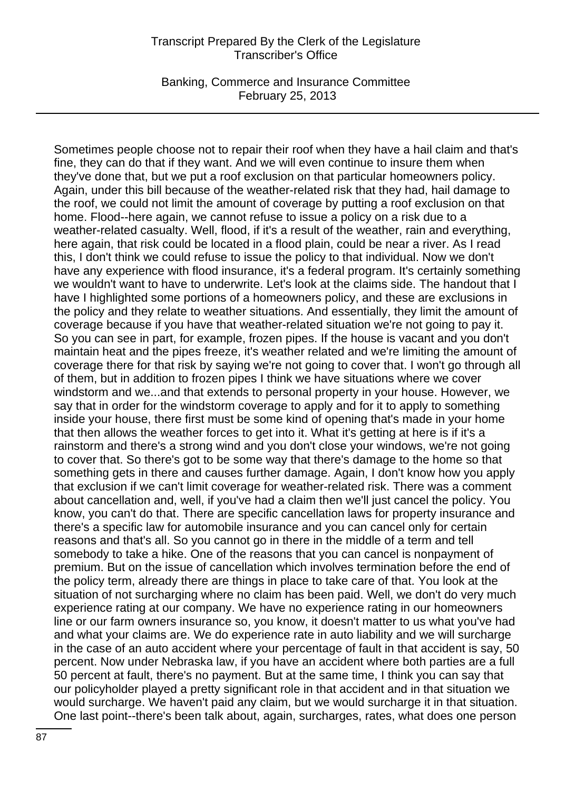Banking, Commerce and Insurance Committee February 25, 2013

Sometimes people choose not to repair their roof when they have a hail claim and that's fine, they can do that if they want. And we will even continue to insure them when they've done that, but we put a roof exclusion on that particular homeowners policy. Again, under this bill because of the weather-related risk that they had, hail damage to the roof, we could not limit the amount of coverage by putting a roof exclusion on that home. Flood--here again, we cannot refuse to issue a policy on a risk due to a weather-related casualty. Well, flood, if it's a result of the weather, rain and everything, here again, that risk could be located in a flood plain, could be near a river. As I read this, I don't think we could refuse to issue the policy to that individual. Now we don't have any experience with flood insurance, it's a federal program. It's certainly something we wouldn't want to have to underwrite. Let's look at the claims side. The handout that I have I highlighted some portions of a homeowners policy, and these are exclusions in the policy and they relate to weather situations. And essentially, they limit the amount of coverage because if you have that weather-related situation we're not going to pay it. So you can see in part, for example, frozen pipes. If the house is vacant and you don't maintain heat and the pipes freeze, it's weather related and we're limiting the amount of coverage there for that risk by saying we're not going to cover that. I won't go through all of them, but in addition to frozen pipes I think we have situations where we cover windstorm and we...and that extends to personal property in your house. However, we say that in order for the windstorm coverage to apply and for it to apply to something inside your house, there first must be some kind of opening that's made in your home that then allows the weather forces to get into it. What it's getting at here is if it's a rainstorm and there's a strong wind and you don't close your windows, we're not going to cover that. So there's got to be some way that there's damage to the home so that something gets in there and causes further damage. Again, I don't know how you apply that exclusion if we can't limit coverage for weather-related risk. There was a comment about cancellation and, well, if you've had a claim then we'll just cancel the policy. You know, you can't do that. There are specific cancellation laws for property insurance and there's a specific law for automobile insurance and you can cancel only for certain reasons and that's all. So you cannot go in there in the middle of a term and tell somebody to take a hike. One of the reasons that you can cancel is nonpayment of premium. But on the issue of cancellation which involves termination before the end of the policy term, already there are things in place to take care of that. You look at the situation of not surcharging where no claim has been paid. Well, we don't do very much experience rating at our company. We have no experience rating in our homeowners line or our farm owners insurance so, you know, it doesn't matter to us what you've had and what your claims are. We do experience rate in auto liability and we will surcharge in the case of an auto accident where your percentage of fault in that accident is say, 50 percent. Now under Nebraska law, if you have an accident where both parties are a full 50 percent at fault, there's no payment. But at the same time, I think you can say that our policyholder played a pretty significant role in that accident and in that situation we would surcharge. We haven't paid any claim, but we would surcharge it in that situation. One last point--there's been talk about, again, surcharges, rates, what does one person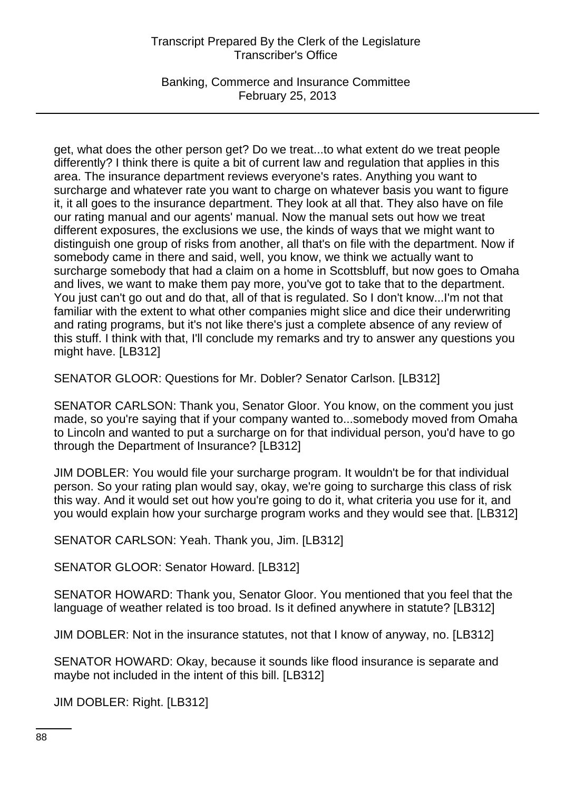Banking, Commerce and Insurance Committee February 25, 2013

get, what does the other person get? Do we treat...to what extent do we treat people differently? I think there is quite a bit of current law and regulation that applies in this area. The insurance department reviews everyone's rates. Anything you want to surcharge and whatever rate you want to charge on whatever basis you want to figure it, it all goes to the insurance department. They look at all that. They also have on file our rating manual and our agents' manual. Now the manual sets out how we treat different exposures, the exclusions we use, the kinds of ways that we might want to distinguish one group of risks from another, all that's on file with the department. Now if somebody came in there and said, well, you know, we think we actually want to surcharge somebody that had a claim on a home in Scottsbluff, but now goes to Omaha and lives, we want to make them pay more, you've got to take that to the department. You just can't go out and do that, all of that is regulated. So I don't know...I'm not that familiar with the extent to what other companies might slice and dice their underwriting and rating programs, but it's not like there's just a complete absence of any review of this stuff. I think with that, I'll conclude my remarks and try to answer any questions you might have. [LB312]

SENATOR GLOOR: Questions for Mr. Dobler? Senator Carlson. [LB312]

SENATOR CARLSON: Thank you, Senator Gloor. You know, on the comment you just made, so you're saying that if your company wanted to...somebody moved from Omaha to Lincoln and wanted to put a surcharge on for that individual person, you'd have to go through the Department of Insurance? [LB312]

JIM DOBLER: You would file your surcharge program. It wouldn't be for that individual person. So your rating plan would say, okay, we're going to surcharge this class of risk this way. And it would set out how you're going to do it, what criteria you use for it, and you would explain how your surcharge program works and they would see that. [LB312]

SENATOR CARLSON: Yeah. Thank you, Jim. [LB312]

SENATOR GLOOR: Senator Howard. [LB312]

SENATOR HOWARD: Thank you, Senator Gloor. You mentioned that you feel that the language of weather related is too broad. Is it defined anywhere in statute? [LB312]

JIM DOBLER: Not in the insurance statutes, not that I know of anyway, no. [LB312]

SENATOR HOWARD: Okay, because it sounds like flood insurance is separate and maybe not included in the intent of this bill. [LB312]

JIM DOBLER: Right. [LB312]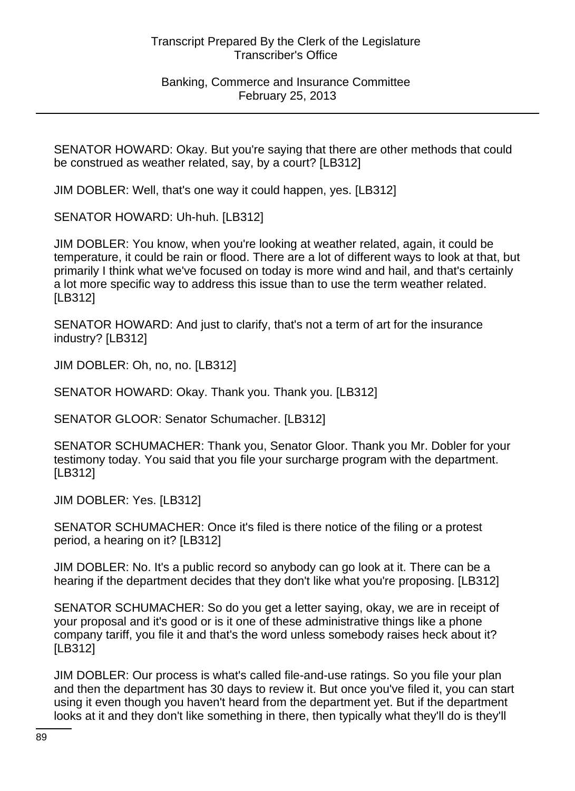Banking, Commerce and Insurance Committee February 25, 2013

SENATOR HOWARD: Okay. But you're saying that there are other methods that could be construed as weather related, say, by a court? [LB312]

JIM DOBLER: Well, that's one way it could happen, yes. [LB312]

SENATOR HOWARD: Uh-huh. [LB312]

JIM DOBLER: You know, when you're looking at weather related, again, it could be temperature, it could be rain or flood. There are a lot of different ways to look at that, but primarily I think what we've focused on today is more wind and hail, and that's certainly a lot more specific way to address this issue than to use the term weather related. [LB312]

SENATOR HOWARD: And just to clarify, that's not a term of art for the insurance industry? [LB312]

JIM DOBLER: Oh, no, no. [LB312]

SENATOR HOWARD: Okay. Thank you. Thank you. [LB312]

SENATOR GLOOR: Senator Schumacher. [LB312]

SENATOR SCHUMACHER: Thank you, Senator Gloor. Thank you Mr. Dobler for your testimony today. You said that you file your surcharge program with the department. [LB312]

JIM DOBLER: Yes. [LB312]

SENATOR SCHUMACHER: Once it's filed is there notice of the filing or a protest period, a hearing on it? [LB312]

JIM DOBLER: No. It's a public record so anybody can go look at it. There can be a hearing if the department decides that they don't like what you're proposing. [LB312]

SENATOR SCHUMACHER: So do you get a letter saying, okay, we are in receipt of your proposal and it's good or is it one of these administrative things like a phone company tariff, you file it and that's the word unless somebody raises heck about it? [LB312]

JIM DOBLER: Our process is what's called file-and-use ratings. So you file your plan and then the department has 30 days to review it. But once you've filed it, you can start using it even though you haven't heard from the department yet. But if the department looks at it and they don't like something in there, then typically what they'll do is they'll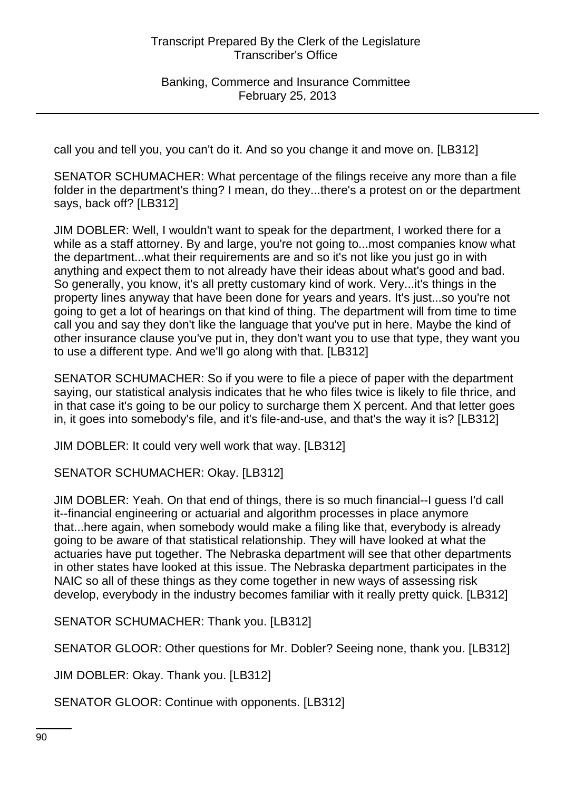call you and tell you, you can't do it. And so you change it and move on. [LB312]

SENATOR SCHUMACHER: What percentage of the filings receive any more than a file folder in the department's thing? I mean, do they...there's a protest on or the department says, back off? [LB312]

JIM DOBLER: Well, I wouldn't want to speak for the department, I worked there for a while as a staff attorney. By and large, you're not going to...most companies know what the department...what their requirements are and so it's not like you just go in with anything and expect them to not already have their ideas about what's good and bad. So generally, you know, it's all pretty customary kind of work. Very...it's things in the property lines anyway that have been done for years and years. It's just...so you're not going to get a lot of hearings on that kind of thing. The department will from time to time call you and say they don't like the language that you've put in here. Maybe the kind of other insurance clause you've put in, they don't want you to use that type, they want you to use a different type. And we'll go along with that. [LB312]

SENATOR SCHUMACHER: So if you were to file a piece of paper with the department saying, our statistical analysis indicates that he who files twice is likely to file thrice, and in that case it's going to be our policy to surcharge them X percent. And that letter goes in, it goes into somebody's file, and it's file-and-use, and that's the way it is? [LB312]

JIM DOBLER: It could very well work that way. [LB312]

SENATOR SCHUMACHER: Okay. [LB312]

JIM DOBLER: Yeah. On that end of things, there is so much financial--I guess I'd call it--financial engineering or actuarial and algorithm processes in place anymore that...here again, when somebody would make a filing like that, everybody is already going to be aware of that statistical relationship. They will have looked at what the actuaries have put together. The Nebraska department will see that other departments in other states have looked at this issue. The Nebraska department participates in the NAIC so all of these things as they come together in new ways of assessing risk develop, everybody in the industry becomes familiar with it really pretty quick. [LB312]

SENATOR SCHUMACHER: Thank you. [LB312]

SENATOR GLOOR: Other questions for Mr. Dobler? Seeing none, thank you. [LB312]

JIM DOBLER: Okay. Thank you. [LB312]

SENATOR GLOOR: Continue with opponents. [LB312]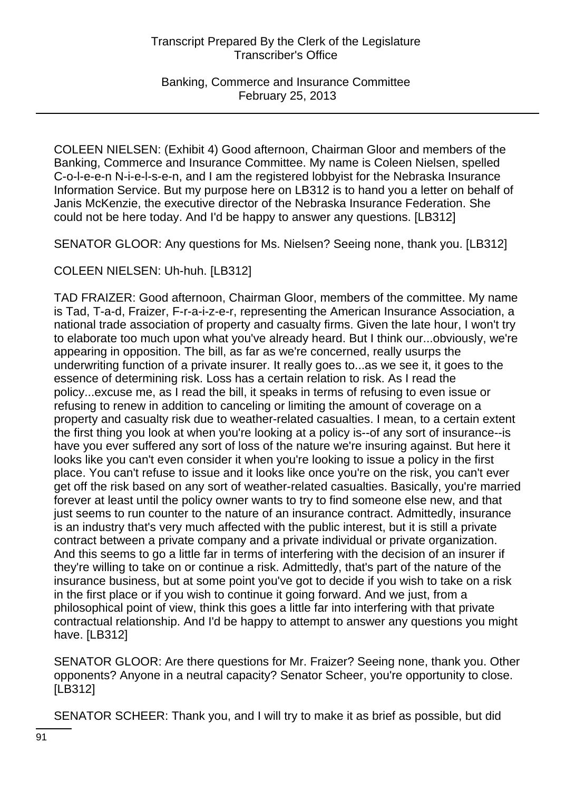COLEEN NIELSEN: (Exhibit 4) Good afternoon, Chairman Gloor and members of the Banking, Commerce and Insurance Committee. My name is Coleen Nielsen, spelled C-o-l-e-e-n N-i-e-l-s-e-n, and I am the registered lobbyist for the Nebraska Insurance Information Service. But my purpose here on LB312 is to hand you a letter on behalf of Janis McKenzie, the executive director of the Nebraska Insurance Federation. She could not be here today. And I'd be happy to answer any questions. [LB312]

SENATOR GLOOR: Any questions for Ms. Nielsen? Seeing none, thank you. [LB312]

COLEEN NIELSEN: Uh-huh. [LB312]

TAD FRAIZER: Good afternoon, Chairman Gloor, members of the committee. My name is Tad, T-a-d, Fraizer, F-r-a-i-z-e-r, representing the American Insurance Association, a national trade association of property and casualty firms. Given the late hour, I won't try to elaborate too much upon what you've already heard. But I think our...obviously, we're appearing in opposition. The bill, as far as we're concerned, really usurps the underwriting function of a private insurer. It really goes to...as we see it, it goes to the essence of determining risk. Loss has a certain relation to risk. As I read the policy...excuse me, as I read the bill, it speaks in terms of refusing to even issue or refusing to renew in addition to canceling or limiting the amount of coverage on a property and casualty risk due to weather-related casualties. I mean, to a certain extent the first thing you look at when you're looking at a policy is--of any sort of insurance--is have you ever suffered any sort of loss of the nature we're insuring against. But here it looks like you can't even consider it when you're looking to issue a policy in the first place. You can't refuse to issue and it looks like once you're on the risk, you can't ever get off the risk based on any sort of weather-related casualties. Basically, you're married forever at least until the policy owner wants to try to find someone else new, and that just seems to run counter to the nature of an insurance contract. Admittedly, insurance is an industry that's very much affected with the public interest, but it is still a private contract between a private company and a private individual or private organization. And this seems to go a little far in terms of interfering with the decision of an insurer if they're willing to take on or continue a risk. Admittedly, that's part of the nature of the insurance business, but at some point you've got to decide if you wish to take on a risk in the first place or if you wish to continue it going forward. And we just, from a philosophical point of view, think this goes a little far into interfering with that private contractual relationship. And I'd be happy to attempt to answer any questions you might have. [LB312]

SENATOR GLOOR: Are there questions for Mr. Fraizer? Seeing none, thank you. Other opponents? Anyone in a neutral capacity? Senator Scheer, you're opportunity to close. [LB312]

SENATOR SCHEER: Thank you, and I will try to make it as brief as possible, but did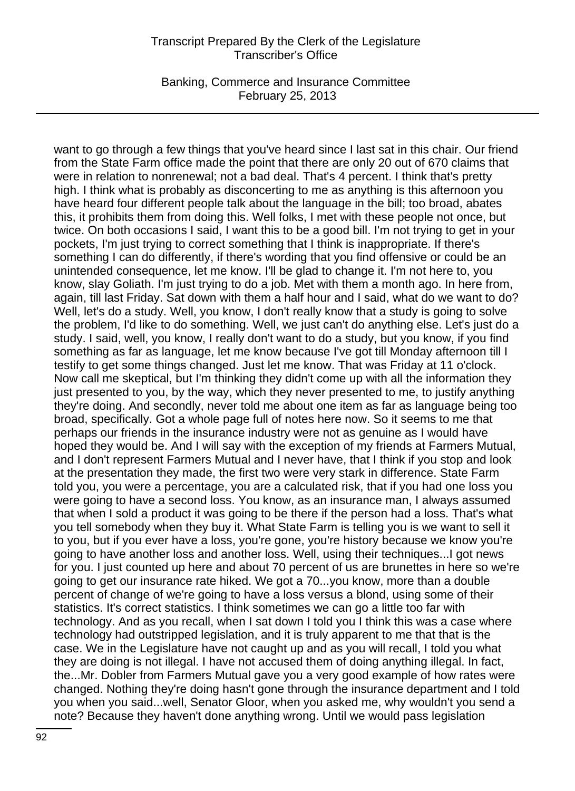Banking, Commerce and Insurance Committee February 25, 2013

want to go through a few things that you've heard since I last sat in this chair. Our friend from the State Farm office made the point that there are only 20 out of 670 claims that were in relation to nonrenewal; not a bad deal. That's 4 percent. I think that's pretty high. I think what is probably as disconcerting to me as anything is this afternoon you have heard four different people talk about the language in the bill; too broad, abates this, it prohibits them from doing this. Well folks, I met with these people not once, but twice. On both occasions I said, I want this to be a good bill. I'm not trying to get in your pockets, I'm just trying to correct something that I think is inappropriate. If there's something I can do differently, if there's wording that you find offensive or could be an unintended consequence, let me know. I'll be glad to change it. I'm not here to, you know, slay Goliath. I'm just trying to do a job. Met with them a month ago. In here from, again, till last Friday. Sat down with them a half hour and I said, what do we want to do? Well, let's do a study. Well, you know, I don't really know that a study is going to solve the problem, I'd like to do something. Well, we just can't do anything else. Let's just do a study. I said, well, you know, I really don't want to do a study, but you know, if you find something as far as language, let me know because I've got till Monday afternoon till I testify to get some things changed. Just let me know. That was Friday at 11 o'clock. Now call me skeptical, but I'm thinking they didn't come up with all the information they just presented to you, by the way, which they never presented to me, to justify anything they're doing. And secondly, never told me about one item as far as language being too broad, specifically. Got a whole page full of notes here now. So it seems to me that perhaps our friends in the insurance industry were not as genuine as I would have hoped they would be. And I will say with the exception of my friends at Farmers Mutual, and I don't represent Farmers Mutual and I never have, that I think if you stop and look at the presentation they made, the first two were very stark in difference. State Farm told you, you were a percentage, you are a calculated risk, that if you had one loss you were going to have a second loss. You know, as an insurance man, I always assumed that when I sold a product it was going to be there if the person had a loss. That's what you tell somebody when they buy it. What State Farm is telling you is we want to sell it to you, but if you ever have a loss, you're gone, you're history because we know you're going to have another loss and another loss. Well, using their techniques...I got news for you. I just counted up here and about 70 percent of us are brunettes in here so we're going to get our insurance rate hiked. We got a 70...you know, more than a double percent of change of we're going to have a loss versus a blond, using some of their statistics. It's correct statistics. I think sometimes we can go a little too far with technology. And as you recall, when I sat down I told you I think this was a case where technology had outstripped legislation, and it is truly apparent to me that that is the case. We in the Legislature have not caught up and as you will recall, I told you what they are doing is not illegal. I have not accused them of doing anything illegal. In fact, the...Mr. Dobler from Farmers Mutual gave you a very good example of how rates were changed. Nothing they're doing hasn't gone through the insurance department and I told you when you said...well, Senator Gloor, when you asked me, why wouldn't you send a note? Because they haven't done anything wrong. Until we would pass legislation